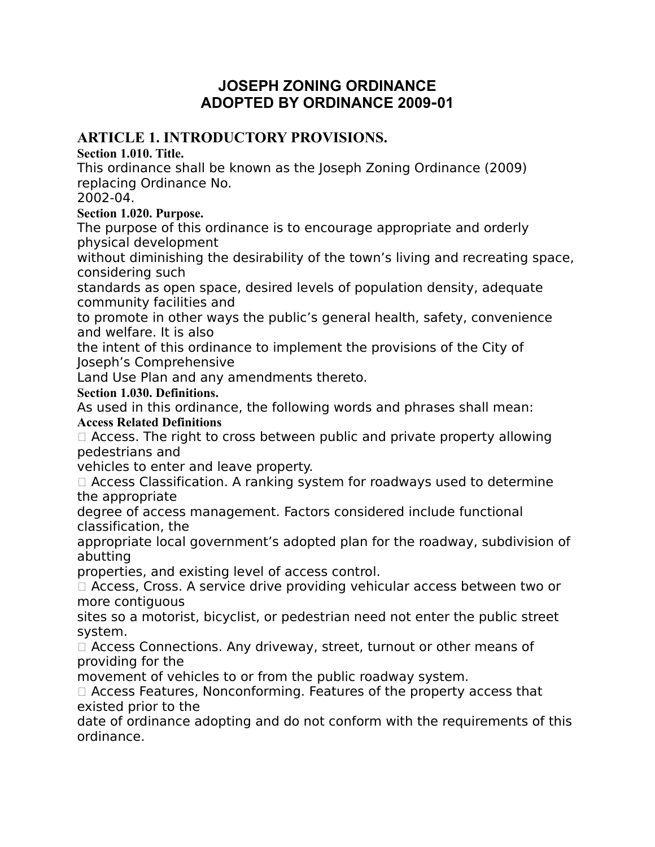# **JOSEPH ZONING ORDINANCE ADOPTED BY ORDINANCE 2009‐01**

# **ARTICLE 1. INTRODUCTORY PROVISIONS.**

**Section 1.010. Title.**

This ordinance shall be known as the Joseph Zoning Ordinance (2009) replacing Ordinance No.

2002-04.

## **Section 1.020. Purpose.**

The purpose of this ordinance is to encourage appropriate and orderly physical development

without diminishing the desirability of the town's living and recreating space, considering such

standards as open space, desired levels of population density, adequate community facilities and

to promote in other ways the public's general health, safety, convenience and welfare. It is also

the intent of this ordinance to implement the provisions of the City of Joseph's Comprehensive

Land Use Plan and any amendments thereto.

## **Section 1.030. Definitions.**

As used in this ordinance, the following words and phrases shall mean: **Access Related Definitions**

 $\Box$  Access. The right to cross between public and private property allowing pedestrians and

vehicles to enter and leave property.

 Access Classification. A ranking system for roadways used to determine the appropriate

degree of access management. Factors considered include functional classification, the

appropriate local government's adopted plan for the roadway, subdivision of abutting

properties, and existing level of access control.

□ Access, Cross. A service drive providing vehicular access between two or more contiguous

sites so a motorist, bicyclist, or pedestrian need not enter the public street system.

□ Access Connections. Any driveway, street, turnout or other means of providing for the

movement of vehicles to or from the public roadway system.

 $\Box$  Access Features, Nonconforming. Features of the property access that existed prior to the

date of ordinance adopting and do not conform with the requirements of this ordinance.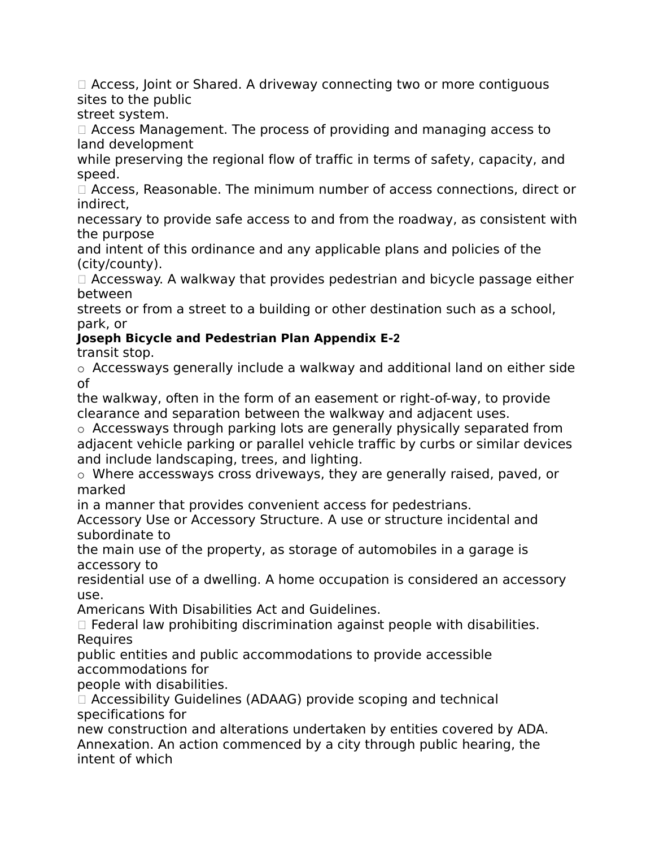$\Box$  Access, Joint or Shared. A driveway connecting two or more contiguous sites to the public

street system.

 Access Management. The process of providing and managing access to land development

while preserving the regional flow of traffic in terms of safety, capacity, and speed.

 $\Box$  Access, Reasonable. The minimum number of access connections, direct or indirect,

necessary to provide safe access to and from the roadway, as consistent with the purpose

and intent of this ordinance and any applicable plans and policies of the (city/county).

 $\Box$  Accessway. A walkway that provides pedestrian and bicycle passage either between

streets or from a street to a building or other destination such as a school, park, or

# **Joseph Bicycle and Pedestrian Plan Appendix E‐2**

transit stop.

o Accessways generally include a walkway and additional land on either side of

the walkway, often in the form of an easement or right-of-way, to provide clearance and separation between the walkway and adjacent uses.

o Accessways through parking lots are generally physically separated from adjacent vehicle parking or parallel vehicle traffic by curbs or similar devices and include landscaping, trees, and lighting.

o Where accessways cross driveways, they are generally raised, paved, or marked

in a manner that provides convenient access for pedestrians.

Accessory Use or Accessory Structure. A use or structure incidental and subordinate to

the main use of the property, as storage of automobiles in a garage is accessory to

residential use of a dwelling. A home occupation is considered an accessory use.

Americans With Disabilities Act and Guidelines.

 $\Box$  Federal law prohibiting discrimination against people with disabilities. **Requires** 

public entities and public accommodations to provide accessible accommodations for

people with disabilities.

 Accessibility Guidelines (ADAAG) provide scoping and technical specifications for

new construction and alterations undertaken by entities covered by ADA. Annexation. An action commenced by a city through public hearing, the intent of which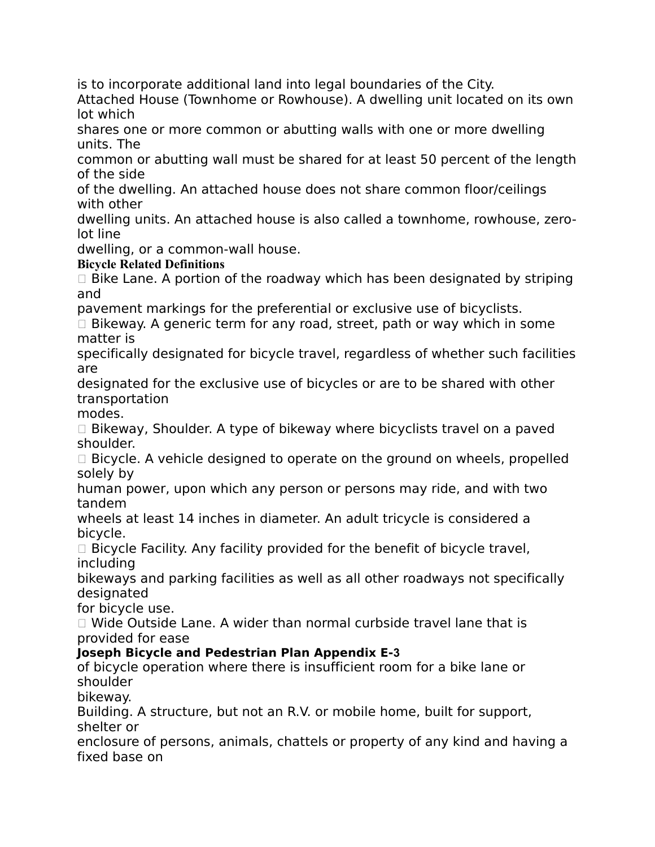is to incorporate additional land into legal boundaries of the City.

Attached House (Townhome or Rowhouse). A dwelling unit located on its own lot which

shares one or more common or abutting walls with one or more dwelling units. The

common or abutting wall must be shared for at least 50 percent of the length of the side

of the dwelling. An attached house does not share common floor/ceilings with other

dwelling units. An attached house is also called a townhome, rowhouse, zerolot line

dwelling, or a common-wall house.

**Bicycle Related Definitions**

 $\Box$  Bike Lane. A portion of the roadway which has been designated by striping and

pavement markings for the preferential or exclusive use of bicyclists.

 $\Box$  Bikeway. A generic term for any road, street, path or way which in some matter is

specifically designated for bicycle travel, regardless of whether such facilities are

designated for the exclusive use of bicycles or are to be shared with other transportation

modes.

 $\Box$  Bikeway, Shoulder. A type of bikeway where bicyclists travel on a paved shoulder.

 $\Box$  Bicycle. A vehicle designed to operate on the ground on wheels, propelled solely by

human power, upon which any person or persons may ride, and with two tandem

wheels at least 14 inches in diameter. An adult tricycle is considered a bicycle.

 $\Box$  Bicycle Facility. Any facility provided for the benefit of bicycle travel, including

bikeways and parking facilities as well as all other roadways not specifically designated

for bicycle use.

□ Wide Outside Lane. A wider than normal curbside travel lane that is provided for ease

# **Joseph Bicycle and Pedestrian Plan Appendix E‐3**

of bicycle operation where there is insufficient room for a bike lane or shoulder

bikeway.

Building. A structure, but not an R.V. or mobile home, built for support, shelter or

enclosure of persons, animals, chattels or property of any kind and having a fixed base on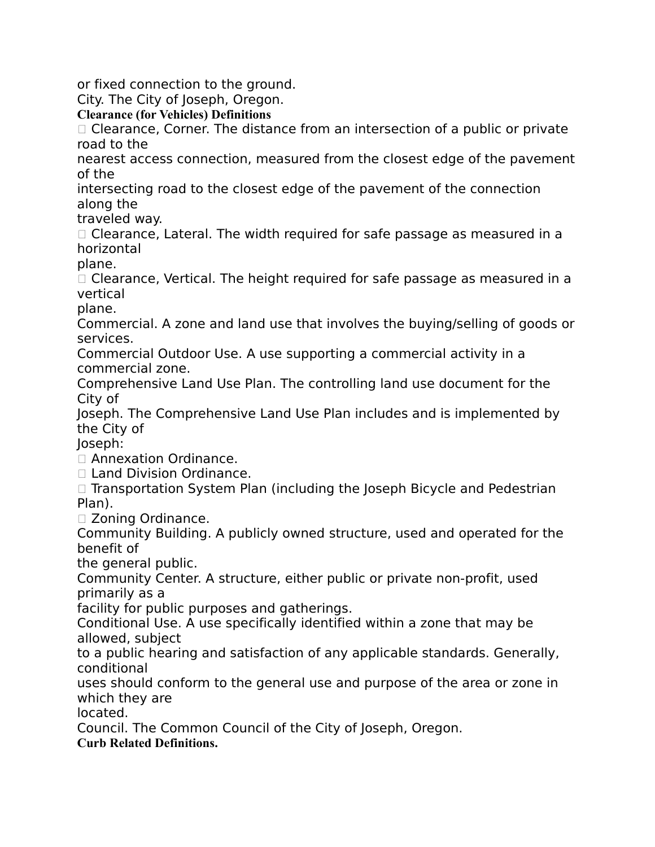or fixed connection to the ground.

City. The City of Joseph, Oregon.

**Clearance (for Vehicles) Definitions**

 $\Box$  Clearance, Corner. The distance from an intersection of a public or private road to the

nearest access connection, measured from the closest edge of the pavement of the

intersecting road to the closest edge of the pavement of the connection along the

traveled way.

 $\Box$  Clearance, Lateral. The width required for safe passage as measured in a horizontal

plane.

 $\Box$  Clearance, Vertical. The height required for safe passage as measured in a vertical

plane.

Commercial. A zone and land use that involves the buying/selling of goods or services.

Commercial Outdoor Use. A use supporting a commercial activity in a commercial zone.

Comprehensive Land Use Plan. The controlling land use document for the City of

Joseph. The Comprehensive Land Use Plan includes and is implemented by the City of

Joseph:

□ Annexation Ordinance.

□ Land Division Ordinance.

 $\Box$  Transportation System Plan (including the Joseph Bicycle and Pedestrian Plan).

Zoning Ordinance.

Community Building. A publicly owned structure, used and operated for the benefit of

the general public.

Community Center. A structure, either public or private non-profit, used primarily as a

facility for public purposes and gatherings.

Conditional Use. A use specifically identified within a zone that may be allowed, subject

to a public hearing and satisfaction of any applicable standards. Generally, conditional

uses should conform to the general use and purpose of the area or zone in which they are

located.

Council. The Common Council of the City of Joseph, Oregon.

**Curb Related Definitions.**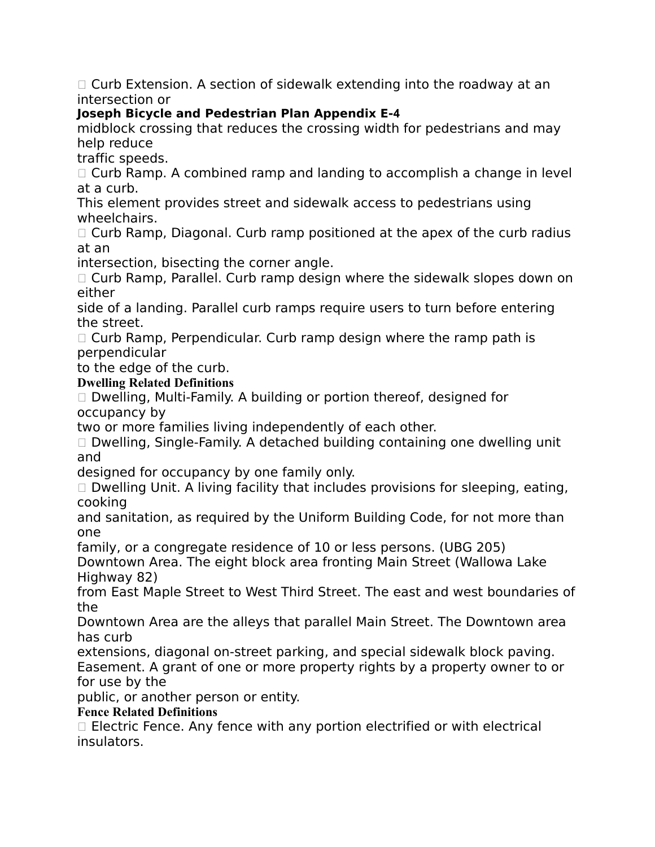$\Box$  Curb Extension. A section of sidewalk extending into the roadway at an intersection or

# **Joseph Bicycle and Pedestrian Plan Appendix E‐4**

midblock crossing that reduces the crossing width for pedestrians and may help reduce

traffic speeds.

 $\Box$  Curb Ramp. A combined ramp and landing to accomplish a change in level at a curb.

This element provides street and sidewalk access to pedestrians using wheelchairs.

 $\Box$  Curb Ramp, Diagonal. Curb ramp positioned at the apex of the curb radius at an

intersection, bisecting the corner angle.

 $\Box$  Curb Ramp, Parallel. Curb ramp design where the sidewalk slopes down on either

side of a landing. Parallel curb ramps require users to turn before entering the street.

 $\Box$  Curb Ramp, Perpendicular. Curb ramp design where the ramp path is perpendicular

to the edge of the curb.

**Dwelling Related Definitions**

 $\Box$  Dwelling, Multi-Family. A building or portion thereof, designed for occupancy by

two or more families living independently of each other.

 $\Box$  Dwelling, Single-Family. A detached building containing one dwelling unit and

designed for occupancy by one family only.

 $\Box$  Dwelling Unit. A living facility that includes provisions for sleeping, eating, cooking

and sanitation, as required by the Uniform Building Code, for not more than one

family, or a congregate residence of 10 or less persons. (UBG 205)

Downtown Area. The eight block area fronting Main Street (Wallowa Lake Highway 82)

from East Maple Street to West Third Street. The east and west boundaries of the

Downtown Area are the alleys that parallel Main Street. The Downtown area has curb

extensions, diagonal on-street parking, and special sidewalk block paving. Easement. A grant of one or more property rights by a property owner to or for use by the

public, or another person or entity.

# **Fence Related Definitions**

 $\Box$  Electric Fence. Any fence with any portion electrified or with electrical insulators.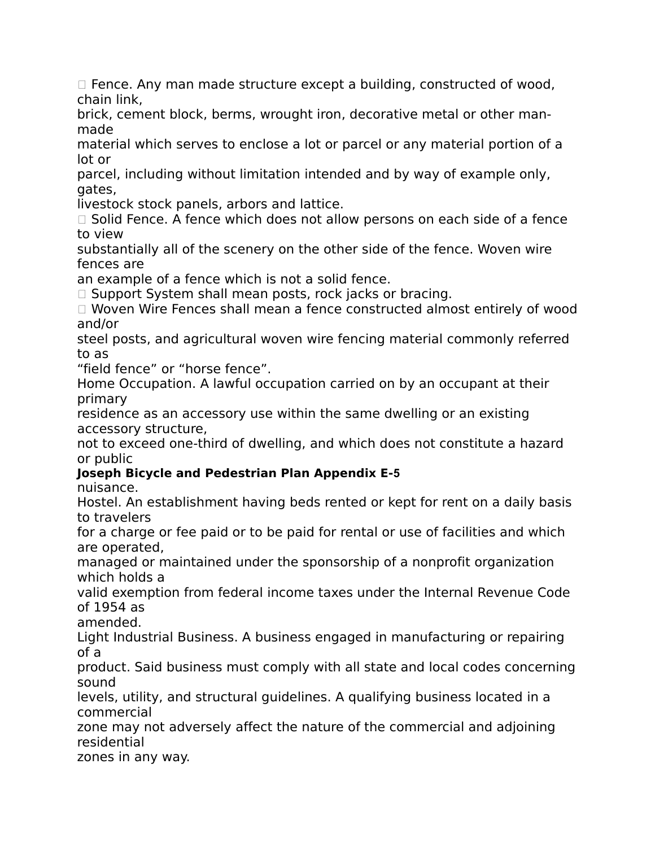$\Box$  Fence. Any man made structure except a building, constructed of wood, chain link,

brick, cement block, berms, wrought iron, decorative metal or other manmade

material which serves to enclose a lot or parcel or any material portion of a lot or

parcel, including without limitation intended and by way of example only, gates,

livestock stock panels, arbors and lattice.

 $\Box$  Solid Fence. A fence which does not allow persons on each side of a fence to view

substantially all of the scenery on the other side of the fence. Woven wire fences are

an example of a fence which is not a solid fence.

 $\Box$  Support System shall mean posts, rock jacks or bracing.

□ Woven Wire Fences shall mean a fence constructed almost entirely of wood and/or

steel posts, and agricultural woven wire fencing material commonly referred to as

"field fence" or "horse fence".

Home Occupation. A lawful occupation carried on by an occupant at their primary

residence as an accessory use within the same dwelling or an existing accessory structure,

not to exceed one-third of dwelling, and which does not constitute a hazard or public

# **Joseph Bicycle and Pedestrian Plan Appendix E‐5**

nuisance.

Hostel. An establishment having beds rented or kept for rent on a daily basis to travelers

for a charge or fee paid or to be paid for rental or use of facilities and which are operated,

managed or maintained under the sponsorship of a nonprofit organization which holds a

valid exemption from federal income taxes under the Internal Revenue Code of 1954 as

amended.

Light Industrial Business. A business engaged in manufacturing or repairing of a

product. Said business must comply with all state and local codes concerning sound

levels, utility, and structural guidelines. A qualifying business located in a commercial

zone may not adversely affect the nature of the commercial and adjoining residential

zones in any way.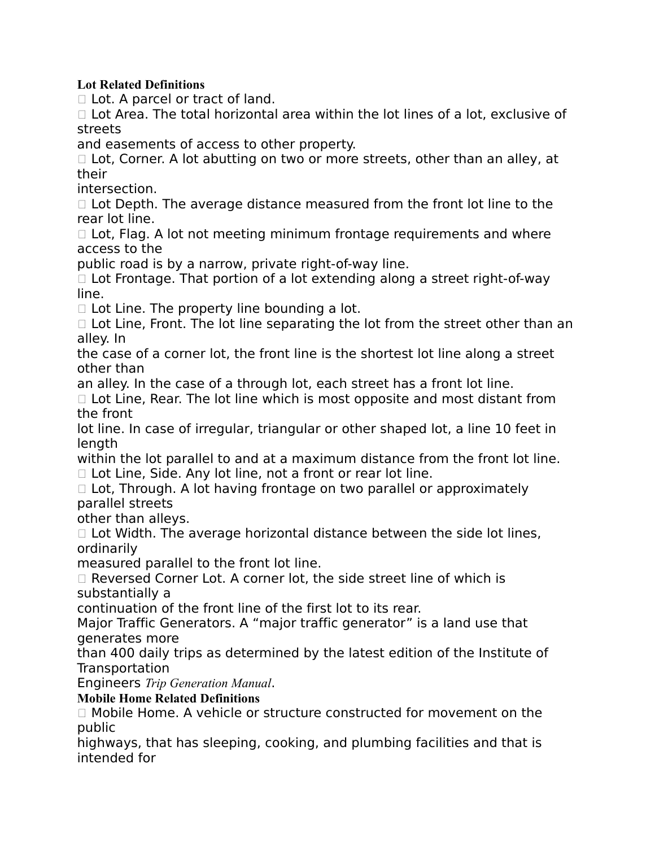#### **Lot Related Definitions**

□ Lot. A parcel or tract of land.

 $\Box$  Lot Area. The total horizontal area within the lot lines of a lot, exclusive of streets

and easements of access to other property.

 $\Box$  Lot, Corner. A lot abutting on two or more streets, other than an alley, at their

intersection.

 $\Box$  Lot Depth. The average distance measured from the front lot line to the rear lot line.

 $\Box$  Lot, Flag. A lot not meeting minimum frontage requirements and where access to the

public road is by a narrow, private right-of-way line.

 $\Box$  Lot Frontage. That portion of a lot extending along a street right-of-way line.

 $\Box$  Lot Line. The property line bounding a lot.

 $\Box$  Lot Line, Front. The lot line separating the lot from the street other than an alley. In

the case of a corner lot, the front line is the shortest lot line along a street other than

an alley. In the case of a through lot, each street has a front lot line.

 $\Box$  Lot Line, Rear. The lot line which is most opposite and most distant from the front

lot line. In case of irregular, triangular or other shaped lot, a line 10 feet in length

within the lot parallel to and at a maximum distance from the front lot line.  $\Box$  Lot Line, Side. Any lot line, not a front or rear lot line.

 $\Box$  Lot, Through. A lot having frontage on two parallel or approximately parallel streets

other than alleys.

 $\Box$  Lot Width. The average horizontal distance between the side lot lines, ordinarily

measured parallel to the front lot line.

 $\Box$  Reversed Corner Lot. A corner lot, the side street line of which is substantially a

continuation of the front line of the first lot to its rear.

Major Traffic Generators. A "major traffic generator" is a land use that generates more

than 400 daily trips as determined by the latest edition of the Institute of Transportation

Engineers *Trip Generation Manual*.

**Mobile Home Related Definitions**

 $\Box$  Mobile Home. A vehicle or structure constructed for movement on the public

highways, that has sleeping, cooking, and plumbing facilities and that is intended for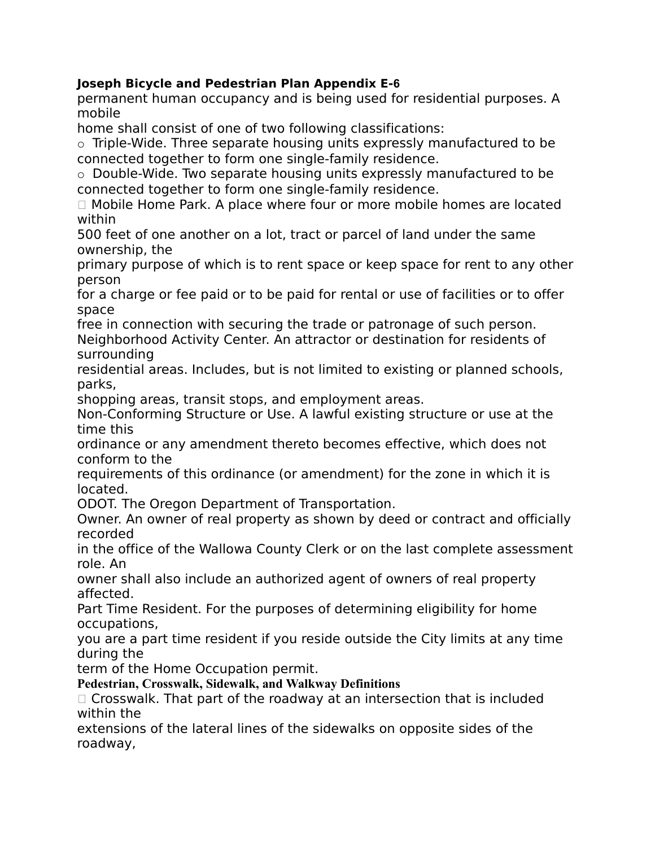# **Joseph Bicycle and Pedestrian Plan Appendix E‐6**

permanent human occupancy and is being used for residential purposes. A mobile

home shall consist of one of two following classifications:

o Triple-Wide. Three separate housing units expressly manufactured to be connected together to form one single-family residence.

o Double-Wide. Two separate housing units expressly manufactured to be connected together to form one single-family residence.

 Mobile Home Park. A place where four or more mobile homes are located within

500 feet of one another on a lot, tract or parcel of land under the same ownership, the

primary purpose of which is to rent space or keep space for rent to any other person

for a charge or fee paid or to be paid for rental or use of facilities or to offer space

free in connection with securing the trade or patronage of such person. Neighborhood Activity Center. An attractor or destination for residents of surrounding

residential areas. Includes, but is not limited to existing or planned schools, parks,

shopping areas, transit stops, and employment areas.

Non-Conforming Structure or Use. A lawful existing structure or use at the time this

ordinance or any amendment thereto becomes effective, which does not conform to the

requirements of this ordinance (or amendment) for the zone in which it is located.

ODOT. The Oregon Department of Transportation.

Owner. An owner of real property as shown by deed or contract and officially recorded

in the office of the Wallowa County Clerk or on the last complete assessment role. An

owner shall also include an authorized agent of owners of real property affected.

Part Time Resident. For the purposes of determining eligibility for home occupations,

you are a part time resident if you reside outside the City limits at any time during the

term of the Home Occupation permit.

# **Pedestrian, Crosswalk, Sidewalk, and Walkway Definitions**

 $\Box$  Crosswalk. That part of the roadway at an intersection that is included within the

extensions of the lateral lines of the sidewalks on opposite sides of the roadway,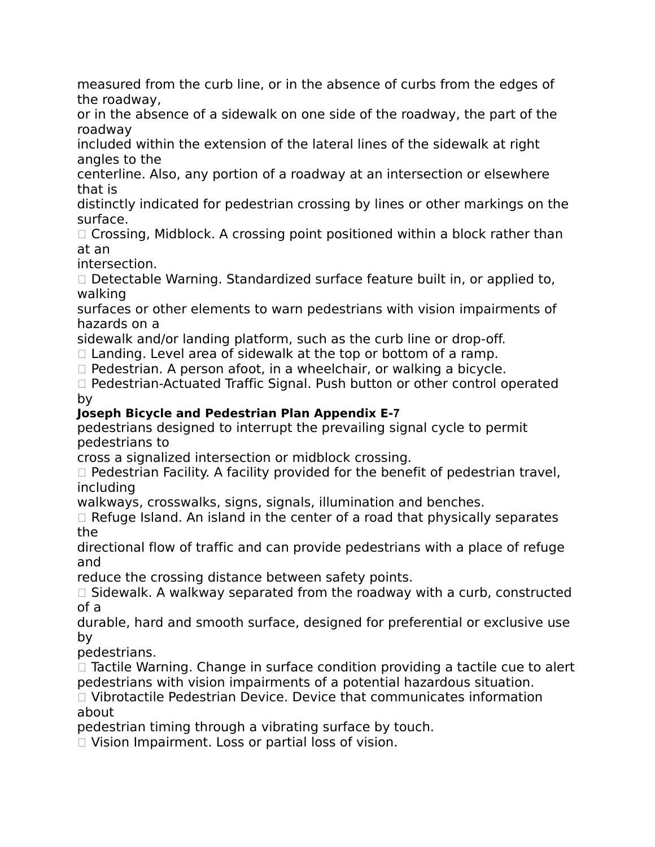measured from the curb line, or in the absence of curbs from the edges of the roadway,

or in the absence of a sidewalk on one side of the roadway, the part of the roadway

included within the extension of the lateral lines of the sidewalk at right angles to the

centerline. Also, any portion of a roadway at an intersection or elsewhere that is

distinctly indicated for pedestrian crossing by lines or other markings on the surface.

 $\Box$  Crossing, Midblock. A crossing point positioned within a block rather than at an

intersection.

 $\Box$  Detectable Warning. Standardized surface feature built in, or applied to, walking

surfaces or other elements to warn pedestrians with vision impairments of hazards on a

sidewalk and/or landing platform, such as the curb line or drop-off.

 $\Box$  Landing. Level area of sidewalk at the top or bottom of a ramp.

 $\Box$  Pedestrian. A person afoot, in a wheelchair, or walking a bicycle.

□ Pedestrian-Actuated Traffic Signal. Push button or other control operated by

# **Joseph Bicycle and Pedestrian Plan Appendix E‐7**

pedestrians designed to interrupt the prevailing signal cycle to permit pedestrians to

cross a signalized intersection or midblock crossing.

 $\Box$  Pedestrian Facility. A facility provided for the benefit of pedestrian travel, including

walkways, crosswalks, signs, signals, illumination and benches.

 $\Box$  Refuge Island. An island in the center of a road that physically separates the

directional flow of traffic and can provide pedestrians with a place of refuge and

reduce the crossing distance between safety points.

 $\Box$  Sidewalk. A walkway separated from the roadway with a curb, constructed of a

durable, hard and smooth surface, designed for preferential or exclusive use by

pedestrians.

 $\Box$  Tactile Warning. Change in surface condition providing a tactile cue to alert pedestrians with vision impairments of a potential hazardous situation.

 $\Box$  Vibrotactile Pedestrian Device. Device that communicates information about

pedestrian timing through a vibrating surface by touch.

□ Vision Impairment. Loss or partial loss of vision.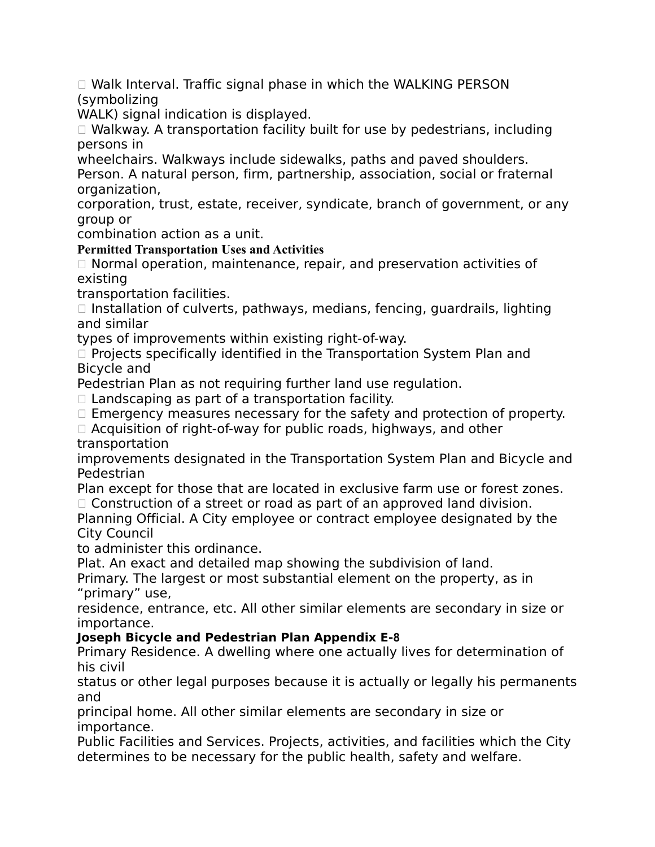Walk Interval. Traffic signal phase in which the WALKING PERSON (symbolizing

WALK) signal indication is displayed.

 Walkway. A transportation facility built for use by pedestrians, including persons in

wheelchairs. Walkways include sidewalks, paths and paved shoulders.

Person. A natural person, firm, partnership, association, social or fraternal organization,

corporation, trust, estate, receiver, syndicate, branch of government, or any group or

combination action as a unit.

**Permitted Transportation Uses and Activities**

 $\Box$  Normal operation, maintenance, repair, and preservation activities of existing

transportation facilities.

 $\Box$  Installation of culverts, pathways, medians, fencing, guardrails, lighting and similar

types of improvements within existing right-of-way.

 $\Box$  Projects specifically identified in the Transportation System Plan and Bicycle and

Pedestrian Plan as not requiring further land use regulation.

 $\Box$  Landscaping as part of a transportation facility.

 $\Box$  Emergency measures necessary for the safety and protection of property.

□ Acquisition of right-of-way for public roads, highways, and other transportation

improvements designated in the Transportation System Plan and Bicycle and Pedestrian

Plan except for those that are located in exclusive farm use or forest zones.

 $\Box$  Construction of a street or road as part of an approved land division.

Planning Official. A City employee or contract employee designated by the City Council

to administer this ordinance.

Plat. An exact and detailed map showing the subdivision of land.

Primary. The largest or most substantial element on the property, as in "primary" use,

residence, entrance, etc. All other similar elements are secondary in size or importance.

# **Joseph Bicycle and Pedestrian Plan Appendix E‐8**

Primary Residence. A dwelling where one actually lives for determination of his civil

status or other legal purposes because it is actually or legally his permanents and

principal home. All other similar elements are secondary in size or importance.

Public Facilities and Services. Projects, activities, and facilities which the City determines to be necessary for the public health, safety and welfare.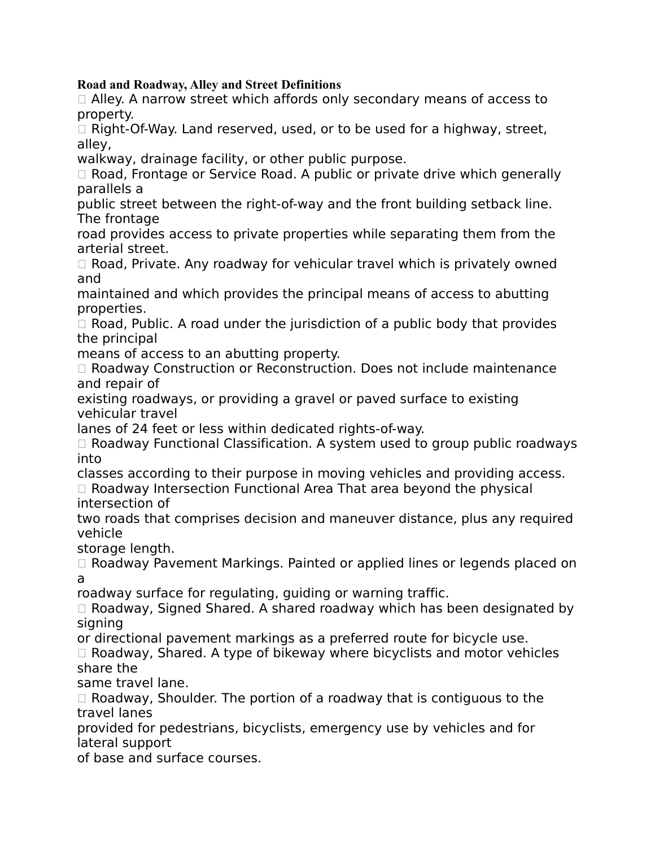#### **Road and Roadway, Alley and Street Definitions**

 $\Box$  Alley. A narrow street which affords only secondary means of access to property.

 $\Box$  Right-Of-Way. Land reserved, used, or to be used for a highway, street, alley,

walkway, drainage facility, or other public purpose.

 $\Box$  Road, Frontage or Service Road. A public or private drive which generally parallels a

public street between the right-of-way and the front building setback line. The frontage

road provides access to private properties while separating them from the arterial street.

 $\Box$  Road, Private. Any roadway for vehicular travel which is privately owned and

maintained and which provides the principal means of access to abutting properties.

 $\Box$  Road, Public. A road under the jurisdiction of a public body that provides the principal

means of access to an abutting property.

□ Roadway Construction or Reconstruction. Does not include maintenance and repair of

existing roadways, or providing a gravel or paved surface to existing vehicular travel

lanes of 24 feet or less within dedicated rights-of-way.

 $\Box$  Roadway Functional Classification. A system used to group public roadways into

classes according to their purpose in moving vehicles and providing access.  $\Box$  Roadway Intersection Functional Area That area beyond the physical intersection of

two roads that comprises decision and maneuver distance, plus any required vehicle

storage length.

□ Roadway Pavement Markings. Painted or applied lines or legends placed on a

roadway surface for regulating, guiding or warning traffic.

 $\Box$  Roadway, Signed Shared. A shared roadway which has been designated by signing

or directional pavement markings as a preferred route for bicycle use.

 $\Box$  Roadway, Shared. A type of bikeway where bicyclists and motor vehicles share the

same travel lane.

 $\Box$  Roadway, Shoulder. The portion of a roadway that is contiguous to the travel lanes

provided for pedestrians, bicyclists, emergency use by vehicles and for lateral support

of base and surface courses.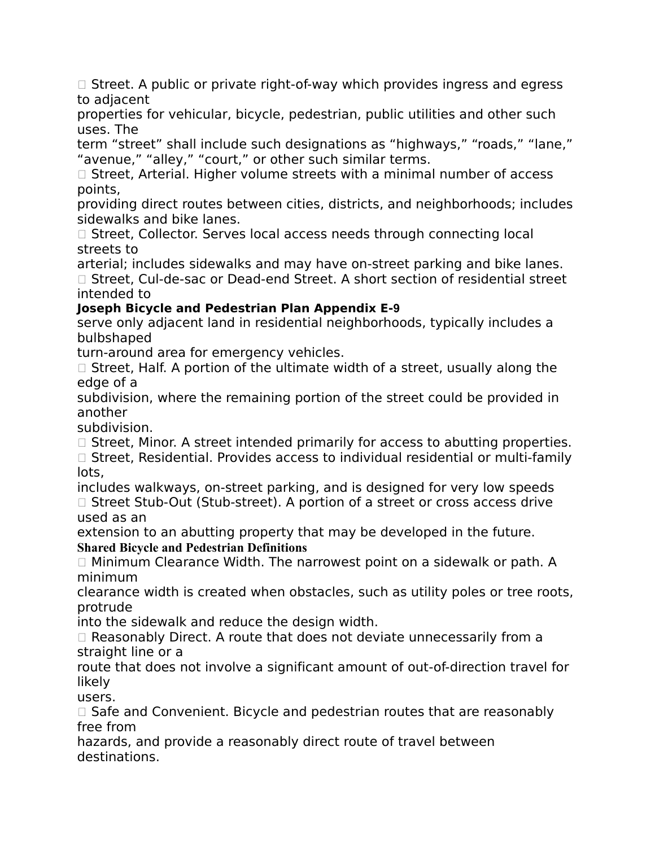$\Box$  Street. A public or private right-of-way which provides ingress and egress to adjacent

properties for vehicular, bicycle, pedestrian, public utilities and other such uses. The

term "street" shall include such designations as "highways," "roads," "lane," "avenue," "alley," "court," or other such similar terms.

 $\Box$  Street, Arterial. Higher volume streets with a minimal number of access points,

providing direct routes between cities, districts, and neighborhoods; includes sidewalks and bike lanes.

 $\Box$  Street, Collector. Serves local access needs through connecting local streets to

arterial; includes sidewalks and may have on-street parking and bike lanes.  $\Box$  Street, Cul-de-sac or Dead-end Street. A short section of residential street intended to

# **Joseph Bicycle and Pedestrian Plan Appendix E‐9**

serve only adjacent land in residential neighborhoods, typically includes a bulbshaped

turn-around area for emergency vehicles.

 $\Box$  Street, Half. A portion of the ultimate width of a street, usually along the edge of a

subdivision, where the remaining portion of the street could be provided in another

subdivision.

 $\Box$  Street, Minor. A street intended primarily for access to abutting properties.

 $\Box$  Street, Residential. Provides access to individual residential or multi-family lots,

includes walkways, on-street parking, and is designed for very low speeds □ Street Stub-Out (Stub-street). A portion of a street or cross access drive used as an

extension to an abutting property that may be developed in the future. **Shared Bicycle and Pedestrian Definitions**

□ Minimum Clearance Width. The narrowest point on a sidewalk or path. A minimum

clearance width is created when obstacles, such as utility poles or tree roots, protrude

into the sidewalk and reduce the design width.

 $\Box$  Reasonably Direct. A route that does not deviate unnecessarily from a straight line or a

route that does not involve a significant amount of out-of-direction travel for likely

users.

 $\Box$  Safe and Convenient. Bicycle and pedestrian routes that are reasonably free from

hazards, and provide a reasonably direct route of travel between destinations.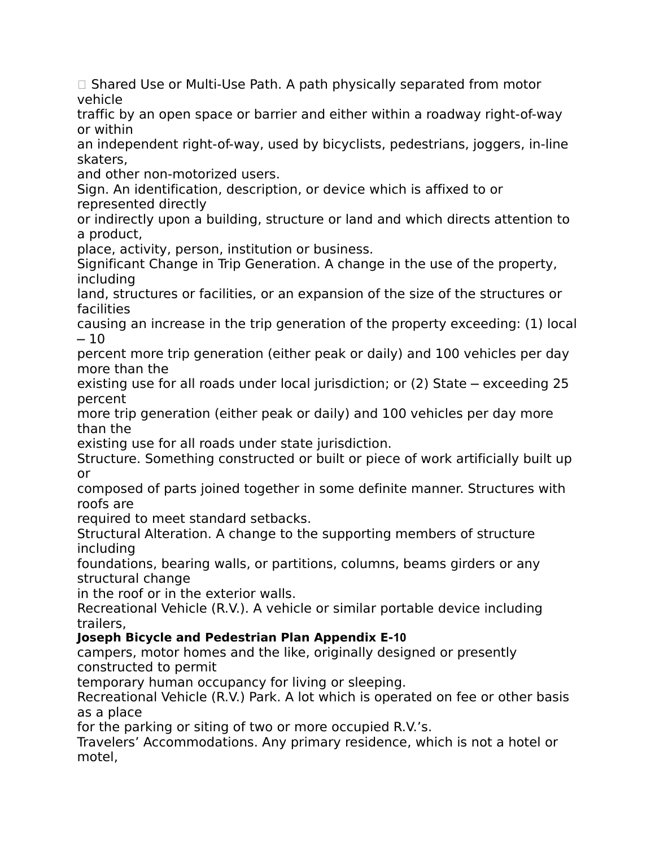$\Box$  Shared Use or Multi-Use Path. A path physically separated from motor vehicle

traffic by an open space or barrier and either within a roadway right-of-way or within

an independent right-of-way, used by bicyclists, pedestrians, joggers, in-line skaters,

and other non-motorized users.

Sign. An identification, description, or device which is affixed to or represented directly

or indirectly upon a building, structure or land and which directs attention to a product,

place, activity, person, institution or business.

Significant Change in Trip Generation. A change in the use of the property, including

land, structures or facilities, or an expansion of the size of the structures or facilities

causing an increase in the trip generation of the property exceeding: (1) local  $-10$ 

percent more trip generation (either peak or daily) and 100 vehicles per day more than the

existing use for all roads under local jurisdiction; or (2) State – exceeding 25 percent

more trip generation (either peak or daily) and 100 vehicles per day more than the

existing use for all roads under state jurisdiction.

Structure. Something constructed or built or piece of work artificially built up or

composed of parts joined together in some definite manner. Structures with roofs are

required to meet standard setbacks.

Structural Alteration. A change to the supporting members of structure including

foundations, bearing walls, or partitions, columns, beams girders or any structural change

in the roof or in the exterior walls.

Recreational Vehicle (R.V.). A vehicle or similar portable device including trailers,

# **Joseph Bicycle and Pedestrian Plan Appendix E‐10**

campers, motor homes and the like, originally designed or presently constructed to permit

temporary human occupancy for living or sleeping.

Recreational Vehicle (R.V.) Park. A lot which is operated on fee or other basis as a place

for the parking or siting of two or more occupied R.V.'s.

Travelers' Accommodations. Any primary residence, which is not a hotel or motel,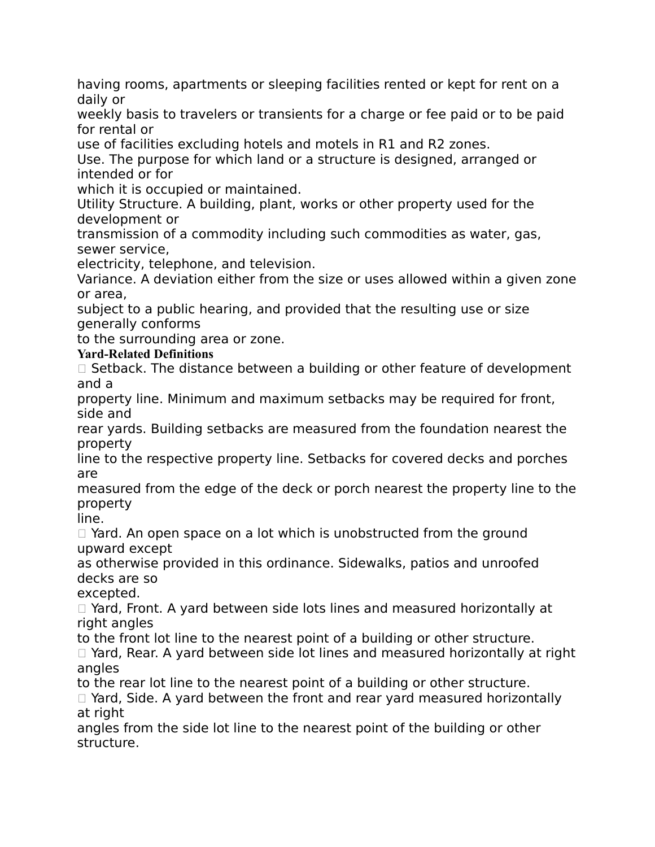having rooms, apartments or sleeping facilities rented or kept for rent on a daily or

weekly basis to travelers or transients for a charge or fee paid or to be paid for rental or

use of facilities excluding hotels and motels in R1 and R2 zones.

Use. The purpose for which land or a structure is designed, arranged or intended or for

which it is occupied or maintained.

Utility Structure. A building, plant, works or other property used for the development or

transmission of a commodity including such commodities as water, gas, sewer service,

electricity, telephone, and television.

Variance. A deviation either from the size or uses allowed within a given zone or area,

subject to a public hearing, and provided that the resulting use or size generally conforms

to the surrounding area or zone.

## **Yard-Related Definitions**

 $\Box$  Setback. The distance between a building or other feature of development and a

property line. Minimum and maximum setbacks may be required for front, side and

rear yards. Building setbacks are measured from the foundation nearest the property

line to the respective property line. Setbacks for covered decks and porches are

measured from the edge of the deck or porch nearest the property line to the property

line.

 $\Box$  Yard. An open space on a lot which is unobstructed from the ground upward except

as otherwise provided in this ordinance. Sidewalks, patios and unroofed decks are so

excepted.

□ Yard, Front. A yard between side lots lines and measured horizontally at right angles

to the front lot line to the nearest point of a building or other structure.

□ Yard, Rear. A yard between side lot lines and measured horizontally at right angles

to the rear lot line to the nearest point of a building or other structure.

 $\Box$  Yard, Side. A yard between the front and rear yard measured horizontally at right

angles from the side lot line to the nearest point of the building or other structure.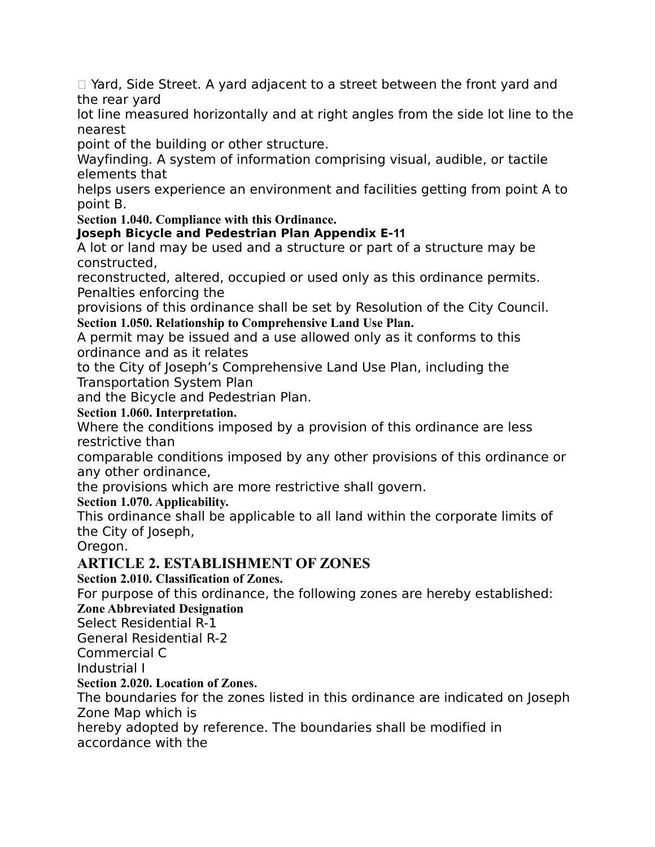□ Yard, Side Street. A yard adjacent to a street between the front yard and the rear yard

lot line measured horizontally and at right angles from the side lot line to the nearest

point of the building or other structure.

Wayfinding. A system of information comprising visual, audible, or tactile elements that

helps users experience an environment and facilities getting from point A to point B.

**Section 1.040. Compliance with this Ordinance.**

# **Joseph Bicycle and Pedestrian Plan Appendix E‐11**

A lot or land may be used and a structure or part of a structure may be constructed,

reconstructed, altered, occupied or used only as this ordinance permits. Penalties enforcing the

provisions of this ordinance shall be set by Resolution of the City Council. **Section 1.050. Relationship to Comprehensive Land Use Plan.**

A permit may be issued and a use allowed only as it conforms to this ordinance and as it relates

to the City of Joseph's Comprehensive Land Use Plan, including the Transportation System Plan

and the Bicycle and Pedestrian Plan.

## **Section 1.060. Interpretation.**

Where the conditions imposed by a provision of this ordinance are less restrictive than

comparable conditions imposed by any other provisions of this ordinance or any other ordinance,

the provisions which are more restrictive shall govern.

# **Section 1.070. Applicability.**

This ordinance shall be applicable to all land within the corporate limits of the City of Joseph,

Oregon.

# **ARTICLE 2. ESTABLISHMENT OF ZONES**

**Section 2.010. Classification of Zones.**

For purpose of this ordinance, the following zones are hereby established:

# **Zone Abbreviated Designation**

Select Residential R-1

General Residential R-2

Commercial C

Industrial I

#### **Section 2.020. Location of Zones.**

The boundaries for the zones listed in this ordinance are indicated on Joseph Zone Map which is

hereby adopted by reference. The boundaries shall be modified in accordance with the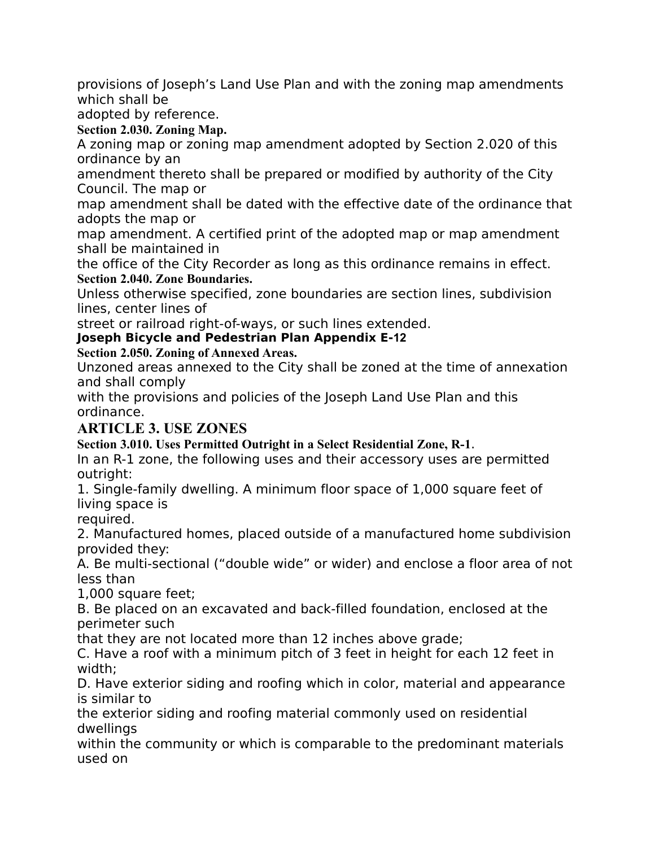provisions of Joseph's Land Use Plan and with the zoning map amendments which shall be

adopted by reference.

**Section 2.030. Zoning Map.**

A zoning map or zoning map amendment adopted by Section 2.020 of this ordinance by an

amendment thereto shall be prepared or modified by authority of the City Council. The map or

map amendment shall be dated with the effective date of the ordinance that adopts the map or

map amendment. A certified print of the adopted map or map amendment shall be maintained in

the office of the City Recorder as long as this ordinance remains in effect. **Section 2.040. Zone Boundaries.**

Unless otherwise specified, zone boundaries are section lines, subdivision lines, center lines of

street or railroad right-of-ways, or such lines extended.

## **Joseph Bicycle and Pedestrian Plan Appendix E‐12**

**Section 2.050. Zoning of Annexed Areas.**

Unzoned areas annexed to the City shall be zoned at the time of annexation and shall comply

with the provisions and policies of the Joseph Land Use Plan and this ordinance.

# **ARTICLE 3. USE ZONES**

**Section 3.010. Uses Permitted Outright in a Select Residential Zone, R-1**.

In an R-1 zone, the following uses and their accessory uses are permitted outright:

1. Single-family dwelling. A minimum floor space of 1,000 square feet of living space is

required.

2. Manufactured homes, placed outside of a manufactured home subdivision provided they:

A. Be multi-sectional ("double wide" or wider) and enclose a floor area of not less than

1,000 square feet;

B. Be placed on an excavated and back-filled foundation, enclosed at the perimeter such

that they are not located more than 12 inches above grade;

C. Have a roof with a minimum pitch of 3 feet in height for each 12 feet in width;

D. Have exterior siding and roofing which in color, material and appearance is similar to

the exterior siding and roofing material commonly used on residential dwellings

within the community or which is comparable to the predominant materials used on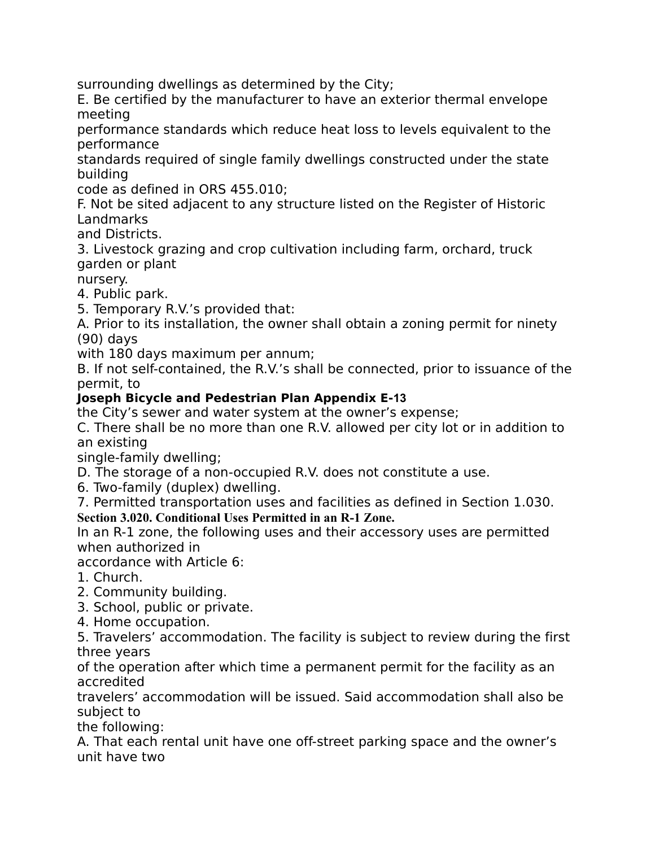surrounding dwellings as determined by the City;

E. Be certified by the manufacturer to have an exterior thermal envelope meeting

performance standards which reduce heat loss to levels equivalent to the performance

standards required of single family dwellings constructed under the state building

code as defined in ORS 455.010;

F. Not be sited adjacent to any structure listed on the Register of Historic Landmarks

and Districts.

3. Livestock grazing and crop cultivation including farm, orchard, truck garden or plant

nursery.

4. Public park.

5. Temporary R.V.'s provided that:

A. Prior to its installation, the owner shall obtain a zoning permit for ninety (90) days

with 180 days maximum per annum;

B. If not self-contained, the R.V.'s shall be connected, prior to issuance of the permit, to

## **Joseph Bicycle and Pedestrian Plan Appendix E‐13**

the City's sewer and water system at the owner's expense;

C. There shall be no more than one R.V. allowed per city lot or in addition to an existing

single-family dwelling;

D. The storage of a non-occupied R.V. does not constitute a use.

6. Two-family (duplex) dwelling.

7. Permitted transportation uses and facilities as defined in Section 1.030.

#### **Section 3.020. Conditional Uses Permitted in an R-1 Zone.**

In an R-1 zone, the following uses and their accessory uses are permitted when authorized in

accordance with Article 6:

1. Church.

2. Community building.

3. School, public or private.

4. Home occupation.

5. Travelers' accommodation. The facility is subject to review during the first three years

of the operation after which time a permanent permit for the facility as an accredited

travelers' accommodation will be issued. Said accommodation shall also be subject to

the following:

A. That each rental unit have one off-street parking space and the owner's unit have two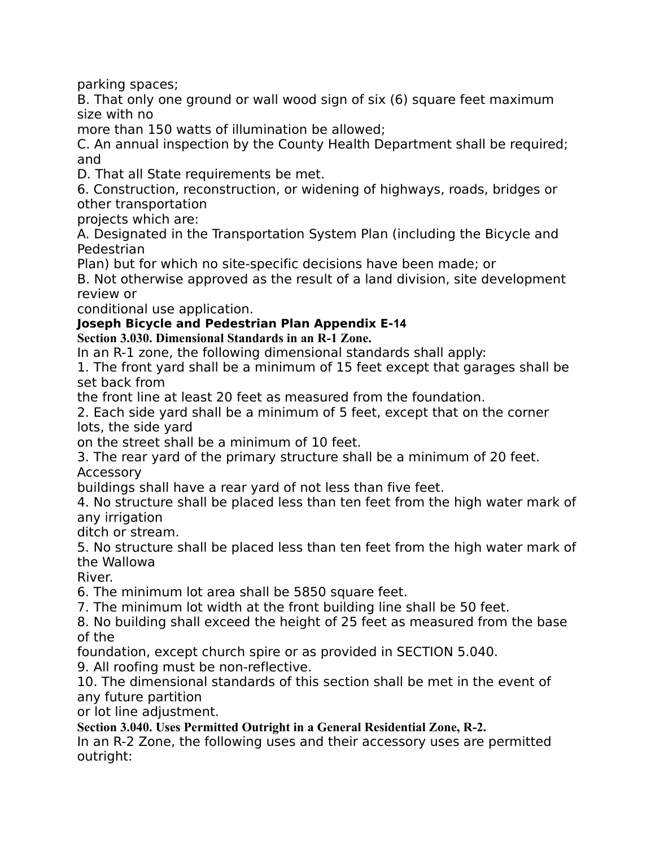parking spaces;

B. That only one ground or wall wood sign of six (6) square feet maximum size with no

more than 150 watts of illumination be allowed;

C. An annual inspection by the County Health Department shall be required; and

D. That all State requirements be met.

6. Construction, reconstruction, or widening of highways, roads, bridges or other transportation

projects which are:

A. Designated in the Transportation System Plan (including the Bicycle and Pedestrian

Plan) but for which no site-specific decisions have been made; or

B. Not otherwise approved as the result of a land division, site development review or

conditional use application.

## **Joseph Bicycle and Pedestrian Plan Appendix E‐14**

**Section 3.030. Dimensional Standards in an R-1 Zone.**

In an R-1 zone, the following dimensional standards shall apply:

1. The front yard shall be a minimum of 15 feet except that garages shall be set back from

the front line at least 20 feet as measured from the foundation.

2. Each side yard shall be a minimum of 5 feet, except that on the corner lots, the side yard

on the street shall be a minimum of 10 feet.

3. The rear yard of the primary structure shall be a minimum of 20 feet. Accessory

buildings shall have a rear yard of not less than five feet.

4. No structure shall be placed less than ten feet from the high water mark of any irrigation

ditch or stream.

5. No structure shall be placed less than ten feet from the high water mark of the Wallowa

River.

6. The minimum lot area shall be 5850 square feet.

7. The minimum lot width at the front building line shall be 50 feet.

8. No building shall exceed the height of 25 feet as measured from the base of the

foundation, except church spire or as provided in SECTION 5.040.

9. All roofing must be non-reflective.

10. The dimensional standards of this section shall be met in the event of any future partition

or lot line adjustment.

**Section 3.040. Uses Permitted Outright in a General Residential Zone, R-2.**

In an R-2 Zone, the following uses and their accessory uses are permitted outright: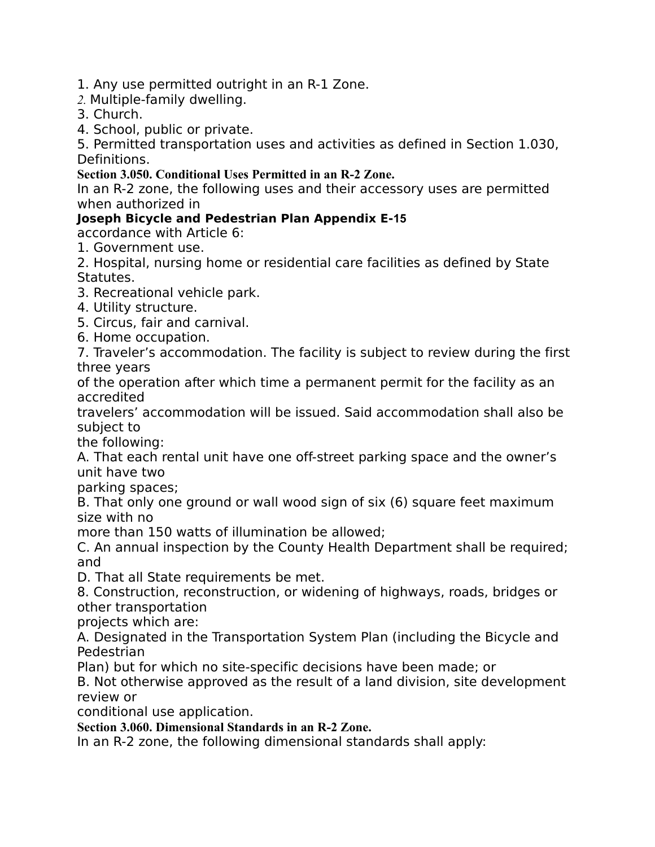1. Any use permitted outright in an R-1 Zone.

*2.* Multiple-family dwelling.

3. Church.

4. School, public or private.

5. Permitted transportation uses and activities as defined in Section 1.030, Definitions.

**Section 3.050. Conditional Uses Permitted in an R-2 Zone.**

In an R-2 zone, the following uses and their accessory uses are permitted when authorized in

# **Joseph Bicycle and Pedestrian Plan Appendix E‐15**

accordance with Article 6:

1. Government use.

2. Hospital, nursing home or residential care facilities as defined by State Statutes.

- 3. Recreational vehicle park.
- 4. Utility structure.
- 5. Circus, fair and carnival.
- 6. Home occupation.

7. Traveler's accommodation. The facility is subject to review during the first three years

of the operation after which time a permanent permit for the facility as an accredited

travelers' accommodation will be issued. Said accommodation shall also be subject to

the following:

A. That each rental unit have one off-street parking space and the owner's unit have two

parking spaces;

B. That only one ground or wall wood sign of six (6) square feet maximum size with no

more than 150 watts of illumination be allowed;

C. An annual inspection by the County Health Department shall be required; and

D. That all State requirements be met.

8. Construction, reconstruction, or widening of highways, roads, bridges or other transportation

projects which are:

A. Designated in the Transportation System Plan (including the Bicycle and Pedestrian

Plan) but for which no site-specific decisions have been made; or

B. Not otherwise approved as the result of a land division, site development review or

conditional use application.

**Section 3.060. Dimensional Standards in an R-2 Zone.**

In an R-2 zone, the following dimensional standards shall apply: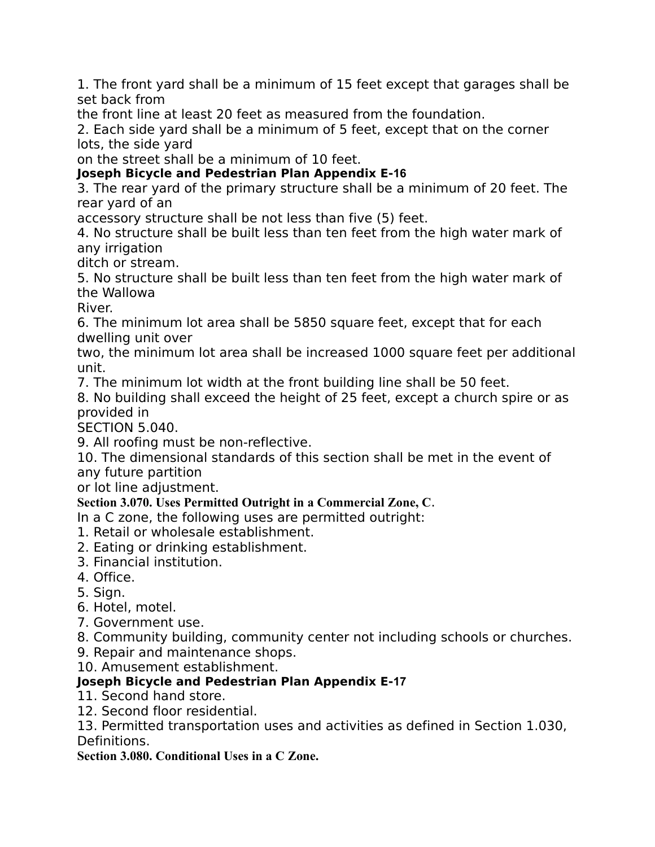1. The front yard shall be a minimum of 15 feet except that garages shall be set back from

the front line at least 20 feet as measured from the foundation.

2. Each side yard shall be a minimum of 5 feet, except that on the corner lots, the side yard

on the street shall be a minimum of 10 feet.

**Joseph Bicycle and Pedestrian Plan Appendix E‐16**

3. The rear yard of the primary structure shall be a minimum of 20 feet. The rear yard of an

accessory structure shall be not less than five (5) feet.

4. No structure shall be built less than ten feet from the high water mark of any irrigation

ditch or stream.

5. No structure shall be built less than ten feet from the high water mark of the Wallowa

River.

6. The minimum lot area shall be 5850 square feet, except that for each dwelling unit over

two, the minimum lot area shall be increased 1000 square feet per additional unit.

7. The minimum lot width at the front building line shall be 50 feet.

8. No building shall exceed the height of 25 feet, except a church spire or as provided in

SECTION 5.040.

9. All roofing must be non-reflective.

10. The dimensional standards of this section shall be met in the event of any future partition

or lot line adjustment.

# **Section 3.070. Uses Permitted Outright in a Commercial Zone, C**.

In a C zone, the following uses are permitted outright:

- 1. Retail or wholesale establishment.
- 2. Eating or drinking establishment.
- 3. Financial institution.
- 4. Office.
- 5. Sign.
- 6. Hotel, motel.
- 7. Government use.
- 8. Community building, community center not including schools or churches.
- 9. Repair and maintenance shops.
- 10. Amusement establishment.

# **Joseph Bicycle and Pedestrian Plan Appendix E‐17**

11. Second hand store.

12. Second floor residential.

13. Permitted transportation uses and activities as defined in Section 1.030, Definitions.

**Section 3.080. Conditional Uses in a C Zone.**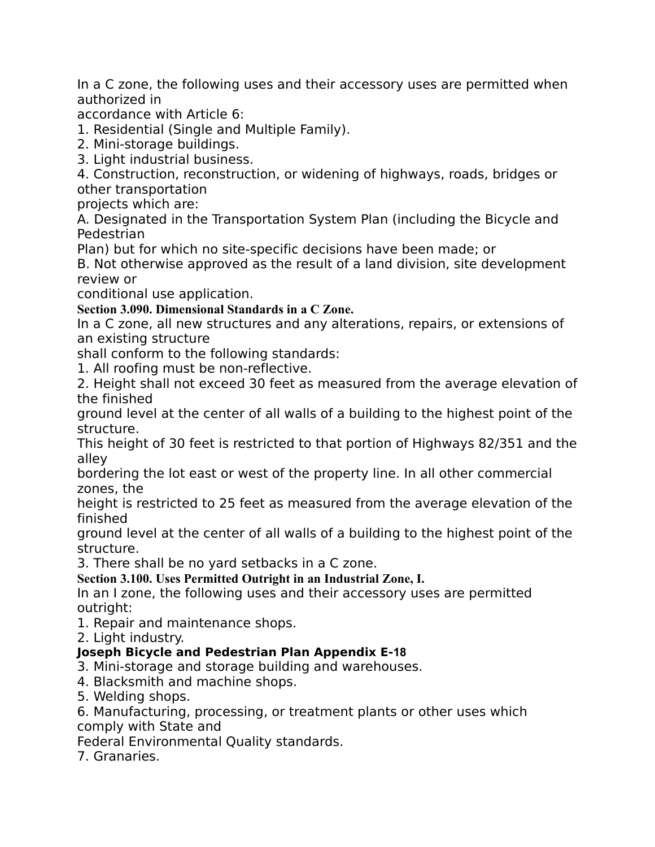In a C zone, the following uses and their accessory uses are permitted when authorized in

accordance with Article 6:

1. Residential (Single and Multiple Family).

2. Mini-storage buildings.

3. Light industrial business.

4. Construction, reconstruction, or widening of highways, roads, bridges or other transportation

projects which are:

A. Designated in the Transportation System Plan (including the Bicycle and Pedestrian

Plan) but for which no site-specific decisions have been made; or

B. Not otherwise approved as the result of a land division, site development review or

conditional use application.

**Section 3.090. Dimensional Standards in a C Zone.**

In a C zone, all new structures and any alterations, repairs, or extensions of an existing structure

shall conform to the following standards:

1. All roofing must be non-reflective.

2. Height shall not exceed 30 feet as measured from the average elevation of the finished

ground level at the center of all walls of a building to the highest point of the structure.

This height of 30 feet is restricted to that portion of Highways 82/351 and the alley

bordering the lot east or west of the property line. In all other commercial zones, the

height is restricted to 25 feet as measured from the average elevation of the finished

ground level at the center of all walls of a building to the highest point of the structure.

3. There shall be no yard setbacks in a C zone.

**Section 3.100. Uses Permitted Outright in an Industrial Zone, I.**

In an I zone, the following uses and their accessory uses are permitted outright:

1. Repair and maintenance shops.

2. Light industry.

# **Joseph Bicycle and Pedestrian Plan Appendix E‐18**

3. Mini-storage and storage building and warehouses.

4. Blacksmith and machine shops.

5. Welding shops.

6. Manufacturing, processing, or treatment plants or other uses which comply with State and

Federal Environmental Quality standards.

7. Granaries.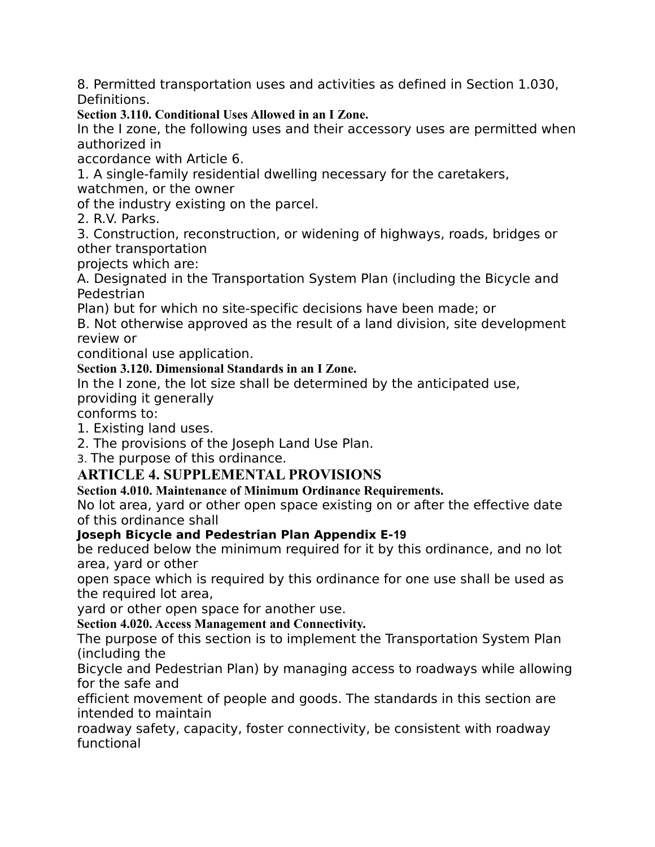8. Permitted transportation uses and activities as defined in Section 1.030, Definitions.

**Section 3.110. Conditional Uses Allowed in an I Zone.**

In the I zone, the following uses and their accessory uses are permitted when authorized in

accordance with Article 6.

1. A single-family residential dwelling necessary for the caretakers,

watchmen, or the owner

of the industry existing on the parcel.

2. R.V. Parks.

3. Construction, reconstruction, or widening of highways, roads, bridges or other transportation

projects which are:

A. Designated in the Transportation System Plan (including the Bicycle and Pedestrian

Plan) but for which no site-specific decisions have been made; or

B. Not otherwise approved as the result of a land division, site development review or

conditional use application.

**Section 3.120. Dimensional Standards in an I Zone.**

In the I zone, the lot size shall be determined by the anticipated use,

providing it generally

conforms to:

1. Existing land uses.

2. The provisions of the Joseph Land Use Plan.

3. The purpose of this ordinance.

# **ARTICLE 4. SUPPLEMENTAL PROVISIONS**

# **Section 4.010. Maintenance of Minimum Ordinance Requirements.**

No lot area, yard or other open space existing on or after the effective date of this ordinance shall

#### **Joseph Bicycle and Pedestrian Plan Appendix E‐19**

be reduced below the minimum required for it by this ordinance, and no lot area, yard or other

open space which is required by this ordinance for one use shall be used as the required lot area,

yard or other open space for another use.

**Section 4.020. Access Management and Connectivity.**

The purpose of this section is to implement the Transportation System Plan (including the

Bicycle and Pedestrian Plan) by managing access to roadways while allowing for the safe and

efficient movement of people and goods. The standards in this section are intended to maintain

roadway safety, capacity, foster connectivity, be consistent with roadway functional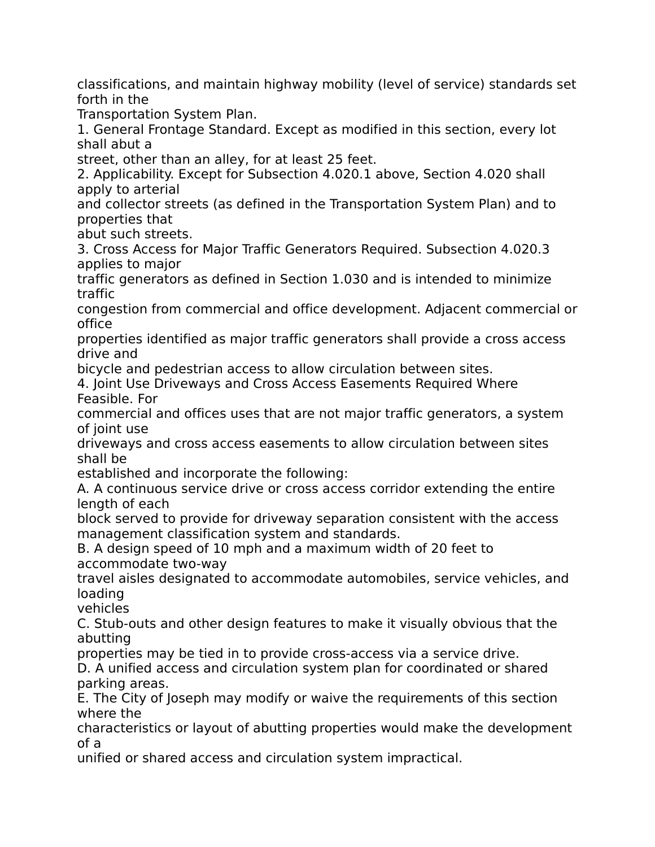classifications, and maintain highway mobility (level of service) standards set forth in the

Transportation System Plan.

1. General Frontage Standard. Except as modified in this section, every lot shall abut a

street, other than an alley, for at least 25 feet.

2. Applicability. Except for Subsection 4.020.1 above, Section 4.020 shall apply to arterial

and collector streets (as defined in the Transportation System Plan) and to properties that

abut such streets.

3. Cross Access for Major Traffic Generators Required. Subsection 4.020.3 applies to major

traffic generators as defined in Section 1.030 and is intended to minimize traffic

congestion from commercial and office development. Adjacent commercial or office

properties identified as major traffic generators shall provide a cross access drive and

bicycle and pedestrian access to allow circulation between sites.

4. Joint Use Driveways and Cross Access Easements Required Where Feasible. For

commercial and offices uses that are not major traffic generators, a system of joint use

driveways and cross access easements to allow circulation between sites shall be

established and incorporate the following:

A. A continuous service drive or cross access corridor extending the entire length of each

block served to provide for driveway separation consistent with the access management classification system and standards.

B. A design speed of 10 mph and a maximum width of 20 feet to accommodate two-way

travel aisles designated to accommodate automobiles, service vehicles, and loading

vehicles

C. Stub-outs and other design features to make it visually obvious that the abutting

properties may be tied in to provide cross-access via a service drive.

D. A unified access and circulation system plan for coordinated or shared parking areas.

E. The City of Joseph may modify or waive the requirements of this section where the

characteristics or layout of abutting properties would make the development of a

unified or shared access and circulation system impractical.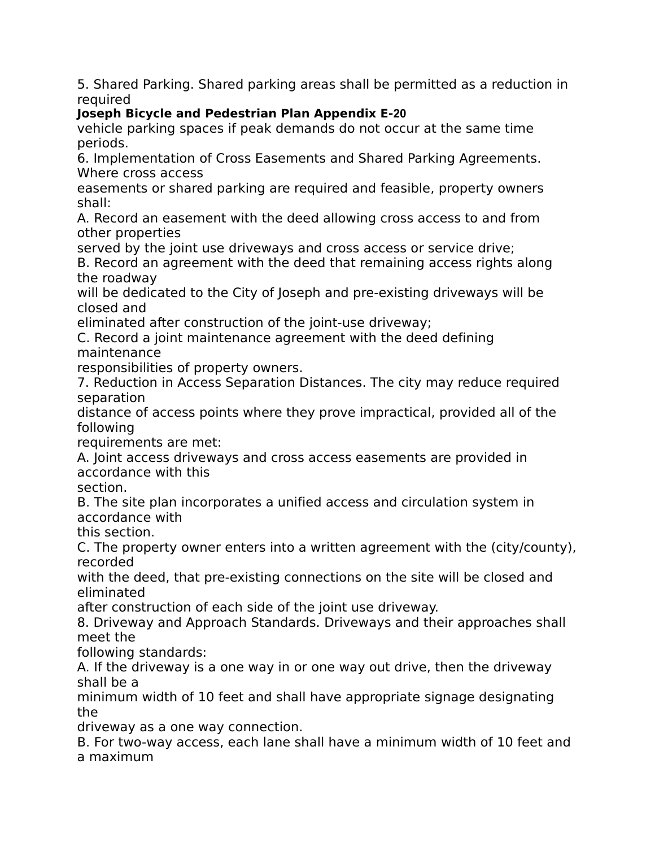5. Shared Parking. Shared parking areas shall be permitted as a reduction in required

# **Joseph Bicycle and Pedestrian Plan Appendix E‐20**

vehicle parking spaces if peak demands do not occur at the same time periods.

6. Implementation of Cross Easements and Shared Parking Agreements. Where cross access

easements or shared parking are required and feasible, property owners shall:

A. Record an easement with the deed allowing cross access to and from other properties

served by the joint use driveways and cross access or service drive;

B. Record an agreement with the deed that remaining access rights along the roadway

will be dedicated to the City of Joseph and pre-existing driveways will be closed and

eliminated after construction of the joint-use driveway;

C. Record a joint maintenance agreement with the deed defining maintenance

responsibilities of property owners.

7. Reduction in Access Separation Distances. The city may reduce required separation

distance of access points where they prove impractical, provided all of the following

requirements are met:

A. Joint access driveways and cross access easements are provided in accordance with this

section.

B. The site plan incorporates a unified access and circulation system in accordance with

this section.

C. The property owner enters into a written agreement with the (city/county), recorded

with the deed, that pre-existing connections on the site will be closed and eliminated

after construction of each side of the joint use driveway.

8. Driveway and Approach Standards. Driveways and their approaches shall meet the

following standards:

A. If the driveway is a one way in or one way out drive, then the driveway shall be a

minimum width of 10 feet and shall have appropriate signage designating the

driveway as a one way connection.

B. For two-way access, each lane shall have a minimum width of 10 feet and a maximum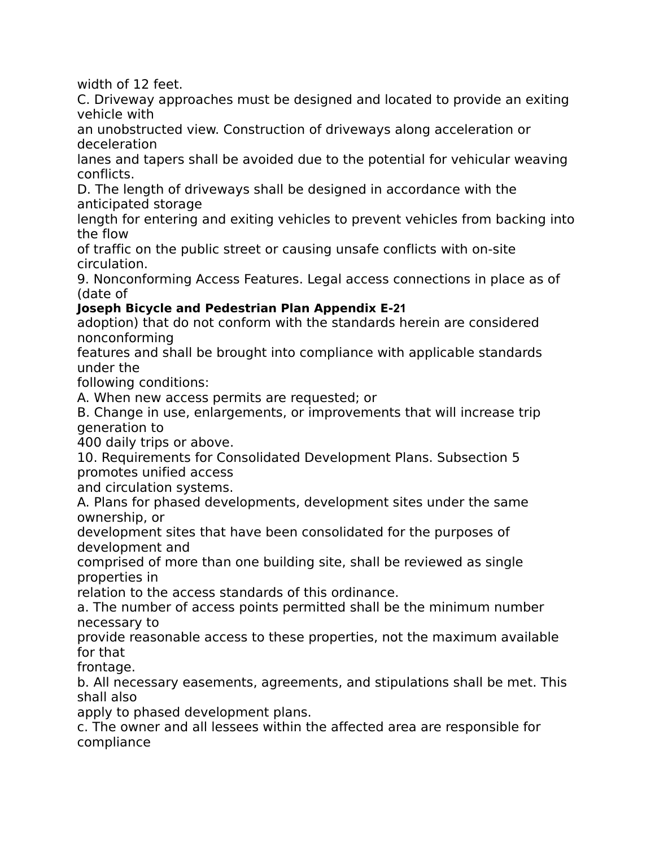width of 12 feet.

C. Driveway approaches must be designed and located to provide an exiting vehicle with

an unobstructed view. Construction of driveways along acceleration or deceleration

lanes and tapers shall be avoided due to the potential for vehicular weaving conflicts.

D. The length of driveways shall be designed in accordance with the anticipated storage

length for entering and exiting vehicles to prevent vehicles from backing into the flow

of traffic on the public street or causing unsafe conflicts with on-site circulation.

9. Nonconforming Access Features. Legal access connections in place as of (date of

# **Joseph Bicycle and Pedestrian Plan Appendix E‐21**

adoption) that do not conform with the standards herein are considered nonconforming

features and shall be brought into compliance with applicable standards under the

following conditions:

A. When new access permits are requested; or

B. Change in use, enlargements, or improvements that will increase trip generation to

400 daily trips or above.

10. Requirements for Consolidated Development Plans. Subsection 5 promotes unified access

and circulation systems.

A. Plans for phased developments, development sites under the same ownership, or

development sites that have been consolidated for the purposes of development and

comprised of more than one building site, shall be reviewed as single properties in

relation to the access standards of this ordinance.

a. The number of access points permitted shall be the minimum number necessary to

provide reasonable access to these properties, not the maximum available for that

frontage.

b. All necessary easements, agreements, and stipulations shall be met. This shall also

apply to phased development plans.

c. The owner and all lessees within the affected area are responsible for compliance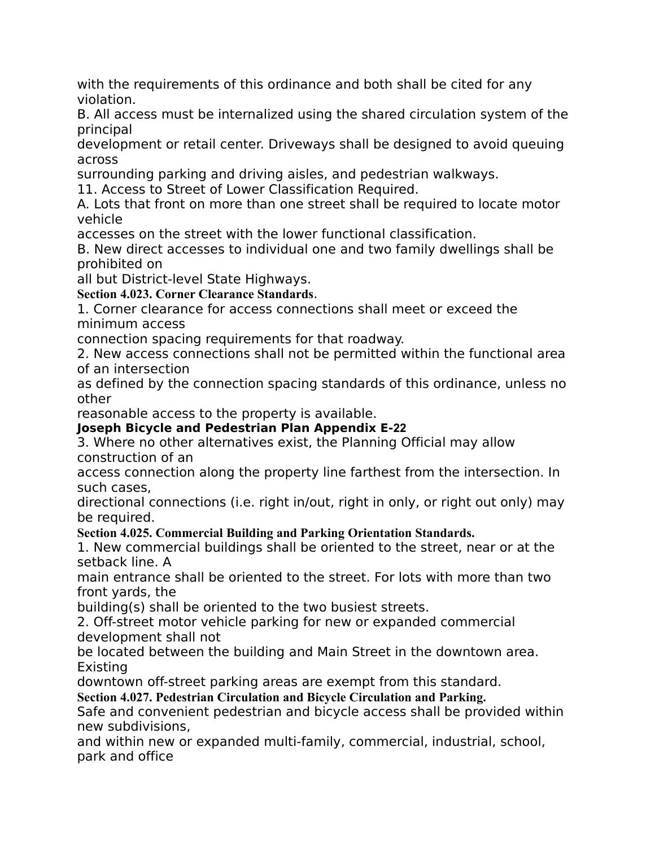with the requirements of this ordinance and both shall be cited for any violation.

B. All access must be internalized using the shared circulation system of the principal

development or retail center. Driveways shall be designed to avoid queuing across

surrounding parking and driving aisles, and pedestrian walkways.

11. Access to Street of Lower Classification Required.

A. Lots that front on more than one street shall be required to locate motor vehicle

accesses on the street with the lower functional classification.

B. New direct accesses to individual one and two family dwellings shall be prohibited on

all but District-level State Highways.

**Section 4.023. Corner Clearance Standards**.

1. Corner clearance for access connections shall meet or exceed the minimum access

connection spacing requirements for that roadway.

2. New access connections shall not be permitted within the functional area of an intersection

as defined by the connection spacing standards of this ordinance, unless no other

reasonable access to the property is available.

# **Joseph Bicycle and Pedestrian Plan Appendix E‐22**

3. Where no other alternatives exist, the Planning Official may allow construction of an

access connection along the property line farthest from the intersection. In such cases,

directional connections (i.e. right in/out, right in only, or right out only) may be required.

# **Section 4.025. Commercial Building and Parking Orientation Standards.**

1. New commercial buildings shall be oriented to the street, near or at the setback line. A

main entrance shall be oriented to the street. For lots with more than two front yards, the

building(s) shall be oriented to the two busiest streets.

2. Off-street motor vehicle parking for new or expanded commercial development shall not

be located between the building and Main Street in the downtown area. Existing

downtown off-street parking areas are exempt from this standard.

**Section 4.027. Pedestrian Circulation and Bicycle Circulation and Parking.**

Safe and convenient pedestrian and bicycle access shall be provided within new subdivisions,

and within new or expanded multi-family, commercial, industrial, school, park and office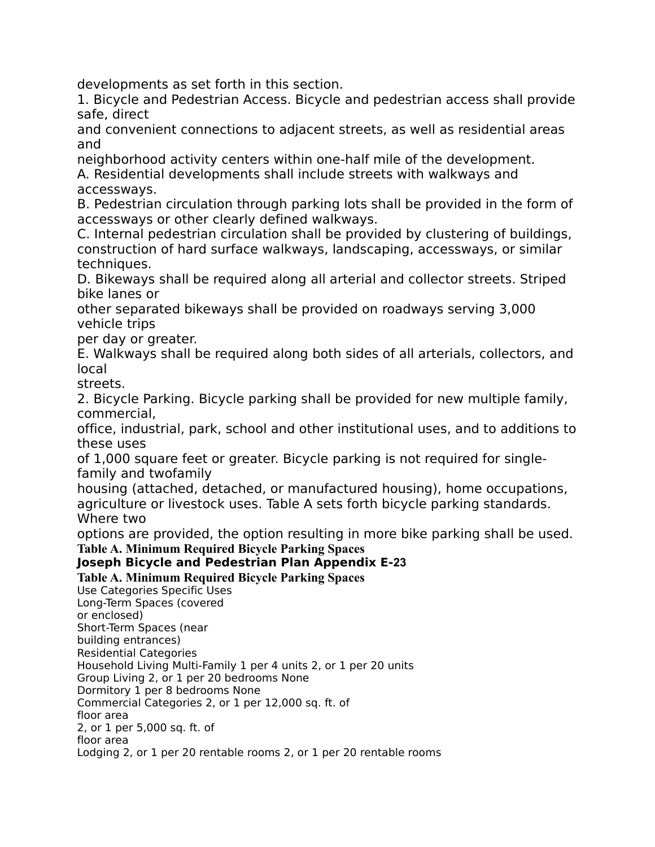developments as set forth in this section.

1. Bicycle and Pedestrian Access. Bicycle and pedestrian access shall provide safe, direct

and convenient connections to adjacent streets, as well as residential areas and

neighborhood activity centers within one-half mile of the development.

A. Residential developments shall include streets with walkways and accessways.

B. Pedestrian circulation through parking lots shall be provided in the form of accessways or other clearly defined walkways.

C. Internal pedestrian circulation shall be provided by clustering of buildings, construction of hard surface walkways, landscaping, accessways, or similar techniques.

D. Bikeways shall be required along all arterial and collector streets. Striped bike lanes or

other separated bikeways shall be provided on roadways serving 3,000 vehicle trips

per day or greater.

E. Walkways shall be required along both sides of all arterials, collectors, and local

streets.

2. Bicycle Parking. Bicycle parking shall be provided for new multiple family, commercial,

office, industrial, park, school and other institutional uses, and to additions to these uses

of 1,000 square feet or greater. Bicycle parking is not required for singlefamily and twofamily

housing (attached, detached, or manufactured housing), home occupations, agriculture or livestock uses. Table A sets forth bicycle parking standards. Where two

options are provided, the option resulting in more bike parking shall be used.

**Table A. Minimum Required Bicycle Parking Spaces**

#### **Joseph Bicycle and Pedestrian Plan Appendix E‐23**

#### **Table A. Minimum Required Bicycle Parking Spaces**

Use Categories Specific Uses Long-Term Spaces (covered or enclosed) Short-Term Spaces (near building entrances) Residential Categories Household Living Multi-Family 1 per 4 units 2, or 1 per 20 units Group Living 2, or 1 per 20 bedrooms None Dormitory 1 per 8 bedrooms None Commercial Categories 2, or 1 per 12,000 sq. ft. of floor area 2, or 1 per 5,000 sq. ft. of floor area Lodging 2, or 1 per 20 rentable rooms 2, or 1 per 20 rentable rooms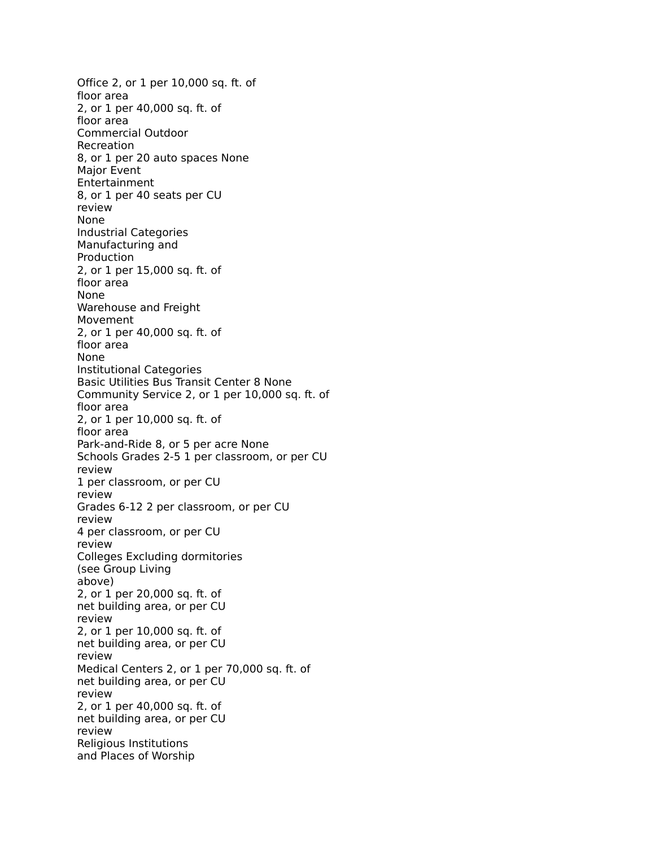Office 2, or 1 per 10,000 sq. ft. of floor area 2, or 1 per 40,000 sq. ft. of floor area Commercial Outdoor Recreation 8, or 1 per 20 auto spaces None Major Event Entertainment 8, or 1 per 40 seats per CU review None Industrial Categories Manufacturing and Production 2, or 1 per 15,000 sq. ft. of floor area None Warehouse and Freight Movement 2, or 1 per 40,000 sq. ft. of floor area None Institutional Categories Basic Utilities Bus Transit Center 8 None Community Service 2, or 1 per 10,000 sq. ft. of floor area 2, or 1 per 10,000 sq. ft. of floor area Park-and-Ride 8, or 5 per acre None Schools Grades 2-5 1 per classroom, or per CU review 1 per classroom, or per CU review Grades 6-12 2 per classroom, or per CU review 4 per classroom, or per CU review Colleges Excluding dormitories (see Group Living above) 2, or 1 per 20,000 sq. ft. of net building area, or per CU review 2, or 1 per 10,000 sq. ft. of net building area, or per CU review Medical Centers 2, or 1 per 70,000 sq. ft. of net building area, or per CU review 2, or 1 per 40,000 sq. ft. of net building area, or per CU review Religious Institutions and Places of Worship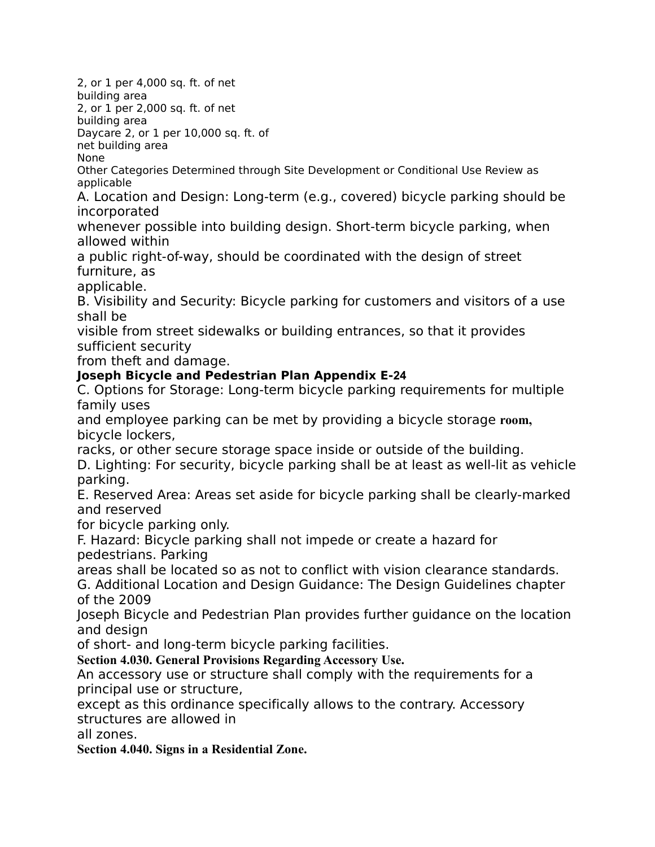2, or 1 per 4,000 sq. ft. of net

building area

2, or 1 per 2,000 sq. ft. of net

building area

Daycare 2, or 1 per 10,000 sq. ft. of

net building area None

Other Categories Determined through Site Development or Conditional Use Review as applicable

A. Location and Design: Long-term (e.g., covered) bicycle parking should be incorporated

whenever possible into building design. Short-term bicycle parking, when allowed within

a public right-of-way, should be coordinated with the design of street furniture, as

applicable.

B. Visibility and Security: Bicycle parking for customers and visitors of a use shall be

visible from street sidewalks or building entrances, so that it provides sufficient security

from theft and damage.

## **Joseph Bicycle and Pedestrian Plan Appendix E‐24**

C. Options for Storage: Long-term bicycle parking requirements for multiple family uses

and employee parking can be met by providing a bicycle storage **room,** bicycle lockers,

racks, or other secure storage space inside or outside of the building.

D. Lighting: For security, bicycle parking shall be at least as well-lit as vehicle parking.

E. Reserved Area: Areas set aside for bicycle parking shall be clearly-marked and reserved

for bicycle parking only.

F. Hazard: Bicycle parking shall not impede or create a hazard for pedestrians. Parking

areas shall be located so as not to conflict with vision clearance standards.

G. Additional Location and Design Guidance: The Design Guidelines chapter of the 2009

Joseph Bicycle and Pedestrian Plan provides further guidance on the location and design

of short- and long-term bicycle parking facilities.

**Section 4.030. General Provisions Regarding Accessory Use.**

An accessory use or structure shall comply with the requirements for a principal use or structure,

except as this ordinance specifically allows to the contrary. Accessory structures are allowed in

all zones.

**Section 4.040. Signs in a Residential Zone.**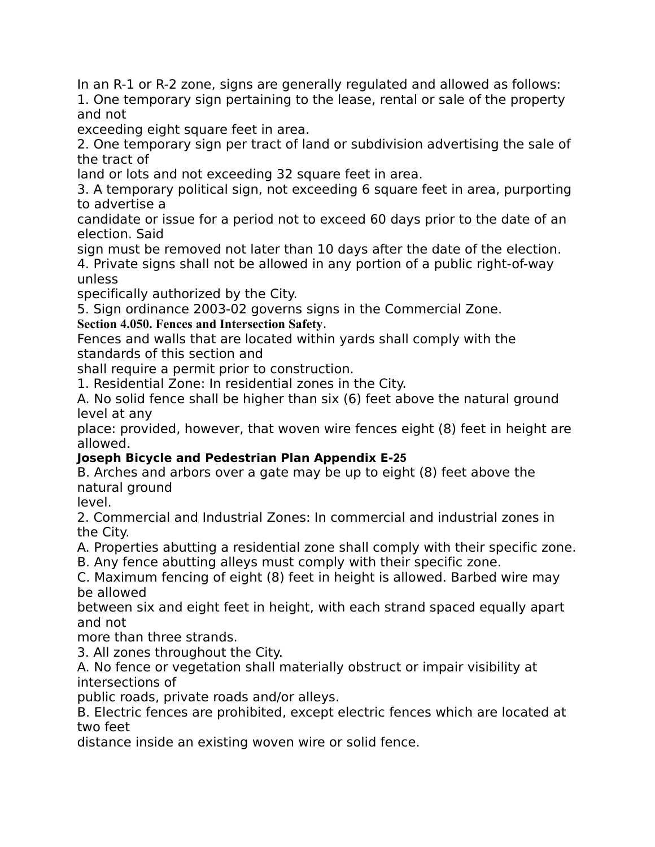In an R-1 or R-2 zone, signs are generally regulated and allowed as follows: 1. One temporary sign pertaining to the lease, rental or sale of the property and not

exceeding eight square feet in area.

2. One temporary sign per tract of land or subdivision advertising the sale of the tract of

land or lots and not exceeding 32 square feet in area.

3. A temporary political sign, not exceeding 6 square feet in area, purporting to advertise a

candidate or issue for a period not to exceed 60 days prior to the date of an election. Said

sign must be removed not later than 10 days after the date of the election. 4. Private signs shall not be allowed in any portion of a public right-of-way

unless

specifically authorized by the City.

5. Sign ordinance 2003-02 governs signs in the Commercial Zone.

# **Section 4.050. Fences and Intersection Safety**.

Fences and walls that are located within yards shall comply with the standards of this section and

shall require a permit prior to construction.

1. Residential Zone: In residential zones in the City.

A. No solid fence shall be higher than six (6) feet above the natural ground level at any

place: provided, however, that woven wire fences eight (8) feet in height are allowed.

# **Joseph Bicycle and Pedestrian Plan Appendix E‐25**

B. Arches and arbors over a gate may be up to eight (8) feet above the natural ground

level.

2. Commercial and Industrial Zones: In commercial and industrial zones in the City.

A. Properties abutting a residential zone shall comply with their specific zone.

B. Any fence abutting alleys must comply with their specific zone.

C. Maximum fencing of eight (8) feet in height is allowed. Barbed wire may be allowed

between six and eight feet in height, with each strand spaced equally apart and not

more than three strands.

3. All zones throughout the City.

A. No fence or vegetation shall materially obstruct or impair visibility at intersections of

public roads, private roads and/or alleys.

B. Electric fences are prohibited, except electric fences which are located at two feet

distance inside an existing woven wire or solid fence.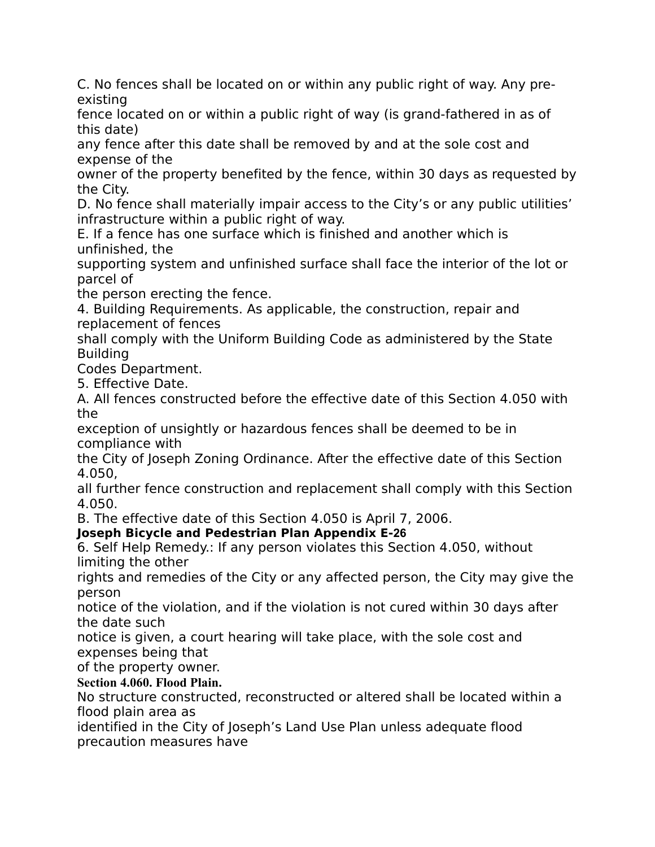C. No fences shall be located on or within any public right of way. Any preexisting

fence located on or within a public right of way (is grand-fathered in as of this date)

any fence after this date shall be removed by and at the sole cost and expense of the

owner of the property benefited by the fence, within 30 days as requested by the City.

D. No fence shall materially impair access to the City's or any public utilities' infrastructure within a public right of way.

E. If a fence has one surface which is finished and another which is unfinished, the

supporting system and unfinished surface shall face the interior of the lot or parcel of

the person erecting the fence.

4. Building Requirements. As applicable, the construction, repair and replacement of fences

shall comply with the Uniform Building Code as administered by the State Building

Codes Department.

5. Effective Date.

A. All fences constructed before the effective date of this Section 4.050 with the

exception of unsightly or hazardous fences shall be deemed to be in compliance with

the City of Joseph Zoning Ordinance. After the effective date of this Section 4.050,

all further fence construction and replacement shall comply with this Section 4.050.

B. The effective date of this Section 4.050 is April 7, 2006.

**Joseph Bicycle and Pedestrian Plan Appendix E‐26**

6. Self Help Remedy.: If any person violates this Section 4.050, without limiting the other

rights and remedies of the City or any affected person, the City may give the person

notice of the violation, and if the violation is not cured within 30 days after the date such

notice is given, a court hearing will take place, with the sole cost and expenses being that

of the property owner.

# **Section 4.060. Flood Plain.**

No structure constructed, reconstructed or altered shall be located within a flood plain area as

identified in the City of Joseph's Land Use Plan unless adequate flood precaution measures have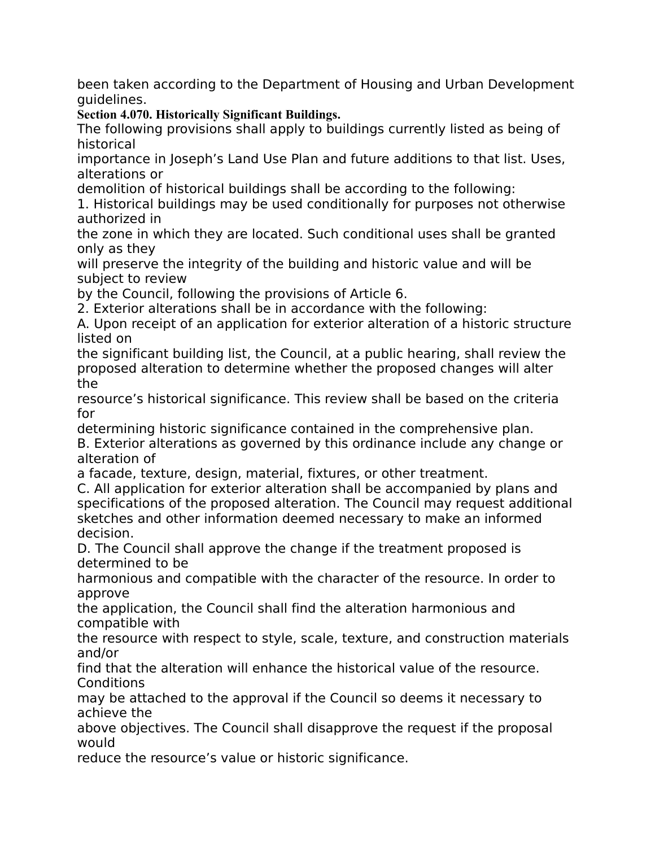been taken according to the Department of Housing and Urban Development guidelines.

**Section 4.070. Historically Significant Buildings.**

The following provisions shall apply to buildings currently listed as being of historical

importance in Joseph's Land Use Plan and future additions to that list. Uses, alterations or

demolition of historical buildings shall be according to the following:

1. Historical buildings may be used conditionally for purposes not otherwise authorized in

the zone in which they are located. Such conditional uses shall be granted only as they

will preserve the integrity of the building and historic value and will be subject to review

by the Council, following the provisions of Article 6.

2. Exterior alterations shall be in accordance with the following:

A. Upon receipt of an application for exterior alteration of a historic structure listed on

the significant building list, the Council, at a public hearing, shall review the proposed alteration to determine whether the proposed changes will alter the

resource's historical significance. This review shall be based on the criteria for

determining historic significance contained in the comprehensive plan. B. Exterior alterations as governed by this ordinance include any change or alteration of

a facade, texture, design, material, fixtures, or other treatment.

C. All application for exterior alteration shall be accompanied by plans and specifications of the proposed alteration. The Council may request additional sketches and other information deemed necessary to make an informed decision.

D. The Council shall approve the change if the treatment proposed is determined to be

harmonious and compatible with the character of the resource. In order to approve

the application, the Council shall find the alteration harmonious and compatible with

the resource with respect to style, scale, texture, and construction materials and/or

find that the alteration will enhance the historical value of the resource. **Conditions** 

may be attached to the approval if the Council so deems it necessary to achieve the

above objectives. The Council shall disapprove the request if the proposal would

reduce the resource's value or historic significance.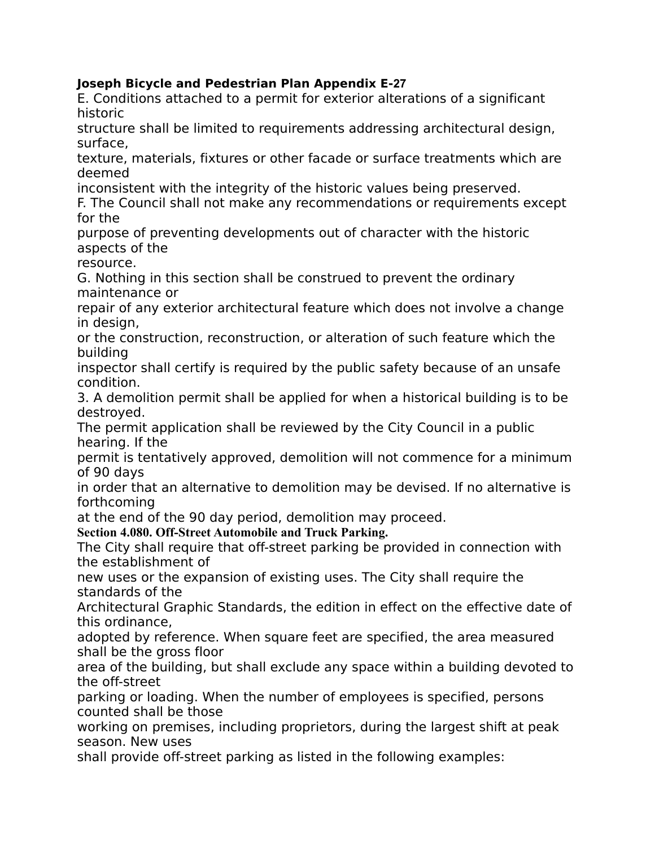# **Joseph Bicycle and Pedestrian Plan Appendix E‐27**

E. Conditions attached to a permit for exterior alterations of a significant historic

structure shall be limited to requirements addressing architectural design, surface,

texture, materials, fixtures or other facade or surface treatments which are deemed

inconsistent with the integrity of the historic values being preserved.

F. The Council shall not make any recommendations or requirements except for the

purpose of preventing developments out of character with the historic aspects of the

resource.

G. Nothing in this section shall be construed to prevent the ordinary maintenance or

repair of any exterior architectural feature which does not involve a change in design,

or the construction, reconstruction, or alteration of such feature which the building

inspector shall certify is required by the public safety because of an unsafe condition.

3. A demolition permit shall be applied for when a historical building is to be destroyed.

The permit application shall be reviewed by the City Council in a public hearing. If the

permit is tentatively approved, demolition will not commence for a minimum of 90 days

in order that an alternative to demolition may be devised. If no alternative is forthcoming

at the end of the 90 day period, demolition may proceed.

**Section 4.080. Off-Street Automobile and Truck Parking.**

The City shall require that off-street parking be provided in connection with the establishment of

new uses or the expansion of existing uses. The City shall require the standards of the

Architectural Graphic Standards, the edition in effect on the effective date of this ordinance,

adopted by reference. When square feet are specified, the area measured shall be the gross floor

area of the building, but shall exclude any space within a building devoted to the off-street

parking or loading. When the number of employees is specified, persons counted shall be those

working on premises, including proprietors, during the largest shift at peak season. New uses

shall provide off-street parking as listed in the following examples: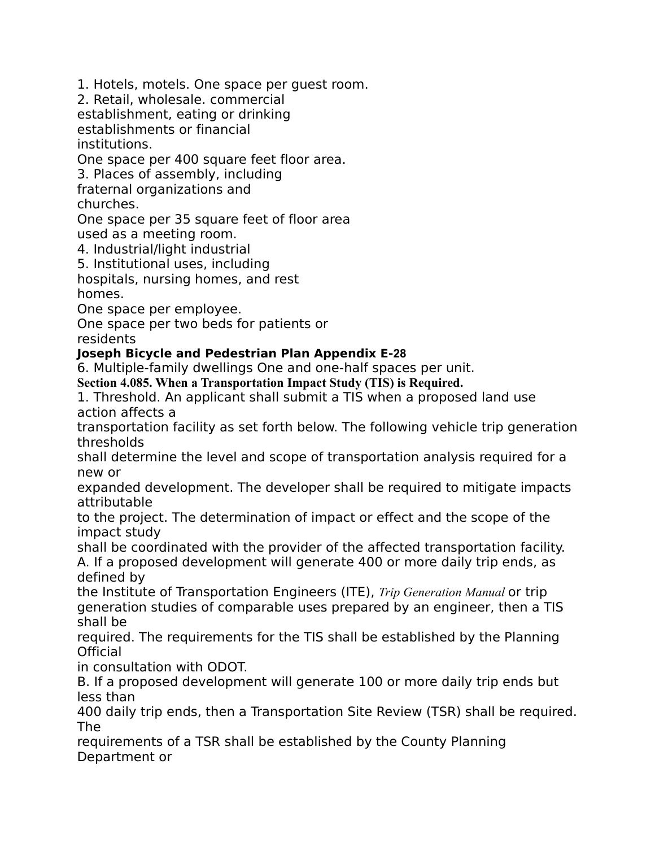1. Hotels, motels. One space per guest room.

2. Retail, wholesale. commercial

establishment, eating or drinking

establishments or financial institutions.

One space per 400 square feet floor area.

3. Places of assembly, including

fraternal organizations and churches.

One space per 35 square feet of floor area used as a meeting room.

4. Industrial/light industrial

5. Institutional uses, including

hospitals, nursing homes, and rest homes.

One space per employee.

One space per two beds for patients or

residents

**Joseph Bicycle and Pedestrian Plan Appendix E‐28**

6. Multiple-family dwellings One and one-half spaces per unit.

**Section 4.085. When a Transportation Impact Study (TIS) is Required.**

1. Threshold. An applicant shall submit a TIS when a proposed land use action affects a

transportation facility as set forth below. The following vehicle trip generation thresholds

shall determine the level and scope of transportation analysis required for a new or

expanded development. The developer shall be required to mitigate impacts attributable

to the project. The determination of impact or effect and the scope of the impact study

shall be coordinated with the provider of the affected transportation facility. A. If a proposed development will generate 400 or more daily trip ends, as defined by

the Institute of Transportation Engineers (ITE), *Trip Generation Manual* or trip generation studies of comparable uses prepared by an engineer, then a TIS shall be

required. The requirements for the TIS shall be established by the Planning Official

in consultation with ODOT.

B. If a proposed development will generate 100 or more daily trip ends but less than

400 daily trip ends, then a Transportation Site Review (TSR) shall be required. The

requirements of a TSR shall be established by the County Planning Department or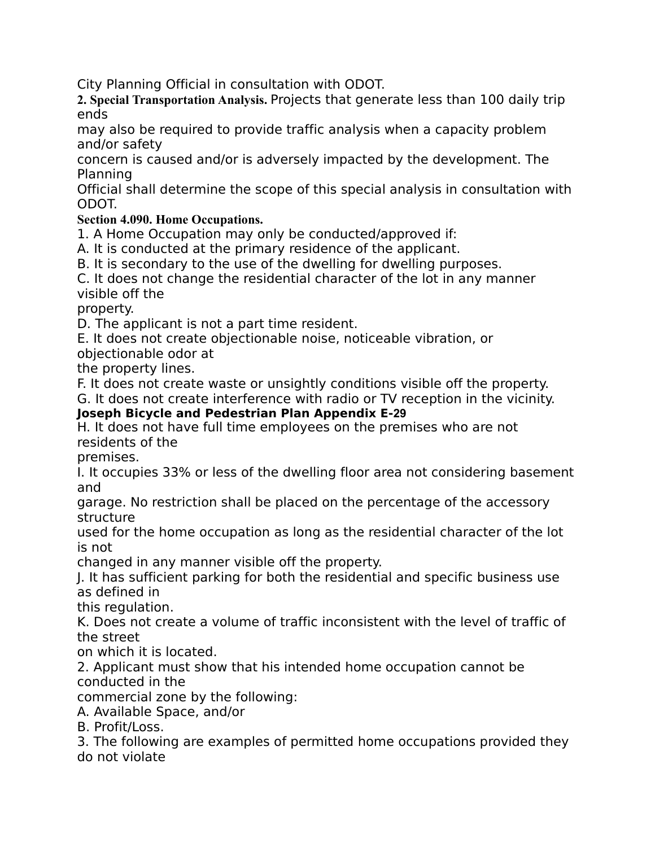City Planning Official in consultation with ODOT.

**2. Special Transportation Analysis.** Projects that generate less than 100 daily trip ends

may also be required to provide traffic analysis when a capacity problem and/or safety

concern is caused and/or is adversely impacted by the development. The Planning

Official shall determine the scope of this special analysis in consultation with ODOT.

# **Section 4.090. Home Occupations.**

1. A Home Occupation may only be conducted/approved if:

A. It is conducted at the primary residence of the applicant.

B. It is secondary to the use of the dwelling for dwelling purposes.

C. It does not change the residential character of the lot in any manner visible off the

property.

D. The applicant is not a part time resident.

E. It does not create objectionable noise, noticeable vibration, or

objectionable odor at

the property lines.

F. It does not create waste or unsightly conditions visible off the property.

G. It does not create interference with radio or TV reception in the vicinity.

# **Joseph Bicycle and Pedestrian Plan Appendix E‐29**

H. It does not have full time employees on the premises who are not residents of the

premises.

I. It occupies 33% or less of the dwelling floor area not considering basement and

garage. No restriction shall be placed on the percentage of the accessory structure

used for the home occupation as long as the residential character of the lot is not

changed in any manner visible off the property.

J. It has sufficient parking for both the residential and specific business use as defined in

this regulation.

K. Does not create a volume of traffic inconsistent with the level of traffic of the street

on which it is located.

2. Applicant must show that his intended home occupation cannot be conducted in the

commercial zone by the following:

A. Available Space, and/or

B. Profit/Loss.

3. The following are examples of permitted home occupations provided they do not violate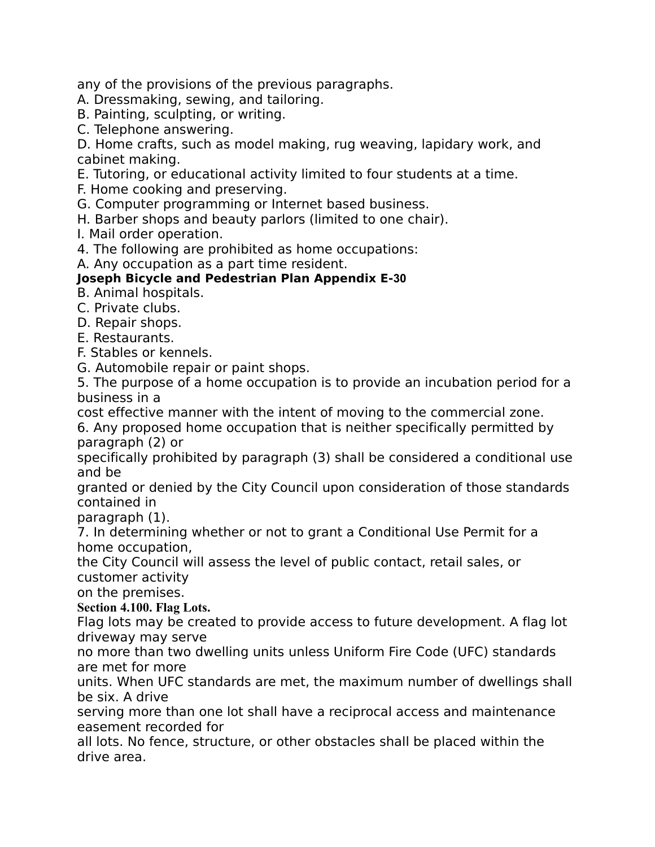any of the provisions of the previous paragraphs.

A. Dressmaking, sewing, and tailoring.

- B. Painting, sculpting, or writing.
- C. Telephone answering.

D. Home crafts, such as model making, rug weaving, lapidary work, and cabinet making.

E. Tutoring, or educational activity limited to four students at a time.

F. Home cooking and preserving.

G. Computer programming or Internet based business.

- H. Barber shops and beauty parlors (limited to one chair).
- I. Mail order operation.

4. The following are prohibited as home occupations:

A. Any occupation as a part time resident.

# **Joseph Bicycle and Pedestrian Plan Appendix E‐30**

B. Animal hospitals.

C. Private clubs.

D. Repair shops.

E. Restaurants.

F. Stables or kennels.

G. Automobile repair or paint shops.

5. The purpose of a home occupation is to provide an incubation period for a business in a

cost effective manner with the intent of moving to the commercial zone.

6. Any proposed home occupation that is neither specifically permitted by paragraph (2) or

specifically prohibited by paragraph (3) shall be considered a conditional use and be

granted or denied by the City Council upon consideration of those standards contained in

paragraph (1).

7. In determining whether or not to grant a Conditional Use Permit for a home occupation,

the City Council will assess the level of public contact, retail sales, or customer activity

on the premises.

#### **Section 4.100. Flag Lots.**

Flag lots may be created to provide access to future development. A flag lot driveway may serve

no more than two dwelling units unless Uniform Fire Code (UFC) standards are met for more

units. When UFC standards are met, the maximum number of dwellings shall be six. A drive

serving more than one lot shall have a reciprocal access and maintenance easement recorded for

all lots. No fence, structure, or other obstacles shall be placed within the drive area.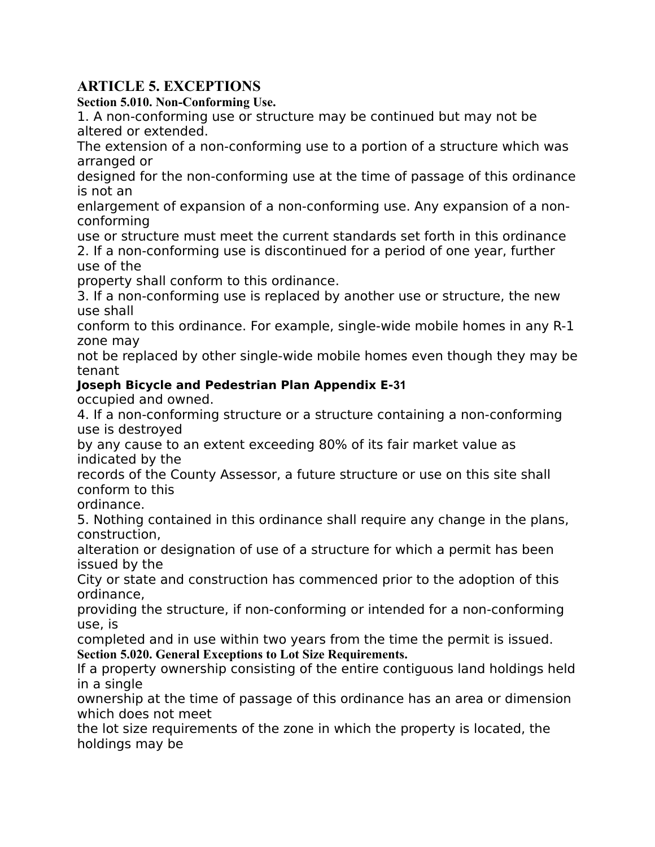# **ARTICLE 5. EXCEPTIONS**

**Section 5.010. Non-Conforming Use.**

1. A non-conforming use or structure may be continued but may not be altered or extended.

The extension of a non-conforming use to a portion of a structure which was arranged or

designed for the non-conforming use at the time of passage of this ordinance is not an

enlargement of expansion of a non-conforming use. Any expansion of a nonconforming

use or structure must meet the current standards set forth in this ordinance 2. If a non-conforming use is discontinued for a period of one year, further use of the

property shall conform to this ordinance.

3. If a non-conforming use is replaced by another use or structure, the new use shall

conform to this ordinance. For example, single-wide mobile homes in any R-1 zone may

not be replaced by other single-wide mobile homes even though they may be tenant

# **Joseph Bicycle and Pedestrian Plan Appendix E‐31**

occupied and owned.

4. If a non-conforming structure or a structure containing a non-conforming use is destroyed

by any cause to an extent exceeding 80% of its fair market value as indicated by the

records of the County Assessor, a future structure or use on this site shall conform to this

ordinance.

5. Nothing contained in this ordinance shall require any change in the plans, construction,

alteration or designation of use of a structure for which a permit has been issued by the

City or state and construction has commenced prior to the adoption of this ordinance,

providing the structure, if non-conforming or intended for a non-conforming use, is

completed and in use within two years from the time the permit is issued. **Section 5.020. General Exceptions to Lot Size Requirements.**

If a property ownership consisting of the entire contiguous land holdings held in a single

ownership at the time of passage of this ordinance has an area or dimension which does not meet

the lot size requirements of the zone in which the property is located, the holdings may be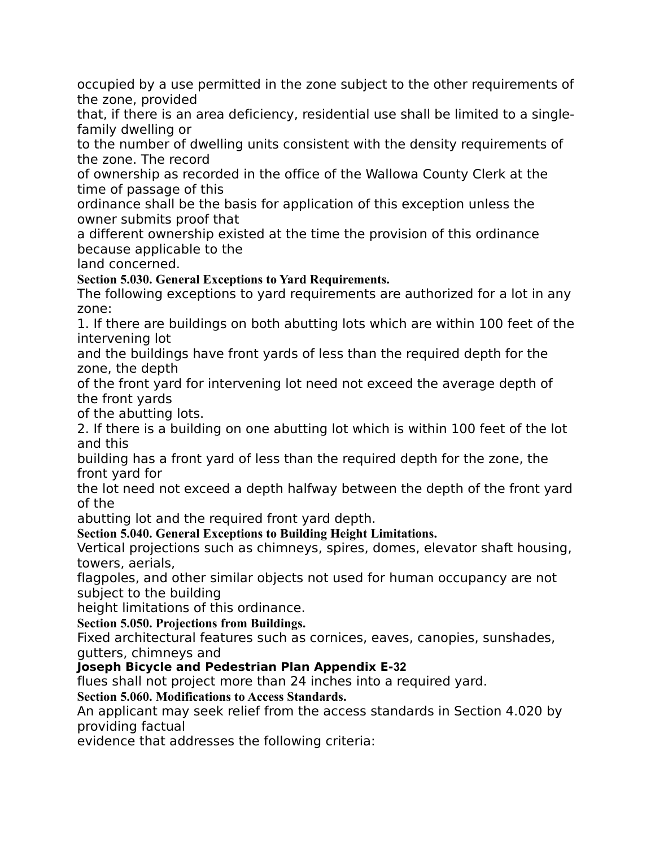occupied by a use permitted in the zone subject to the other requirements of the zone, provided

that, if there is an area deficiency, residential use shall be limited to a singlefamily dwelling or

to the number of dwelling units consistent with the density requirements of the zone. The record

of ownership as recorded in the office of the Wallowa County Clerk at the time of passage of this

ordinance shall be the basis for application of this exception unless the owner submits proof that

a different ownership existed at the time the provision of this ordinance because applicable to the

land concerned.

**Section 5.030. General Exceptions to Yard Requirements.**

The following exceptions to yard requirements are authorized for a lot in any zone:

1. If there are buildings on both abutting lots which are within 100 feet of the intervening lot

and the buildings have front yards of less than the required depth for the zone, the depth

of the front yard for intervening lot need not exceed the average depth of the front yards

of the abutting lots.

2. If there is a building on one abutting lot which is within 100 feet of the lot and this

building has a front yard of less than the required depth for the zone, the front yard for

the lot need not exceed a depth halfway between the depth of the front yard of the

abutting lot and the required front yard depth.

**Section 5.040. General Exceptions to Building Height Limitations.**

Vertical projections such as chimneys, spires, domes, elevator shaft housing, towers, aerials,

flagpoles, and other similar objects not used for human occupancy are not subject to the building

height limitations of this ordinance.

**Section 5.050. Projections from Buildings.**

Fixed architectural features such as cornices, eaves, canopies, sunshades, gutters, chimneys and

# **Joseph Bicycle and Pedestrian Plan Appendix E‐32**

flues shall not project more than 24 inches into a required yard.

**Section 5.060. Modifications to Access Standards.**

An applicant may seek relief from the access standards in Section 4.020 by providing factual

evidence that addresses the following criteria: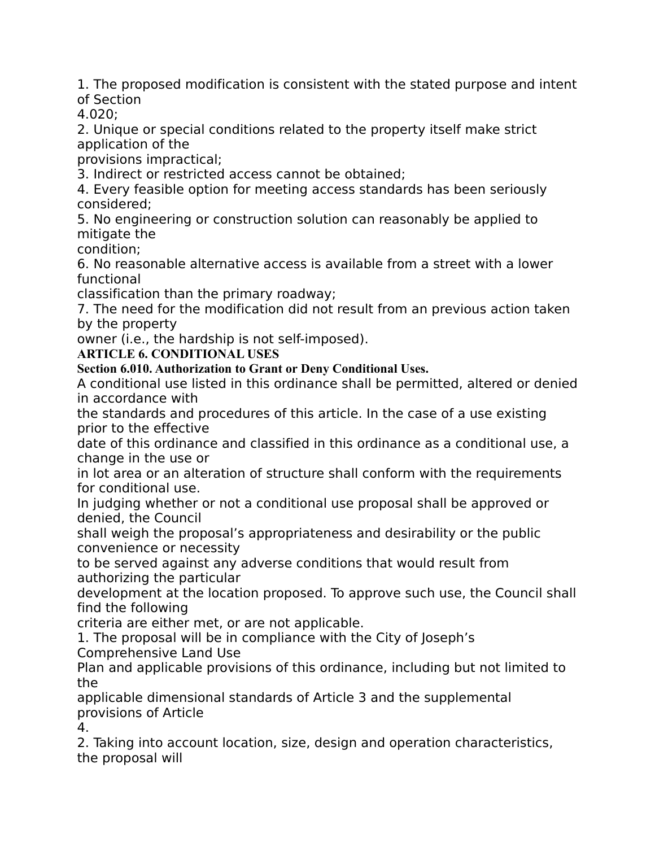1. The proposed modification is consistent with the stated purpose and intent of Section

4.020;

2. Unique or special conditions related to the property itself make strict application of the

provisions impractical;

3. Indirect or restricted access cannot be obtained;

4. Every feasible option for meeting access standards has been seriously considered;

5. No engineering or construction solution can reasonably be applied to mitigate the

condition;

6. No reasonable alternative access is available from a street with a lower functional

classification than the primary roadway;

7. The need for the modification did not result from an previous action taken by the property

owner (i.e., the hardship is not self-imposed).

**ARTICLE 6. CONDITIONAL USES**

**Section 6.010. Authorization to Grant or Deny Conditional Uses.**

A conditional use listed in this ordinance shall be permitted, altered or denied in accordance with

the standards and procedures of this article. In the case of a use existing prior to the effective

date of this ordinance and classified in this ordinance as a conditional use, a change in the use or

in lot area or an alteration of structure shall conform with the requirements for conditional use.

In judging whether or not a conditional use proposal shall be approved or denied, the Council

shall weigh the proposal's appropriateness and desirability or the public convenience or necessity

to be served against any adverse conditions that would result from authorizing the particular

development at the location proposed. To approve such use, the Council shall find the following

criteria are either met, or are not applicable.

1. The proposal will be in compliance with the City of Joseph's Comprehensive Land Use

Plan and applicable provisions of this ordinance, including but not limited to the

applicable dimensional standards of Article 3 and the supplemental provisions of Article

4.

2. Taking into account location, size, design and operation characteristics, the proposal will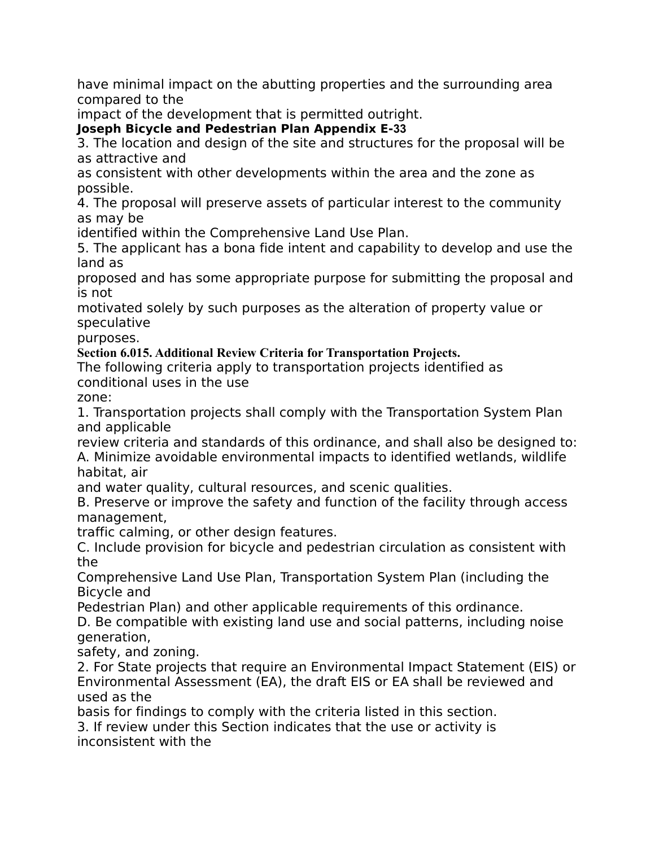have minimal impact on the abutting properties and the surrounding area compared to the

impact of the development that is permitted outright.

**Joseph Bicycle and Pedestrian Plan Appendix E‐33**

3. The location and design of the site and structures for the proposal will be as attractive and

as consistent with other developments within the area and the zone as possible.

4. The proposal will preserve assets of particular interest to the community as may be

identified within the Comprehensive Land Use Plan.

5. The applicant has a bona fide intent and capability to develop and use the land as

proposed and has some appropriate purpose for submitting the proposal and is not

motivated solely by such purposes as the alteration of property value or speculative

purposes.

**Section 6.015. Additional Review Criteria for Transportation Projects.**

The following criteria apply to transportation projects identified as conditional uses in the use

zone:

1. Transportation projects shall comply with the Transportation System Plan and applicable

review criteria and standards of this ordinance, and shall also be designed to: A. Minimize avoidable environmental impacts to identified wetlands, wildlife habitat, air

and water quality, cultural resources, and scenic qualities.

B. Preserve or improve the safety and function of the facility through access management,

traffic calming, or other design features.

C. Include provision for bicycle and pedestrian circulation as consistent with the

Comprehensive Land Use Plan, Transportation System Plan (including the Bicycle and

Pedestrian Plan) and other applicable requirements of this ordinance.

D. Be compatible with existing land use and social patterns, including noise generation,

safety, and zoning.

2. For State projects that require an Environmental Impact Statement (EIS) or Environmental Assessment (EA), the draft EIS or EA shall be reviewed and used as the

basis for findings to comply with the criteria listed in this section. 3. If review under this Section indicates that the use or activity is inconsistent with the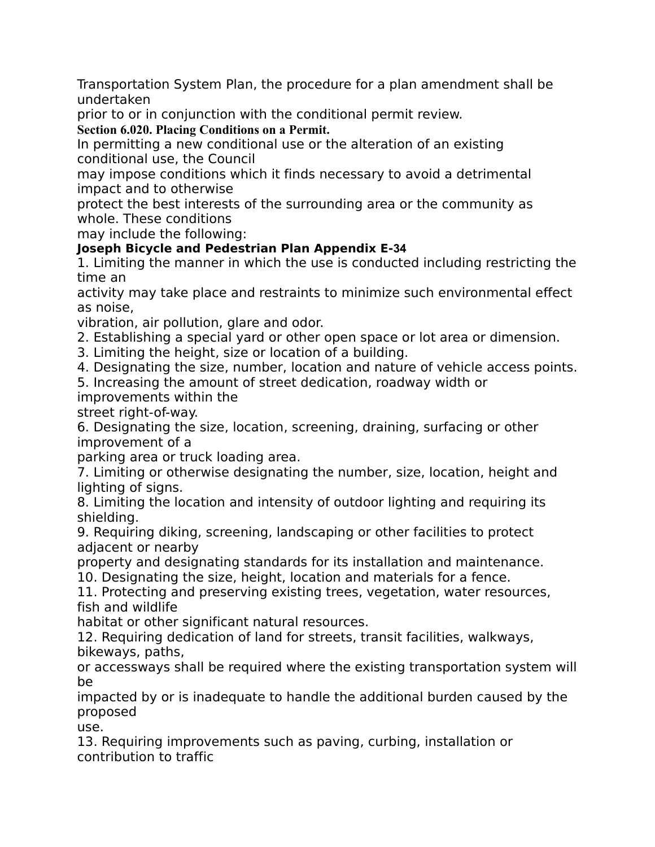Transportation System Plan, the procedure for a plan amendment shall be undertaken

prior to or in conjunction with the conditional permit review.

**Section 6.020. Placing Conditions on a Permit.**

In permitting a new conditional use or the alteration of an existing conditional use, the Council

may impose conditions which it finds necessary to avoid a detrimental impact and to otherwise

protect the best interests of the surrounding area or the community as whole. These conditions

may include the following:

# **Joseph Bicycle and Pedestrian Plan Appendix E‐34**

1. Limiting the manner in which the use is conducted including restricting the time an

activity may take place and restraints to minimize such environmental effect as noise,

vibration, air pollution, glare and odor.

2. Establishing a special yard or other open space or lot area or dimension.

3. Limiting the height, size or location of a building.

4. Designating the size, number, location and nature of vehicle access points.

5. Increasing the amount of street dedication, roadway width or improvements within the

street right-of-way.

6. Designating the size, location, screening, draining, surfacing or other improvement of a

parking area or truck loading area.

7. Limiting or otherwise designating the number, size, location, height and lighting of signs.

8. Limiting the location and intensity of outdoor lighting and requiring its shielding.

9. Requiring diking, screening, landscaping or other facilities to protect adjacent or nearby

property and designating standards for its installation and maintenance.

10. Designating the size, height, location and materials for a fence.

11. Protecting and preserving existing trees, vegetation, water resources, fish and wildlife

habitat or other significant natural resources.

12. Requiring dedication of land for streets, transit facilities, walkways, bikeways, paths,

or accessways shall be required where the existing transportation system will be

impacted by or is inadequate to handle the additional burden caused by the proposed

use.

13. Requiring improvements such as paving, curbing, installation or contribution to traffic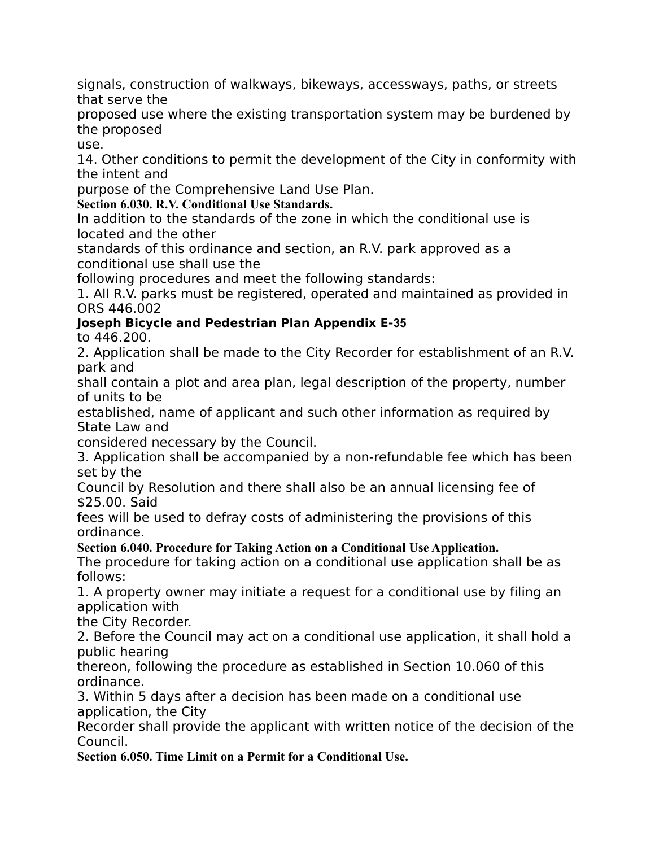signals, construction of walkways, bikeways, accessways, paths, or streets that serve the

proposed use where the existing transportation system may be burdened by the proposed

use.

14. Other conditions to permit the development of the City in conformity with the intent and

purpose of the Comprehensive Land Use Plan.

**Section 6.030. R.V. Conditional Use Standards.**

In addition to the standards of the zone in which the conditional use is located and the other

standards of this ordinance and section, an R.V. park approved as a conditional use shall use the

following procedures and meet the following standards:

1. All R.V. parks must be registered, operated and maintained as provided in ORS 446.002

# **Joseph Bicycle and Pedestrian Plan Appendix E‐35**

to 446.200.

2. Application shall be made to the City Recorder for establishment of an R.V. park and

shall contain a plot and area plan, legal description of the property, number of units to be

established, name of applicant and such other information as required by State Law and

considered necessary by the Council.

3. Application shall be accompanied by a non-refundable fee which has been set by the

Council by Resolution and there shall also be an annual licensing fee of \$25.00. Said

fees will be used to defray costs of administering the provisions of this ordinance.

**Section 6.040. Procedure for Taking Action on a Conditional Use Application.**

The procedure for taking action on a conditional use application shall be as follows:

1. A property owner may initiate a request for a conditional use by filing an application with

the City Recorder.

2. Before the Council may act on a conditional use application, it shall hold a public hearing

thereon, following the procedure as established in Section 10.060 of this ordinance.

3. Within 5 days after a decision has been made on a conditional use application, the City

Recorder shall provide the applicant with written notice of the decision of the Council.

**Section 6.050. Time Limit on a Permit for a Conditional Use.**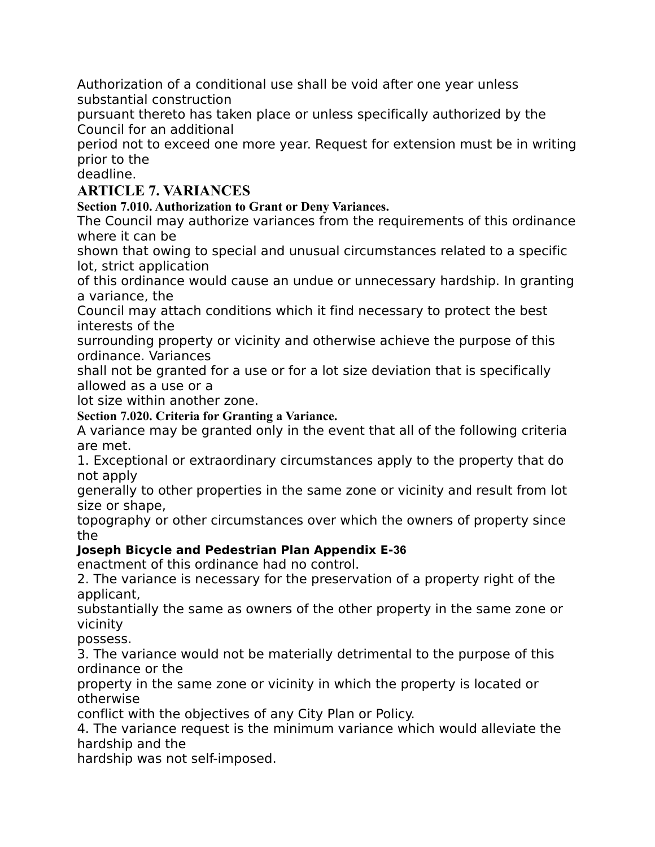Authorization of a conditional use shall be void after one year unless substantial construction

pursuant thereto has taken place or unless specifically authorized by the Council for an additional

period not to exceed one more year. Request for extension must be in writing prior to the

deadline.

# **ARTICLE 7. VARIANCES**

**Section 7.010. Authorization to Grant or Deny Variances.**

The Council may authorize variances from the requirements of this ordinance where it can be

shown that owing to special and unusual circumstances related to a specific lot, strict application

of this ordinance would cause an undue or unnecessary hardship. In granting a variance, the

Council may attach conditions which it find necessary to protect the best interests of the

surrounding property or vicinity and otherwise achieve the purpose of this ordinance. Variances

shall not be granted for a use or for a lot size deviation that is specifically allowed as a use or a

lot size within another zone.

**Section 7.020. Criteria for Granting a Variance.**

A variance may be granted only in the event that all of the following criteria are met.

1. Exceptional or extraordinary circumstances apply to the property that do not apply

generally to other properties in the same zone or vicinity and result from lot size or shape,

topography or other circumstances over which the owners of property since the

# **Joseph Bicycle and Pedestrian Plan Appendix E‐36**

enactment of this ordinance had no control.

2. The variance is necessary for the preservation of a property right of the applicant,

substantially the same as owners of the other property in the same zone or vicinity

possess.

3. The variance would not be materially detrimental to the purpose of this ordinance or the

property in the same zone or vicinity in which the property is located or otherwise

conflict with the objectives of any City Plan or Policy.

4. The variance request is the minimum variance which would alleviate the hardship and the

hardship was not self-imposed.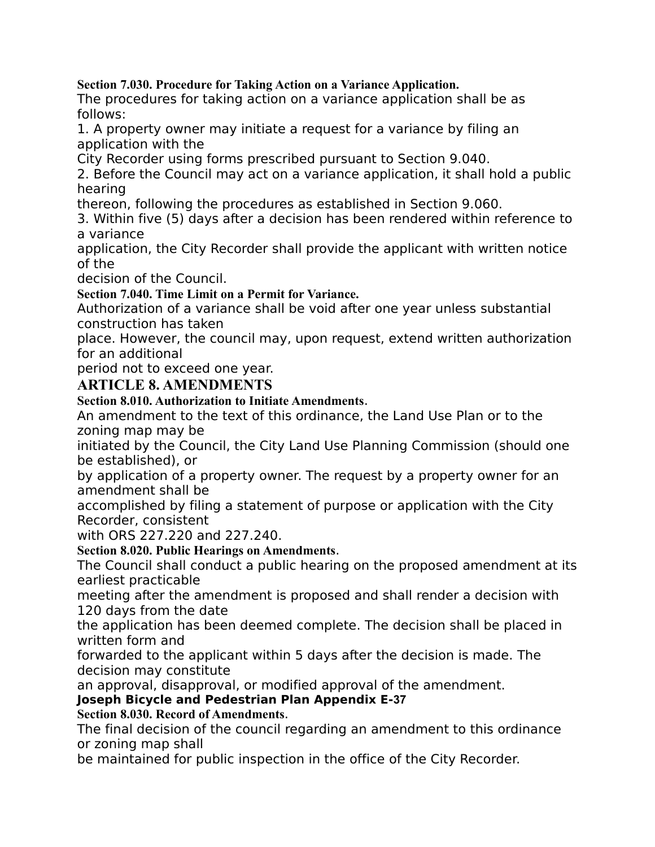**Section 7.030. Procedure for Taking Action on a Variance Application.**

The procedures for taking action on a variance application shall be as follows:

1. A property owner may initiate a request for a variance by filing an application with the

City Recorder using forms prescribed pursuant to Section 9.040.

2. Before the Council may act on a variance application, it shall hold a public hearing

thereon, following the procedures as established in Section 9.060.

3. Within five (5) days after a decision has been rendered within reference to a variance

application, the City Recorder shall provide the applicant with written notice of the

decision of the Council.

**Section 7.040. Time Limit on a Permit for Variance.**

Authorization of a variance shall be void after one year unless substantial construction has taken

place. However, the council may, upon request, extend written authorization for an additional

period not to exceed one year.

**ARTICLE 8. AMENDMENTS**

**Section 8.010. Authorization to Initiate Amendments**.

An amendment to the text of this ordinance, the Land Use Plan or to the zoning map may be

initiated by the Council, the City Land Use Planning Commission (should one be established), or

by application of a property owner. The request by a property owner for an amendment shall be

accomplished by filing a statement of purpose or application with the City Recorder, consistent

with ORS 227.220 and 227.240.

**Section 8.020. Public Hearings on Amendments**.

The Council shall conduct a public hearing on the proposed amendment at its earliest practicable

meeting after the amendment is proposed and shall render a decision with 120 days from the date

the application has been deemed complete. The decision shall be placed in written form and

forwarded to the applicant within 5 days after the decision is made. The decision may constitute

an approval, disapproval, or modified approval of the amendment.

**Joseph Bicycle and Pedestrian Plan Appendix E‐37**

**Section 8.030. Record of Amendments**.

The final decision of the council regarding an amendment to this ordinance or zoning map shall

be maintained for public inspection in the office of the City Recorder.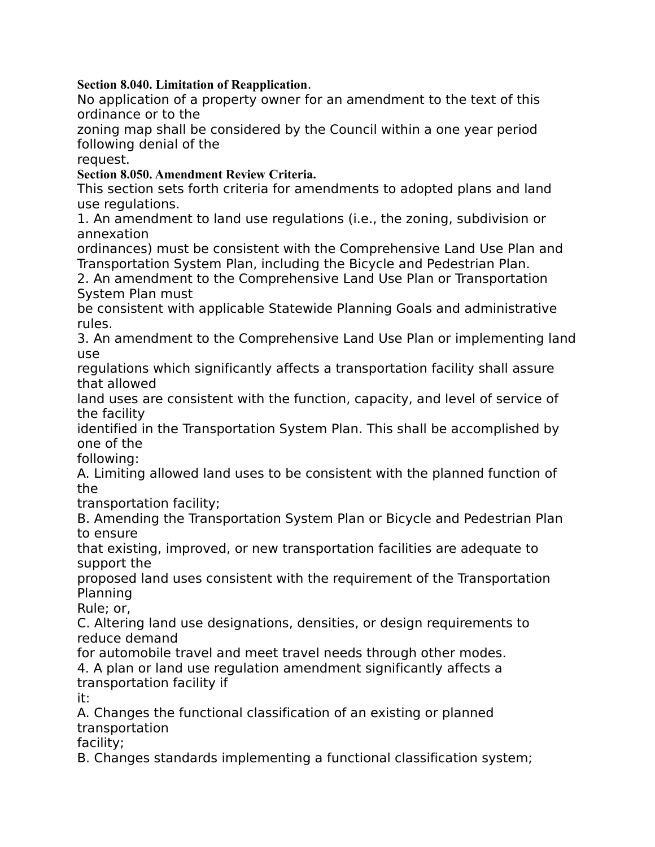**Section 8.040. Limitation of Reapplication**.

No application of a property owner for an amendment to the text of this ordinance or to the

zoning map shall be considered by the Council within a one year period following denial of the

request.

**Section 8.050. Amendment Review Criteria.**

This section sets forth criteria for amendments to adopted plans and land use regulations.

1. An amendment to land use regulations (i.e., the zoning, subdivision or annexation

ordinances) must be consistent with the Comprehensive Land Use Plan and Transportation System Plan, including the Bicycle and Pedestrian Plan.

2. An amendment to the Comprehensive Land Use Plan or Transportation System Plan must

be consistent with applicable Statewide Planning Goals and administrative rules.

3. An amendment to the Comprehensive Land Use Plan or implementing land use

regulations which significantly affects a transportation facility shall assure that allowed

land uses are consistent with the function, capacity, and level of service of the facility

identified in the Transportation System Plan. This shall be accomplished by one of the

following:

A. Limiting allowed land uses to be consistent with the planned function of the

transportation facility;

B. Amending the Transportation System Plan or Bicycle and Pedestrian Plan to ensure

that existing, improved, or new transportation facilities are adequate to support the

proposed land uses consistent with the requirement of the Transportation Planning

Rule; or,

C. Altering land use designations, densities, or design requirements to reduce demand

for automobile travel and meet travel needs through other modes.

4. A plan or land use regulation amendment significantly affects a transportation facility if

it:

A. Changes the functional classification of an existing or planned transportation

facility;

B. Changes standards implementing a functional classification system;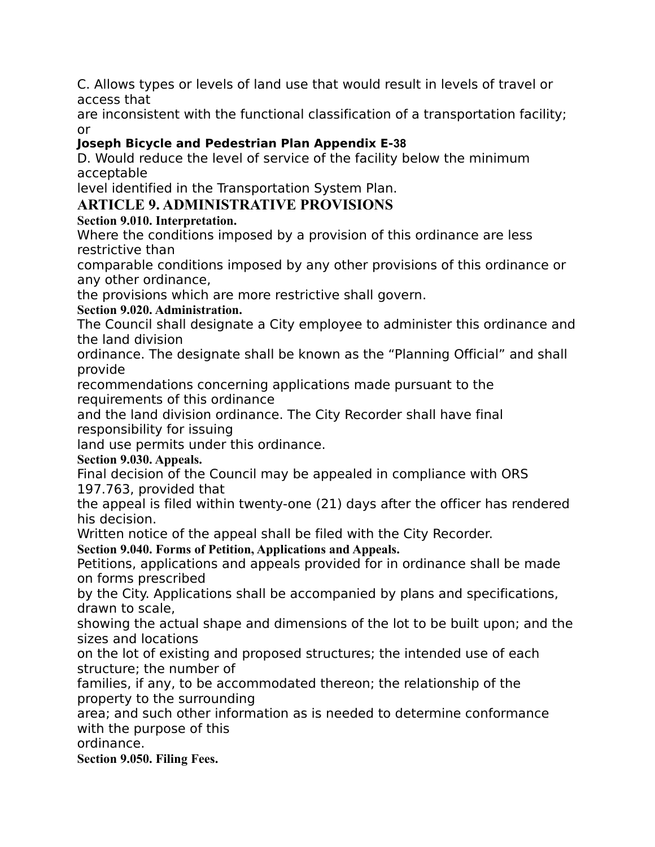C. Allows types or levels of land use that would result in levels of travel or access that

are inconsistent with the functional classification of a transportation facility; or

# **Joseph Bicycle and Pedestrian Plan Appendix E‐38**

D. Would reduce the level of service of the facility below the minimum acceptable

level identified in the Transportation System Plan.

# **ARTICLE 9. ADMINISTRATIVE PROVISIONS**

# **Section 9.010. Interpretation.**

Where the conditions imposed by a provision of this ordinance are less restrictive than

comparable conditions imposed by any other provisions of this ordinance or any other ordinance,

the provisions which are more restrictive shall govern.

# **Section 9.020. Administration.**

The Council shall designate a City employee to administer this ordinance and the land division

ordinance. The designate shall be known as the "Planning Official" and shall provide

recommendations concerning applications made pursuant to the requirements of this ordinance

and the land division ordinance. The City Recorder shall have final responsibility for issuing

land use permits under this ordinance.

# **Section 9.030. Appeals.**

Final decision of the Council may be appealed in compliance with ORS 197.763, provided that

the appeal is filed within twenty-one (21) days after the officer has rendered his decision.

Written notice of the appeal shall be filed with the City Recorder.

**Section 9.040. Forms of Petition, Applications and Appeals.**

Petitions, applications and appeals provided for in ordinance shall be made on forms prescribed

by the City. Applications shall be accompanied by plans and specifications, drawn to scale,

showing the actual shape and dimensions of the lot to be built upon; and the sizes and locations

on the lot of existing and proposed structures; the intended use of each structure; the number of

families, if any, to be accommodated thereon; the relationship of the property to the surrounding

area; and such other information as is needed to determine conformance with the purpose of this

ordinance.

**Section 9.050. Filing Fees.**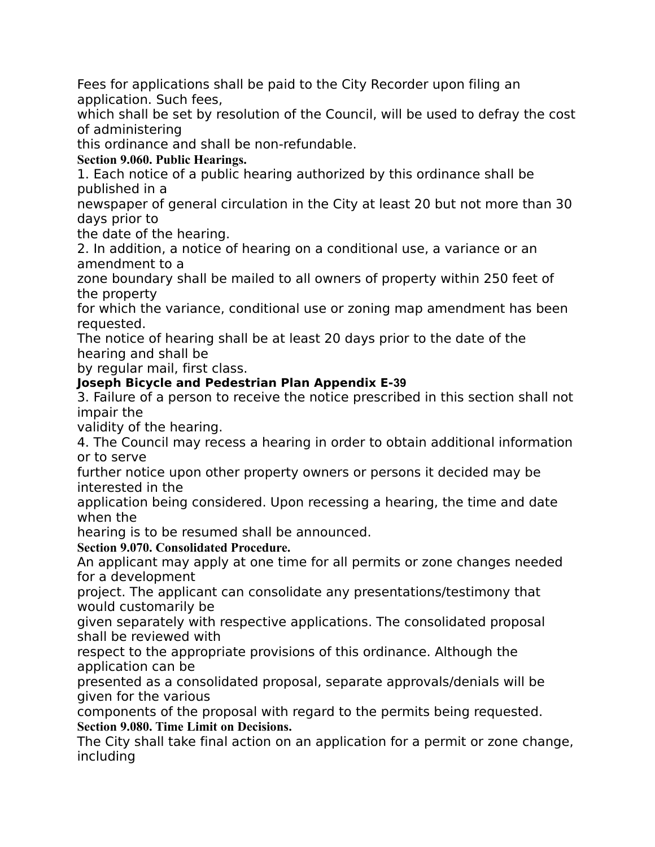Fees for applications shall be paid to the City Recorder upon filing an application. Such fees,

which shall be set by resolution of the Council, will be used to defray the cost of administering

this ordinance and shall be non-refundable.

# **Section 9.060. Public Hearings.**

1. Each notice of a public hearing authorized by this ordinance shall be published in a

newspaper of general circulation in the City at least 20 but not more than 30 days prior to

the date of the hearing.

2. In addition, a notice of hearing on a conditional use, a variance or an amendment to a

zone boundary shall be mailed to all owners of property within 250 feet of the property

for which the variance, conditional use or zoning map amendment has been requested.

The notice of hearing shall be at least 20 days prior to the date of the hearing and shall be

by regular mail, first class.

## **Joseph Bicycle and Pedestrian Plan Appendix E‐39**

3. Failure of a person to receive the notice prescribed in this section shall not impair the

validity of the hearing.

4. The Council may recess a hearing in order to obtain additional information or to serve

further notice upon other property owners or persons it decided may be interested in the

application being considered. Upon recessing a hearing, the time and date when the

hearing is to be resumed shall be announced.

**Section 9.070. Consolidated Procedure.**

An applicant may apply at one time for all permits or zone changes needed for a development

project. The applicant can consolidate any presentations/testimony that would customarily be

given separately with respective applications. The consolidated proposal shall be reviewed with

respect to the appropriate provisions of this ordinance. Although the application can be

presented as a consolidated proposal, separate approvals/denials will be given for the various

components of the proposal with regard to the permits being requested. **Section 9.080. Time Limit on Decisions.**

The City shall take final action on an application for a permit or zone change, including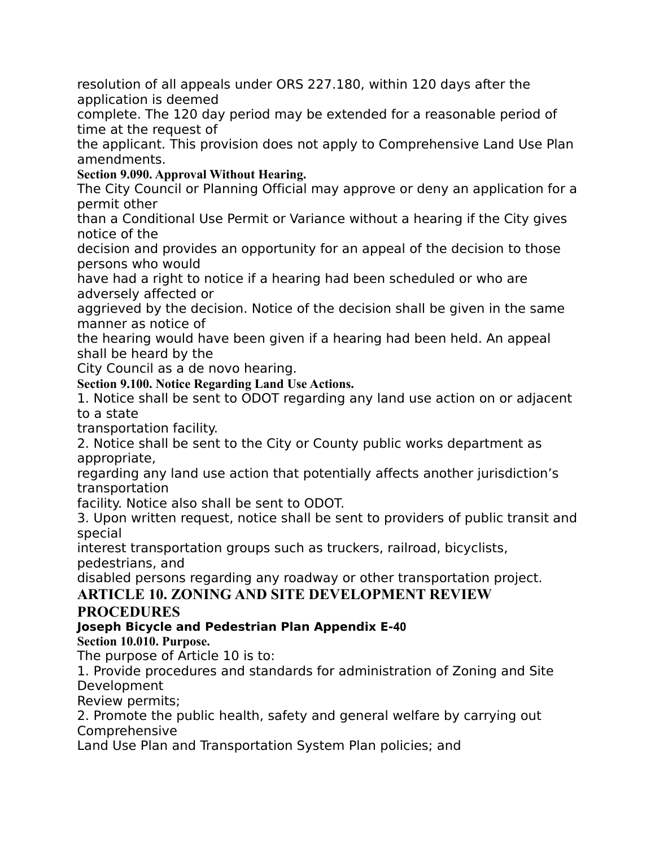resolution of all appeals under ORS 227.180, within 120 days after the application is deemed

complete. The 120 day period may be extended for a reasonable period of time at the request of

the applicant. This provision does not apply to Comprehensive Land Use Plan amendments.

**Section 9.090. Approval Without Hearing.**

The City Council or Planning Official may approve or deny an application for a permit other

than a Conditional Use Permit or Variance without a hearing if the City gives notice of the

decision and provides an opportunity for an appeal of the decision to those persons who would

have had a right to notice if a hearing had been scheduled or who are adversely affected or

aggrieved by the decision. Notice of the decision shall be given in the same manner as notice of

the hearing would have been given if a hearing had been held. An appeal shall be heard by the

City Council as a de novo hearing.

**Section 9.100. Notice Regarding Land Use Actions.**

1. Notice shall be sent to ODOT regarding any land use action on or adjacent to a state

transportation facility.

2. Notice shall be sent to the City or County public works department as appropriate,

regarding any land use action that potentially affects another jurisdiction's transportation

facility. Notice also shall be sent to ODOT.

3. Upon written request, notice shall be sent to providers of public transit and special

interest transportation groups such as truckers, railroad, bicyclists, pedestrians, and

disabled persons regarding any roadway or other transportation project.

# **ARTICLE 10. ZONING AND SITE DEVELOPMENT REVIEW**

# **PROCEDURES**

# **Joseph Bicycle and Pedestrian Plan Appendix E‐40**

# **Section 10.010. Purpose.**

The purpose of Article 10 is to:

1. Provide procedures and standards for administration of Zoning and Site Development

Review permits;

2. Promote the public health, safety and general welfare by carrying out Comprehensive

Land Use Plan and Transportation System Plan policies; and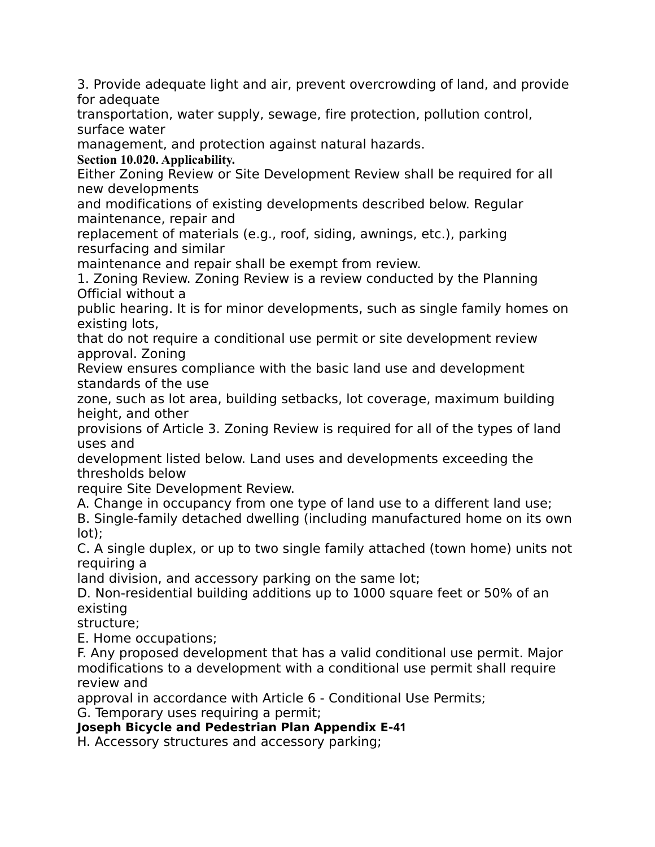3. Provide adequate light and air, prevent overcrowding of land, and provide for adequate

transportation, water supply, sewage, fire protection, pollution control, surface water

management, and protection against natural hazards.

**Section 10.020. Applicability.**

Either Zoning Review or Site Development Review shall be required for all new developments

and modifications of existing developments described below. Regular maintenance, repair and

replacement of materials (e.g., roof, siding, awnings, etc.), parking resurfacing and similar

maintenance and repair shall be exempt from review.

1. Zoning Review. Zoning Review is a review conducted by the Planning Official without a

public hearing. It is for minor developments, such as single family homes on existing lots,

that do not require a conditional use permit or site development review approval. Zoning

Review ensures compliance with the basic land use and development standards of the use

zone, such as lot area, building setbacks, lot coverage, maximum building height, and other

provisions of Article 3. Zoning Review is required for all of the types of land uses and

development listed below. Land uses and developments exceeding the thresholds below

require Site Development Review.

A. Change in occupancy from one type of land use to a different land use;

B. Single-family detached dwelling (including manufactured home on its own lot);

C. A single duplex, or up to two single family attached (town home) units not requiring a

land division, and accessory parking on the same lot;

D. Non-residential building additions up to 1000 square feet or 50% of an existing

structure;

E. Home occupations;

F. Any proposed development that has a valid conditional use permit. Major modifications to a development with a conditional use permit shall require review and

approval in accordance with Article 6 - Conditional Use Permits;

G. Temporary uses requiring a permit;

**Joseph Bicycle and Pedestrian Plan Appendix E‐41**

H. Accessory structures and accessory parking;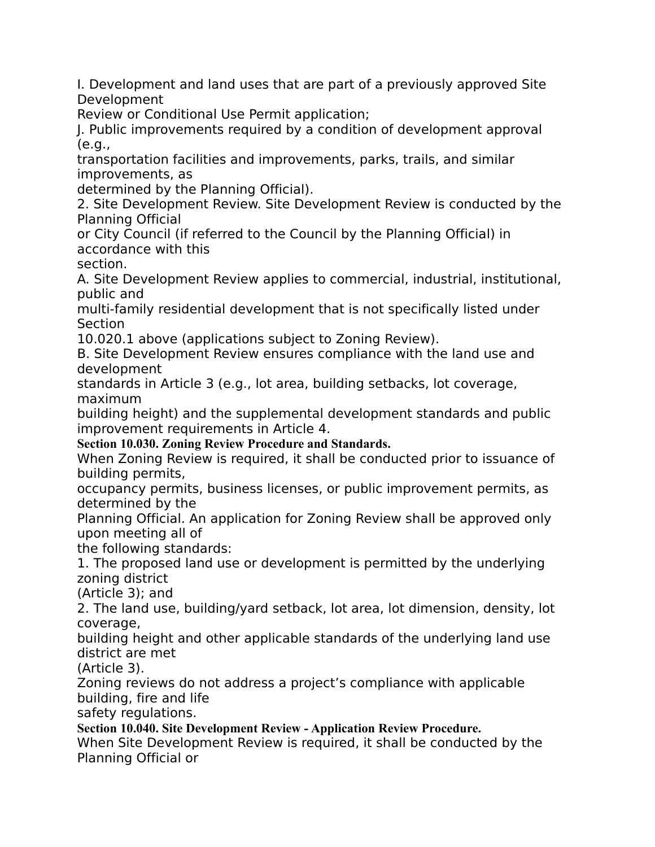I. Development and land uses that are part of a previously approved Site Development

Review or Conditional Use Permit application;

J. Public improvements required by a condition of development approval (e.g.,

transportation facilities and improvements, parks, trails, and similar improvements, as

determined by the Planning Official).

2. Site Development Review. Site Development Review is conducted by the Planning Official

or City Council (if referred to the Council by the Planning Official) in accordance with this

section.

A. Site Development Review applies to commercial, industrial, institutional, public and

multi-family residential development that is not specifically listed under Section

10.020.1 above (applications subject to Zoning Review).

B. Site Development Review ensures compliance with the land use and development

standards in Article 3 (e.g., lot area, building setbacks, lot coverage, maximum

building height) and the supplemental development standards and public improvement requirements in Article 4.

**Section 10.030. Zoning Review Procedure and Standards.**

When Zoning Review is required, it shall be conducted prior to issuance of building permits,

occupancy permits, business licenses, or public improvement permits, as determined by the

Planning Official. An application for Zoning Review shall be approved only upon meeting all of

the following standards:

1. The proposed land use or development is permitted by the underlying zoning district

(Article 3); and

2. The land use, building/yard setback, lot area, lot dimension, density, lot coverage,

building height and other applicable standards of the underlying land use district are met

(Article 3).

Zoning reviews do not address a project's compliance with applicable building, fire and life

safety regulations.

**Section 10.040. Site Development Review - Application Review Procedure.**

When Site Development Review is required, it shall be conducted by the Planning Official or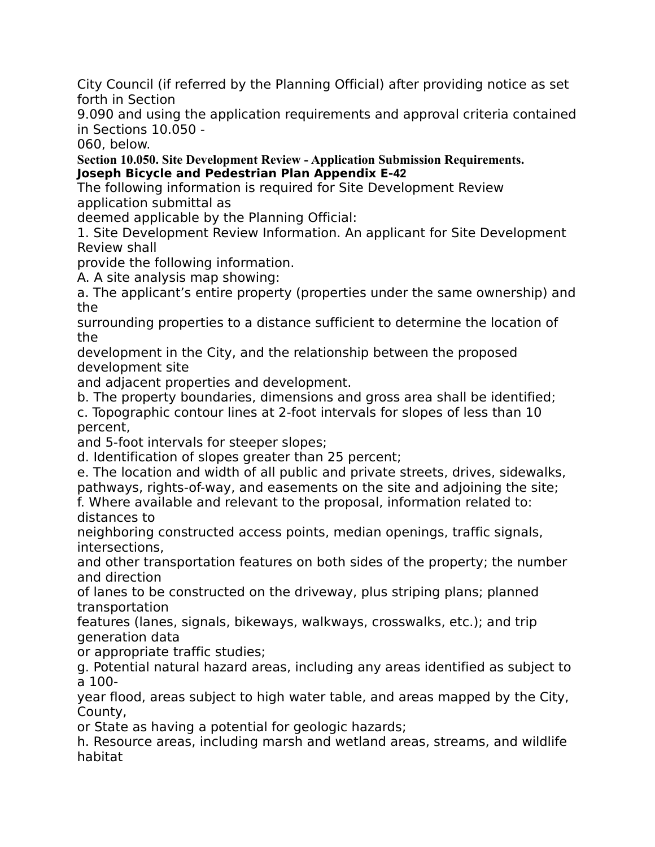City Council (if referred by the Planning Official) after providing notice as set forth in Section

9.090 and using the application requirements and approval criteria contained in Sections 10.050 -

060, below.

**Section 10.050. Site Development Review - Application Submission Requirements. Joseph Bicycle and Pedestrian Plan Appendix E‐42**

The following information is required for Site Development Review application submittal as

deemed applicable by the Planning Official:

1. Site Development Review Information. An applicant for Site Development Review shall

provide the following information.

A. A site analysis map showing:

a. The applicant's entire property (properties under the same ownership) and the

surrounding properties to a distance sufficient to determine the location of the

development in the City, and the relationship between the proposed development site

and adjacent properties and development.

b. The property boundaries, dimensions and gross area shall be identified;

c. Topographic contour lines at 2-foot intervals for slopes of less than 10 percent,

and 5-foot intervals for steeper slopes;

d. Identification of slopes greater than 25 percent;

e. The location and width of all public and private streets, drives, sidewalks, pathways, rights-of-way, and easements on the site and adjoining the site;

f. Where available and relevant to the proposal, information related to: distances to

neighboring constructed access points, median openings, traffic signals, intersections,

and other transportation features on both sides of the property; the number and direction

of lanes to be constructed on the driveway, plus striping plans; planned transportation

features (lanes, signals, bikeways, walkways, crosswalks, etc.); and trip generation data

or appropriate traffic studies;

g. Potential natural hazard areas, including any areas identified as subject to a 100-

year flood, areas subject to high water table, and areas mapped by the City, County,

or State as having a potential for geologic hazards;

h. Resource areas, including marsh and wetland areas, streams, and wildlife habitat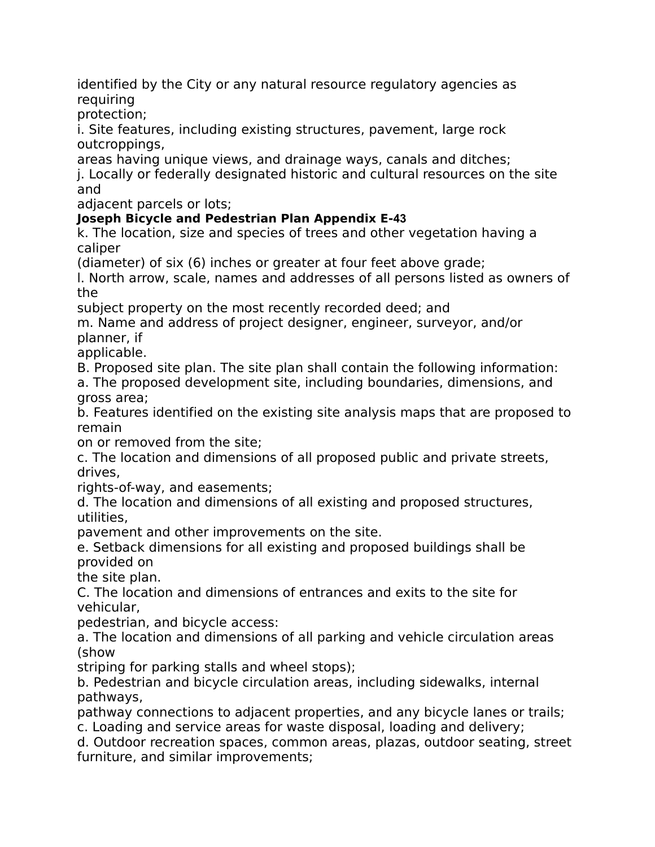identified by the City or any natural resource regulatory agencies as requiring

protection;

i. Site features, including existing structures, pavement, large rock outcroppings,

areas having unique views, and drainage ways, canals and ditches;

j. Locally or federally designated historic and cultural resources on the site and

adjacent parcels or lots;

## **Joseph Bicycle and Pedestrian Plan Appendix E‐43**

k. The location, size and species of trees and other vegetation having a caliper

(diameter) of six (6) inches or greater at four feet above grade;

l. North arrow, scale, names and addresses of all persons listed as owners of the

subject property on the most recently recorded deed; and

m. Name and address of project designer, engineer, surveyor, and/or planner, if

applicable.

B. Proposed site plan. The site plan shall contain the following information:

a. The proposed development site, including boundaries, dimensions, and gross area;

b. Features identified on the existing site analysis maps that are proposed to remain

on or removed from the site;

c. The location and dimensions of all proposed public and private streets, drives,

rights-of-way, and easements;

d. The location and dimensions of all existing and proposed structures, utilities,

pavement and other improvements on the site.

e. Setback dimensions for all existing and proposed buildings shall be provided on

the site plan.

C. The location and dimensions of entrances and exits to the site for vehicular,

pedestrian, and bicycle access:

a. The location and dimensions of all parking and vehicle circulation areas (show

striping for parking stalls and wheel stops);

b. Pedestrian and bicycle circulation areas, including sidewalks, internal pathways,

pathway connections to adjacent properties, and any bicycle lanes or trails;

c. Loading and service areas for waste disposal, loading and delivery;

d. Outdoor recreation spaces, common areas, plazas, outdoor seating, street furniture, and similar improvements;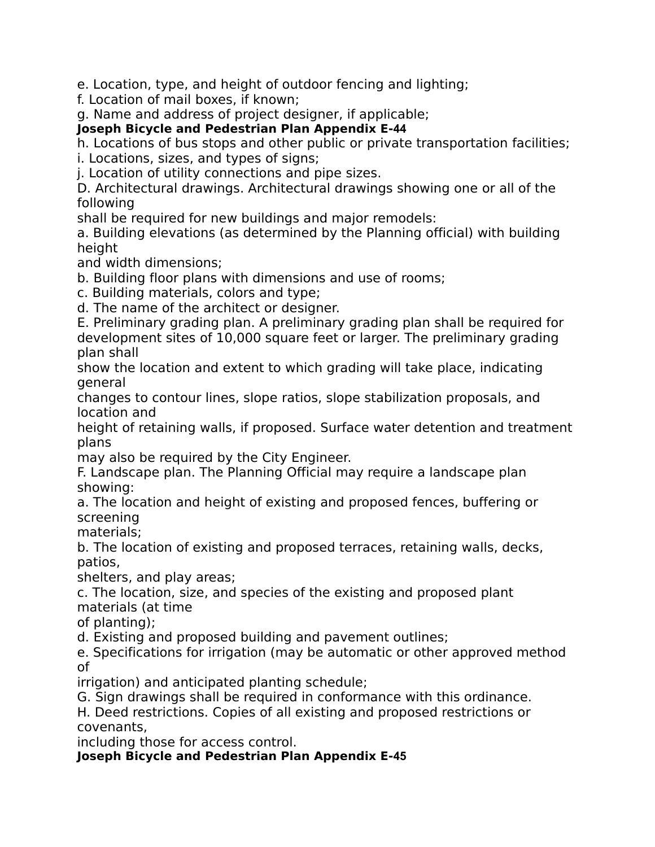e. Location, type, and height of outdoor fencing and lighting;

f. Location of mail boxes, if known;

g. Name and address of project designer, if applicable;

**Joseph Bicycle and Pedestrian Plan Appendix E‐44**

h. Locations of bus stops and other public or private transportation facilities;

i. Locations, sizes, and types of signs;

j. Location of utility connections and pipe sizes.

D. Architectural drawings. Architectural drawings showing one or all of the following

shall be required for new buildings and major remodels:

a. Building elevations (as determined by the Planning official) with building height

and width dimensions;

b. Building floor plans with dimensions and use of rooms;

c. Building materials, colors and type;

d. The name of the architect or designer.

E. Preliminary grading plan. A preliminary grading plan shall be required for development sites of 10,000 square feet or larger. The preliminary grading plan shall

show the location and extent to which grading will take place, indicating general

changes to contour lines, slope ratios, slope stabilization proposals, and location and

height of retaining walls, if proposed. Surface water detention and treatment plans

may also be required by the City Engineer.

F. Landscape plan. The Planning Official may require a landscape plan showing:

a. The location and height of existing and proposed fences, buffering or screening

materials;

b. The location of existing and proposed terraces, retaining walls, decks, patios,

shelters, and play areas;

c. The location, size, and species of the existing and proposed plant materials (at time

of planting);

d. Existing and proposed building and pavement outlines;

e. Specifications for irrigation (may be automatic or other approved method of

irrigation) and anticipated planting schedule;

G. Sign drawings shall be required in conformance with this ordinance.

H. Deed restrictions. Copies of all existing and proposed restrictions or covenants,

including those for access control.

**Joseph Bicycle and Pedestrian Plan Appendix E‐45**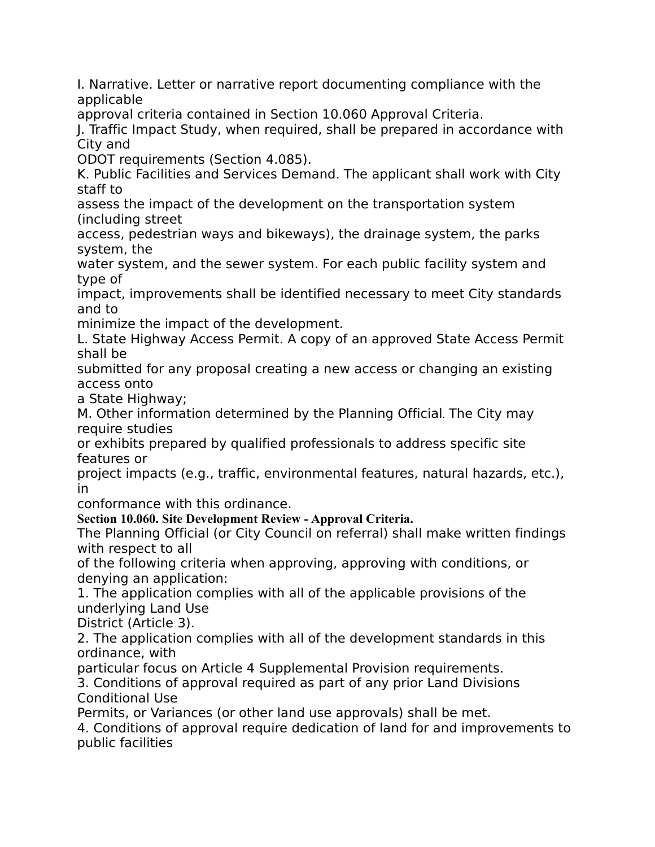I. Narrative. Letter or narrative report documenting compliance with the applicable

approval criteria contained in Section 10.060 Approval Criteria.

J. Traffic Impact Study, when required, shall be prepared in accordance with City and

ODOT requirements (Section 4.085).

K. Public Facilities and Services Demand. The applicant shall work with City staff to

assess the impact of the development on the transportation system (including street

access, pedestrian ways and bikeways), the drainage system, the parks system, the

water system, and the sewer system. For each public facility system and type of

impact, improvements shall be identified necessary to meet City standards and to

minimize the impact of the development.

L. State Highway Access Permit. A copy of an approved State Access Permit shall be

submitted for any proposal creating a new access or changing an existing access onto

a State Highway;

M. Other information determined by the Planning Official*.* The City may require studies

or exhibits prepared by qualified professionals to address specific site features or

project impacts (e.g., traffic, environmental features, natural hazards, etc.), in

conformance with this ordinance.

**Section 10.060. Site Development Review - Approval Criteria.**

The Planning Official (or City Council on referral) shall make written findings with respect to all

of the following criteria when approving, approving with conditions, or denying an application:

1. The application complies with all of the applicable provisions of the underlying Land Use

District (Article 3).

2. The application complies with all of the development standards in this ordinance, with

particular focus on Article 4 Supplemental Provision requirements.

3. Conditions of approval required as part of any prior Land Divisions Conditional Use

Permits, or Variances (or other land use approvals) shall be met.

4. Conditions of approval require dedication of land for and improvements to public facilities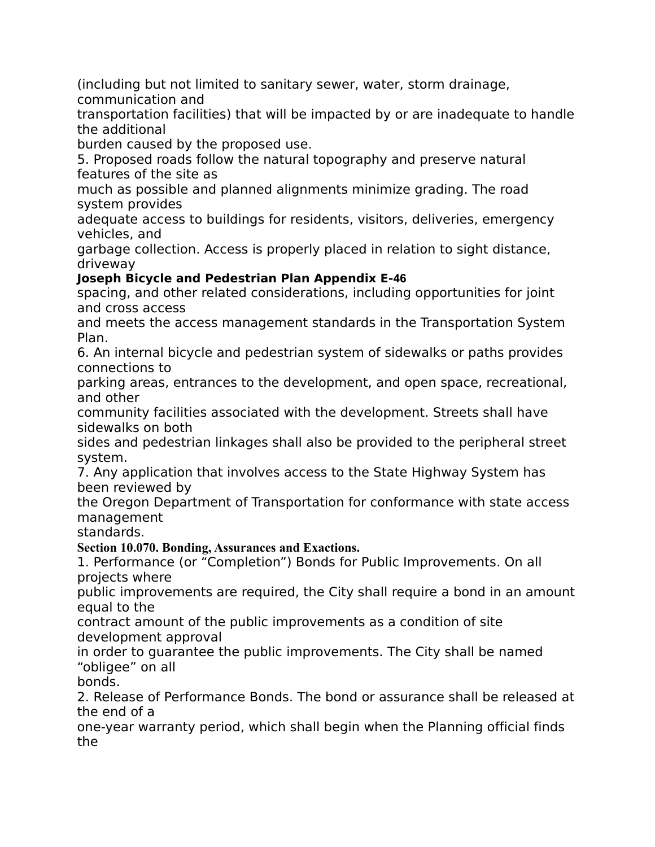(including but not limited to sanitary sewer, water, storm drainage, communication and

transportation facilities) that will be impacted by or are inadequate to handle the additional

burden caused by the proposed use.

5. Proposed roads follow the natural topography and preserve natural features of the site as

much as possible and planned alignments minimize grading. The road system provides

adequate access to buildings for residents, visitors, deliveries, emergency vehicles, and

garbage collection. Access is properly placed in relation to sight distance, driveway

# **Joseph Bicycle and Pedestrian Plan Appendix E‐46**

spacing, and other related considerations, including opportunities for joint and cross access

and meets the access management standards in the Transportation System Plan.

6. An internal bicycle and pedestrian system of sidewalks or paths provides connections to

parking areas, entrances to the development, and open space, recreational, and other

community facilities associated with the development. Streets shall have sidewalks on both

sides and pedestrian linkages shall also be provided to the peripheral street system.

7. Any application that involves access to the State Highway System has been reviewed by

the Oregon Department of Transportation for conformance with state access management

standards.

**Section 10.070. Bonding, Assurances and Exactions.**

1. Performance (or "Completion") Bonds for Public Improvements. On all projects where

public improvements are required, the City shall require a bond in an amount equal to the

contract amount of the public improvements as a condition of site development approval

in order to guarantee the public improvements. The City shall be named "obligee" on all

bonds.

2. Release of Performance Bonds. The bond or assurance shall be released at the end of a

one-year warranty period, which shall begin when the Planning official finds the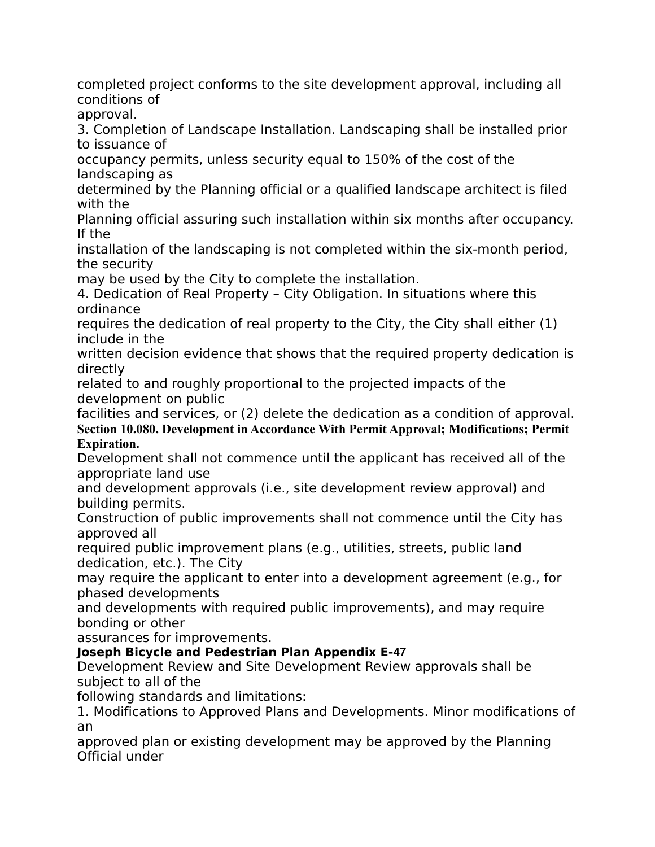completed project conforms to the site development approval, including all conditions of approval.

3. Completion of Landscape Installation. Landscaping shall be installed prior to issuance of

occupancy permits, unless security equal to 150% of the cost of the landscaping as

determined by the Planning official or a qualified landscape architect is filed with the

Planning official assuring such installation within six months after occupancy. If the

installation of the landscaping is not completed within the six-month period, the security

may be used by the City to complete the installation.

4. Dedication of Real Property – City Obligation. In situations where this ordinance

requires the dedication of real property to the City, the City shall either (1) include in the

written decision evidence that shows that the required property dedication is directly

related to and roughly proportional to the projected impacts of the development on public

facilities and services, or (2) delete the dedication as a condition of approval. **Section 10.080. Development in Accordance With Permit Approval; Modifications; Permit Expiration.**

Development shall not commence until the applicant has received all of the appropriate land use

and development approvals (i.e., site development review approval) and building permits.

Construction of public improvements shall not commence until the City has approved all

required public improvement plans (e.g., utilities, streets, public land dedication, etc.). The City

may require the applicant to enter into a development agreement (e.g., for phased developments

and developments with required public improvements), and may require bonding or other

assurances for improvements.

# **Joseph Bicycle and Pedestrian Plan Appendix E‐47**

Development Review and Site Development Review approvals shall be subject to all of the

following standards and limitations:

1. Modifications to Approved Plans and Developments. Minor modifications of an

approved plan or existing development may be approved by the Planning Official under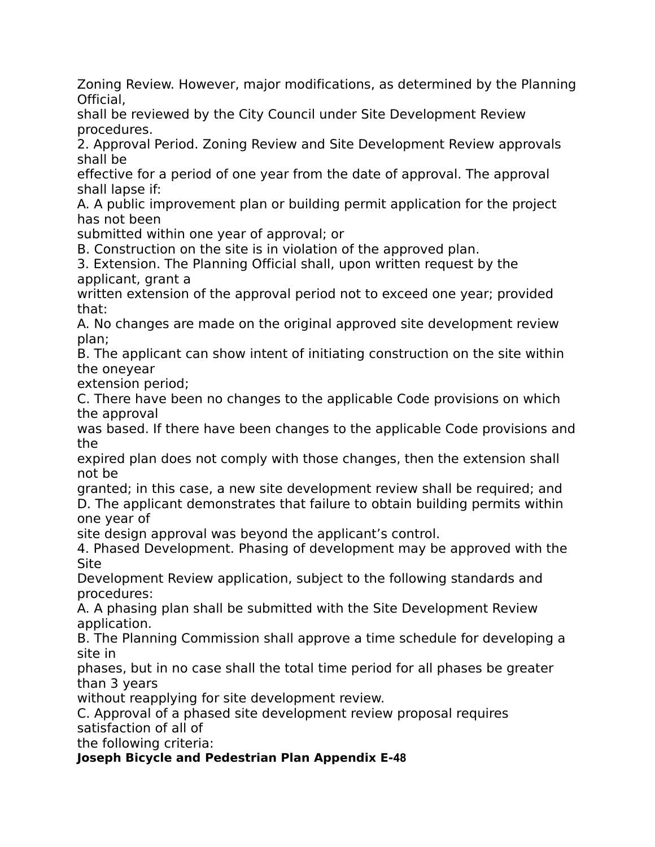Zoning Review. However, major modifications, as determined by the Planning Official,

shall be reviewed by the City Council under Site Development Review procedures.

2. Approval Period. Zoning Review and Site Development Review approvals shall be

effective for a period of one year from the date of approval. The approval shall lapse if:

A. A public improvement plan or building permit application for the project has not been

submitted within one year of approval; or

B. Construction on the site is in violation of the approved plan.

3. Extension. The Planning Official shall, upon written request by the applicant, grant a

written extension of the approval period not to exceed one year; provided that:

A. No changes are made on the original approved site development review plan;

B. The applicant can show intent of initiating construction on the site within the oneyear

extension period;

C. There have been no changes to the applicable Code provisions on which the approval

was based. If there have been changes to the applicable Code provisions and the

expired plan does not comply with those changes, then the extension shall not be

granted; in this case, a new site development review shall be required; and D. The applicant demonstrates that failure to obtain building permits within one year of

site design approval was beyond the applicant's control.

4. Phased Development. Phasing of development may be approved with the Site

Development Review application, subject to the following standards and procedures:

A. A phasing plan shall be submitted with the Site Development Review application.

B. The Planning Commission shall approve a time schedule for developing a site in

phases, but in no case shall the total time period for all phases be greater than 3 years

without reapplying for site development review.

C. Approval of a phased site development review proposal requires satisfaction of all of

the following criteria:

# **Joseph Bicycle and Pedestrian Plan Appendix E‐48**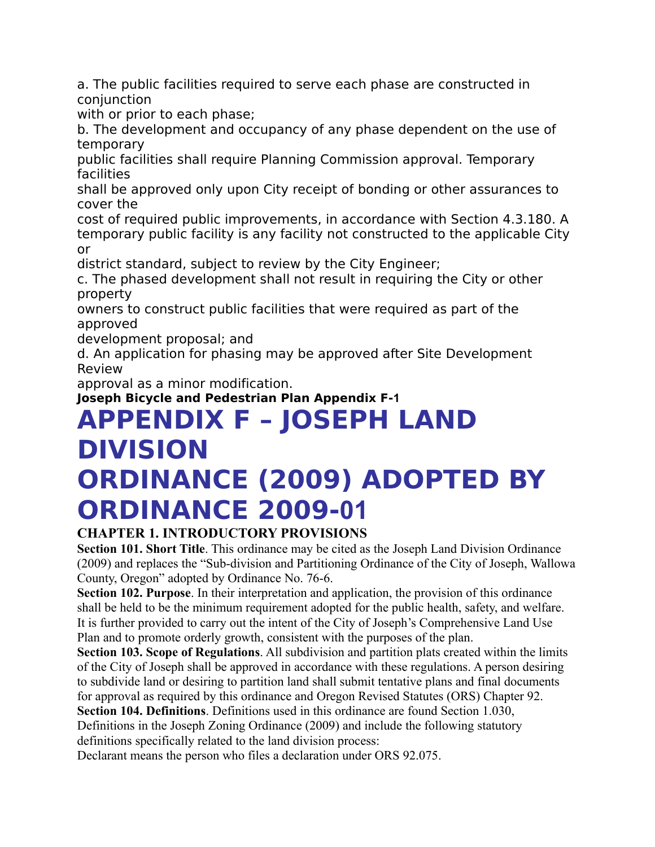a. The public facilities required to serve each phase are constructed in conjunction

with or prior to each phase;

b. The development and occupancy of any phase dependent on the use of temporary

public facilities shall require Planning Commission approval. Temporary facilities

shall be approved only upon City receipt of bonding or other assurances to cover the

cost of required public improvements, in accordance with Section 4.3.180. A temporary public facility is any facility not constructed to the applicable City or

district standard, subject to review by the City Engineer;

c. The phased development shall not result in requiring the City or other property

owners to construct public facilities that were required as part of the approved

development proposal; and

d. An application for phasing may be approved after Site Development Review

approval as a minor modification.

**Joseph Bicycle and Pedestrian Plan Appendix F‐1**

# **APPENDIX F – JOSEPH LAND DIVISION ORDINANCE (2009) ADOPTED BY ORDINANCE 2009‐01**

# **CHAPTER 1. INTRODUCTORY PROVISIONS**

**Section 101. Short Title**. This ordinance may be cited as the Joseph Land Division Ordinance (2009) and replaces the "Sub-division and Partitioning Ordinance of the City of Joseph, Wallowa County, Oregon" adopted by Ordinance No. 76-6.

**Section 102. Purpose**. In their interpretation and application, the provision of this ordinance shall be held to be the minimum requirement adopted for the public health, safety, and welfare. It is further provided to carry out the intent of the City of Joseph's Comprehensive Land Use Plan and to promote orderly growth, consistent with the purposes of the plan.

**Section 103. Scope of Regulations**. All subdivision and partition plats created within the limits of the City of Joseph shall be approved in accordance with these regulations. A person desiring to subdivide land or desiring to partition land shall submit tentative plans and final documents for approval as required by this ordinance and Oregon Revised Statutes (ORS) Chapter 92.

**Section 104. Definitions**. Definitions used in this ordinance are found Section 1.030, Definitions in the Joseph Zoning Ordinance (2009) and include the following statutory definitions specifically related to the land division process:

Declarant means the person who files a declaration under ORS 92.075.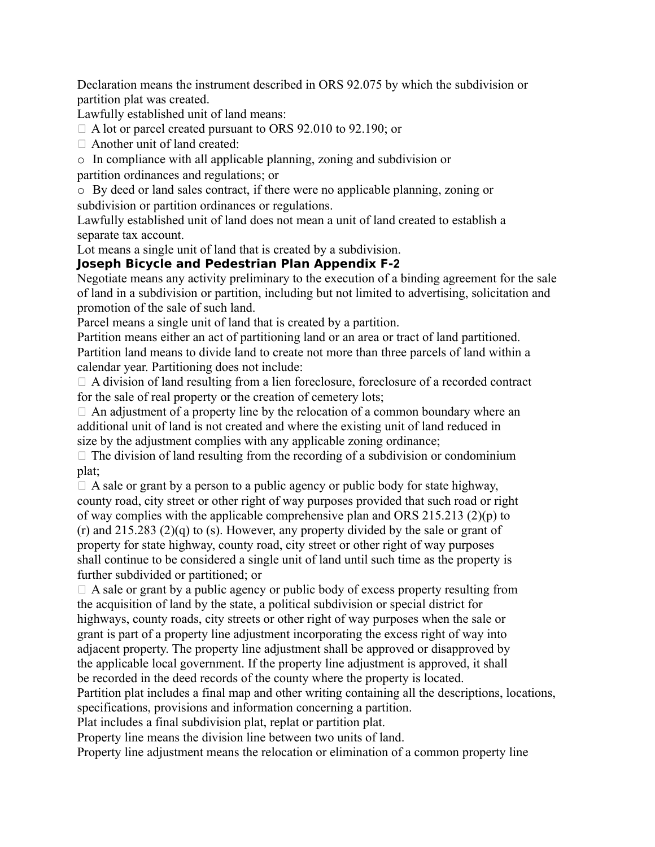Declaration means the instrument described in ORS 92.075 by which the subdivision or partition plat was created.

Lawfully established unit of land means:

□ A lot or parcel created pursuant to ORS 92.010 to 92.190; or

□ Another unit of land created:

o In compliance with all applicable planning, zoning and subdivision or

partition ordinances and regulations; or

o By deed or land sales contract, if there were no applicable planning, zoning or subdivision or partition ordinances or regulations.

Lawfully established unit of land does not mean a unit of land created to establish a separate tax account.

Lot means a single unit of land that is created by a subdivision.

#### **Joseph Bicycle and Pedestrian Plan Appendix F‐2**

Negotiate means any activity preliminary to the execution of a binding agreement for the sale of land in a subdivision or partition, including but not limited to advertising, solicitation and promotion of the sale of such land.

Parcel means a single unit of land that is created by a partition.

Partition means either an act of partitioning land or an area or tract of land partitioned. Partition land means to divide land to create not more than three parcels of land within a calendar year. Partitioning does not include:

 $\Box$  A division of land resulting from a lien foreclosure, foreclosure of a recorded contract for the sale of real property or the creation of cemetery lots;

 $\Box$  An adjustment of a property line by the relocation of a common boundary where an additional unit of land is not created and where the existing unit of land reduced in size by the adjustment complies with any applicable zoning ordinance;

 $\Box$  The division of land resulting from the recording of a subdivision or condominium plat;

 $\Box$  A sale or grant by a person to a public agency or public body for state highway, county road, city street or other right of way purposes provided that such road or right of way complies with the applicable comprehensive plan and ORS 215.213 (2)(p) to (r) and 215.283 (2)(q) to (s). However, any property divided by the sale or grant of property for state highway, county road, city street or other right of way purposes shall continue to be considered a single unit of land until such time as the property is further subdivided or partitioned; or

 $\Box$  A sale or grant by a public agency or public body of excess property resulting from the acquisition of land by the state, a political subdivision or special district for highways, county roads, city streets or other right of way purposes when the sale or grant is part of a property line adjustment incorporating the excess right of way into adjacent property. The property line adjustment shall be approved or disapproved by the applicable local government. If the property line adjustment is approved, it shall be recorded in the deed records of the county where the property is located.

Partition plat includes a final map and other writing containing all the descriptions, locations, specifications, provisions and information concerning a partition.

Plat includes a final subdivision plat, replat or partition plat.

Property line means the division line between two units of land.

Property line adjustment means the relocation or elimination of a common property line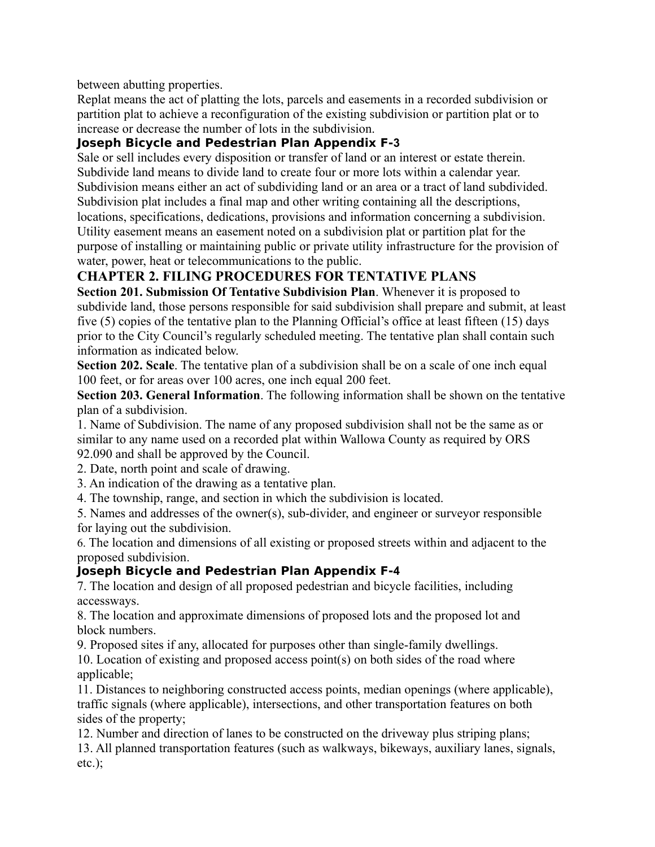between abutting properties.

Replat means the act of platting the lots, parcels and easements in a recorded subdivision or partition plat to achieve a reconfiguration of the existing subdivision or partition plat or to increase or decrease the number of lots in the subdivision.

# **Joseph Bicycle and Pedestrian Plan Appendix F‐3**

Sale or sell includes every disposition or transfer of land or an interest or estate therein. Subdivide land means to divide land to create four or more lots within a calendar year. Subdivision means either an act of subdividing land or an area or a tract of land subdivided. Subdivision plat includes a final map and other writing containing all the descriptions, locations, specifications, dedications, provisions and information concerning a subdivision. Utility easement means an easement noted on a subdivision plat or partition plat for the purpose of installing or maintaining public or private utility infrastructure for the provision of water, power, heat or telecommunications to the public.

# **CHAPTER 2. FILING PROCEDURES FOR TENTATIVE PLANS**

**Section 201. Submission Of Tentative Subdivision Plan**. Whenever it is proposed to subdivide land, those persons responsible for said subdivision shall prepare and submit, at least five (5) copies of the tentative plan to the Planning Official's office at least fifteen (15) days prior to the City Council's regularly scheduled meeting. The tentative plan shall contain such information as indicated below.

**Section 202. Scale**. The tentative plan of a subdivision shall be on a scale of one inch equal 100 feet, or for areas over 100 acres, one inch equal 200 feet.

**Section 203. General Information**. The following information shall be shown on the tentative plan of a subdivision.

1. Name of Subdivision. The name of any proposed subdivision shall not be the same as or similar to any name used on a recorded plat within Wallowa County as required by ORS 92.090 and shall be approved by the Council.

2. Date, north point and scale of drawing.

3. An indication of the drawing as a tentative plan.

4. The township, range, and section in which the subdivision is located.

5. Names and addresses of the owner(s), sub-divider, and engineer or surveyor responsible for laying out the subdivision.

6. The location and dimensions of all existing or proposed streets within and adjacent to the proposed subdivision.

#### **Joseph Bicycle and Pedestrian Plan Appendix F‐4**

7. The location and design of all proposed pedestrian and bicycle facilities, including accessways.

8. The location and approximate dimensions of proposed lots and the proposed lot and block numbers.

9. Proposed sites if any, allocated for purposes other than single-family dwellings.

10. Location of existing and proposed access point(s) on both sides of the road where applicable;

11. Distances to neighboring constructed access points, median openings (where applicable), traffic signals (where applicable), intersections, and other transportation features on both sides of the property;

12. Number and direction of lanes to be constructed on the driveway plus striping plans;

13. All planned transportation features (such as walkways, bikeways, auxiliary lanes, signals, etc.);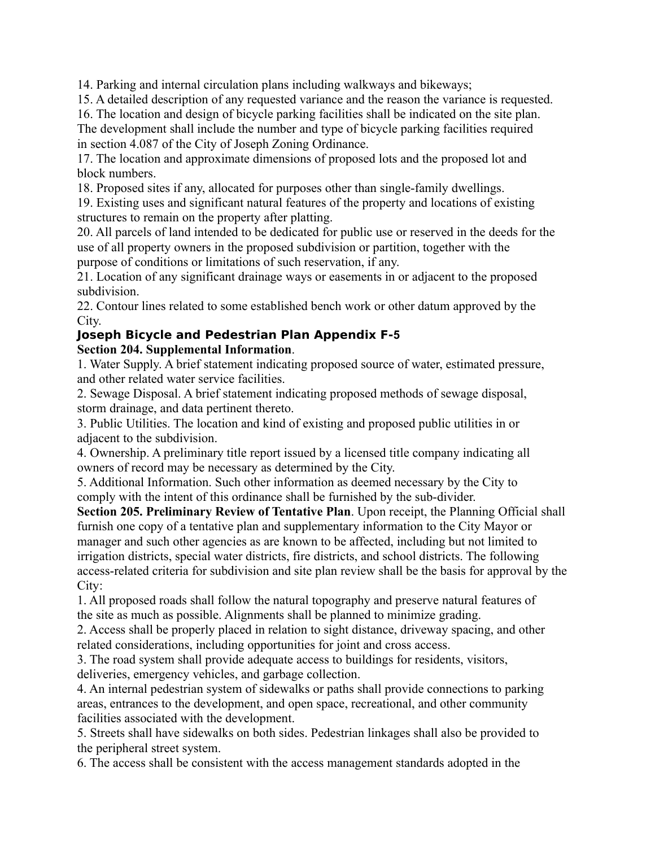14. Parking and internal circulation plans including walkways and bikeways;

15. A detailed description of any requested variance and the reason the variance is requested.

16. The location and design of bicycle parking facilities shall be indicated on the site plan. The development shall include the number and type of bicycle parking facilities required in section 4.087 of the City of Joseph Zoning Ordinance.

17. The location and approximate dimensions of proposed lots and the proposed lot and block numbers.

18. Proposed sites if any, allocated for purposes other than single-family dwellings.

19. Existing uses and significant natural features of the property and locations of existing structures to remain on the property after platting.

20. All parcels of land intended to be dedicated for public use or reserved in the deeds for the use of all property owners in the proposed subdivision or partition, together with the purpose of conditions or limitations of such reservation, if any.

21. Location of any significant drainage ways or easements in or adjacent to the proposed subdivision.

22. Contour lines related to some established bench work or other datum approved by the City.

#### **Joseph Bicycle and Pedestrian Plan Appendix F‐5 Section 204. Supplemental Information**.

1. Water Supply. A brief statement indicating proposed source of water, estimated pressure, and other related water service facilities.

2. Sewage Disposal. A brief statement indicating proposed methods of sewage disposal, storm drainage, and data pertinent thereto.

3. Public Utilities. The location and kind of existing and proposed public utilities in or adjacent to the subdivision.

4. Ownership. A preliminary title report issued by a licensed title company indicating all owners of record may be necessary as determined by the City.

5. Additional Information. Such other information as deemed necessary by the City to comply with the intent of this ordinance shall be furnished by the sub-divider.

**Section 205. Preliminary Review of Tentative Plan**. Upon receipt, the Planning Official shall furnish one copy of a tentative plan and supplementary information to the City Mayor or manager and such other agencies as are known to be affected, including but not limited to irrigation districts, special water districts, fire districts, and school districts. The following access-related criteria for subdivision and site plan review shall be the basis for approval by the City:

1. All proposed roads shall follow the natural topography and preserve natural features of the site as much as possible. Alignments shall be planned to minimize grading.

2. Access shall be properly placed in relation to sight distance, driveway spacing, and other related considerations, including opportunities for joint and cross access.

3. The road system shall provide adequate access to buildings for residents, visitors, deliveries, emergency vehicles, and garbage collection.

4. An internal pedestrian system of sidewalks or paths shall provide connections to parking areas, entrances to the development, and open space, recreational, and other community facilities associated with the development.

5. Streets shall have sidewalks on both sides. Pedestrian linkages shall also be provided to the peripheral street system.

6. The access shall be consistent with the access management standards adopted in the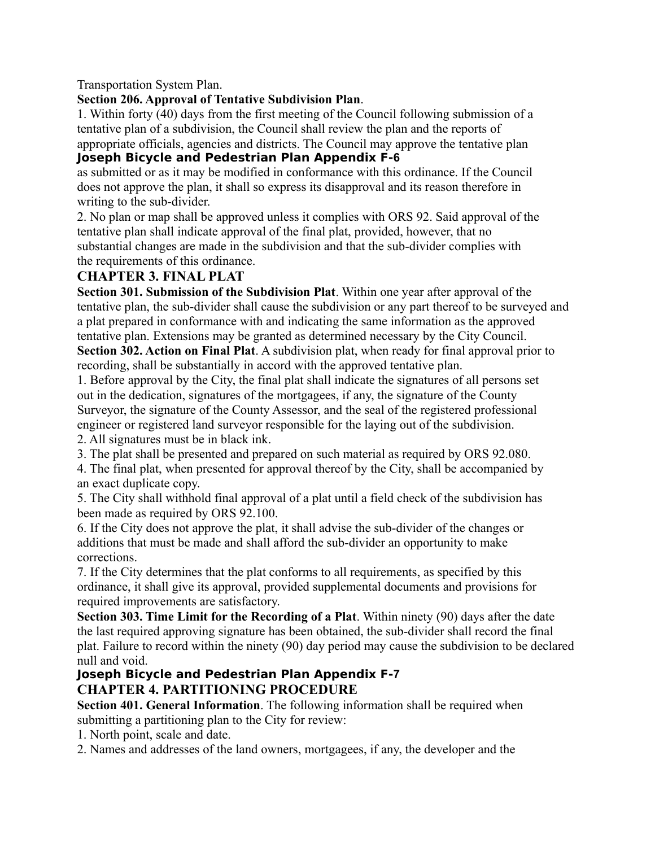Transportation System Plan.

#### **Section 206. Approval of Tentative Subdivision Plan**.

1. Within forty (40) days from the first meeting of the Council following submission of a tentative plan of a subdivision, the Council shall review the plan and the reports of appropriate officials, agencies and districts. The Council may approve the tentative plan

#### **Joseph Bicycle and Pedestrian Plan Appendix F‐6**

as submitted or as it may be modified in conformance with this ordinance. If the Council does not approve the plan, it shall so express its disapproval and its reason therefore in writing to the sub-divider.

2. No plan or map shall be approved unless it complies with ORS 92. Said approval of the tentative plan shall indicate approval of the final plat, provided, however, that no substantial changes are made in the subdivision and that the sub-divider complies with the requirements of this ordinance.

#### **CHAPTER 3. FINAL PLAT**

**Section 301. Submission of the Subdivision Plat**. Within one year after approval of the tentative plan, the sub-divider shall cause the subdivision or any part thereof to be surveyed and a plat prepared in conformance with and indicating the same information as the approved tentative plan. Extensions may be granted as determined necessary by the City Council. **Section 302. Action on Final Plat**. A subdivision plat, when ready for final approval prior to

recording, shall be substantially in accord with the approved tentative plan.

1. Before approval by the City, the final plat shall indicate the signatures of all persons set out in the dedication, signatures of the mortgagees, if any, the signature of the County Surveyor, the signature of the County Assessor, and the seal of the registered professional engineer or registered land surveyor responsible for the laying out of the subdivision. 2. All signatures must be in black ink.

3. The plat shall be presented and prepared on such material as required by ORS 92.080.

4. The final plat, when presented for approval thereof by the City, shall be accompanied by an exact duplicate copy.

5. The City shall withhold final approval of a plat until a field check of the subdivision has been made as required by ORS 92.100.

6. If the City does not approve the plat, it shall advise the sub-divider of the changes or additions that must be made and shall afford the sub-divider an opportunity to make corrections.

7. If the City determines that the plat conforms to all requirements, as specified by this ordinance, it shall give its approval, provided supplemental documents and provisions for required improvements are satisfactory.

**Section 303. Time Limit for the Recording of a Plat**. Within ninety (90) days after the date the last required approving signature has been obtained, the sub-divider shall record the final plat. Failure to record within the ninety (90) day period may cause the subdivision to be declared null and void.

#### **Joseph Bicycle and Pedestrian Plan Appendix F‐7 CHAPTER 4. PARTITIONING PROCEDURE**

**Section 401. General Information**. The following information shall be required when submitting a partitioning plan to the City for review:

1. North point, scale and date.

2. Names and addresses of the land owners, mortgagees, if any, the developer and the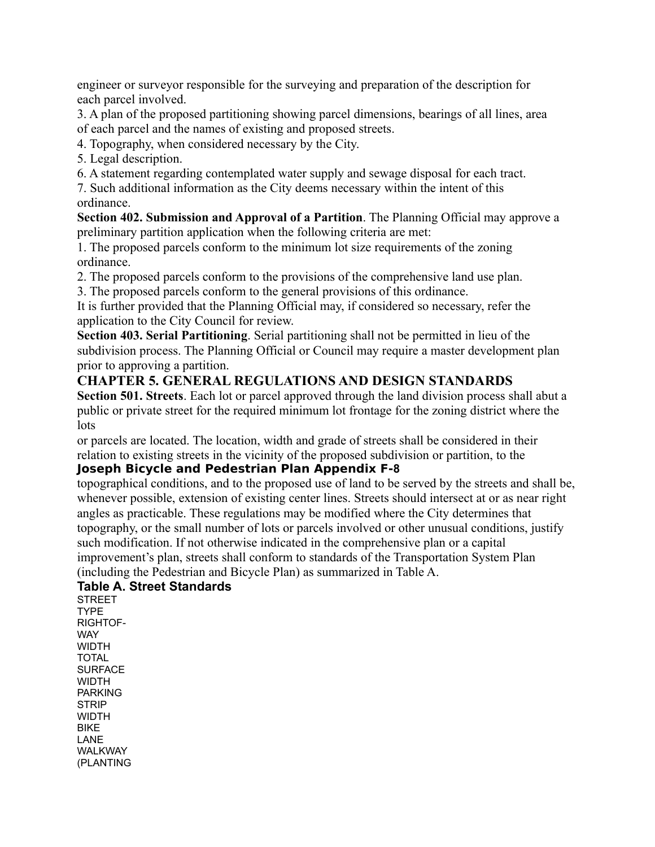engineer or surveyor responsible for the surveying and preparation of the description for each parcel involved.

3. A plan of the proposed partitioning showing parcel dimensions, bearings of all lines, area of each parcel and the names of existing and proposed streets.

4. Topography, when considered necessary by the City.

- 5. Legal description.
- 6. A statement regarding contemplated water supply and sewage disposal for each tract.

7. Such additional information as the City deems necessary within the intent of this ordinance.

**Section 402. Submission and Approval of a Partition**. The Planning Official may approve a preliminary partition application when the following criteria are met:

1. The proposed parcels conform to the minimum lot size requirements of the zoning ordinance.

2. The proposed parcels conform to the provisions of the comprehensive land use plan.

3. The proposed parcels conform to the general provisions of this ordinance.

It is further provided that the Planning Official may, if considered so necessary, refer the application to the City Council for review.

**Section 403. Serial Partitioning**. Serial partitioning shall not be permitted in lieu of the subdivision process. The Planning Official or Council may require a master development plan prior to approving a partition.

#### **CHAPTER 5. GENERAL REGULATIONS AND DESIGN STANDARDS**

**Section 501. Streets**. Each lot or parcel approved through the land division process shall abut a public or private street for the required minimum lot frontage for the zoning district where the lots

or parcels are located. The location, width and grade of streets shall be considered in their relation to existing streets in the vicinity of the proposed subdivision or partition, to the

#### **Joseph Bicycle and Pedestrian Plan Appendix F‐8**

topographical conditions, and to the proposed use of land to be served by the streets and shall be, whenever possible, extension of existing center lines. Streets should intersect at or as near right angles as practicable. These regulations may be modified where the City determines that topography, or the small number of lots or parcels involved or other unusual conditions, justify such modification. If not otherwise indicated in the comprehensive plan or a capital improvement's plan, streets shall conform to standards of the Transportation System Plan (including the Pedestrian and Bicycle Plan) as summarized in Table A.

#### **Table A. Street Standards**

**STREET** TYPE RIGHTOF-**WAY** WIDTH TOTAL **SURFACE WIDTH** PARKING STRIP WIDTH BIKE LANE **WALKWAY** (PLANTING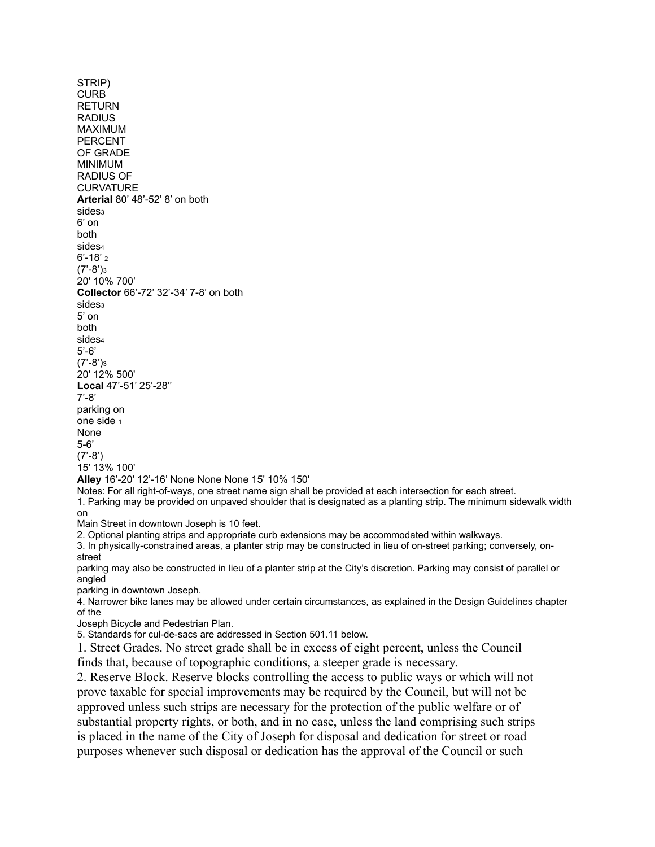STRIP) CURB RETURN RADIUS MAXIMUM PERCENT OF GRADE MINIMUM RADIUS OF **CURVATURE Arterial** 80' 48'-52' 8' on both sides<sub>3</sub> 6' on both sides<sup>4</sup> 6'-18' <sup>2</sup>  $(7'-8')<sub>3</sub>$ 20' 10% 700' **Collector** 66'-72' 32'-34' 7-8' on both sides<sub>3</sub> 5' on both sides<sup>4</sup> 5'-6' (7'-8')<sup>3</sup> 20' 12% 500' **Local** 47'-51' 25'-28'' 7'-8' parking on one side <sup>1</sup> None 5-6' (7'-8') 15' 13% 100' **Alley** 16'-20' 12'-16' None None None 15' 10% 150' Notes: For all right-of-ways, one street name sign shall be provided at each intersection for each street. 1. Parking may be provided on unpaved shoulder that is designated as a planting strip. The minimum sidewalk width on Main Street in downtown Joseph is 10 feet. 2. Optional planting strips and appropriate curb extensions may be accommodated within walkways. 3. In physically-constrained areas, a planter strip may be constructed in lieu of on-street parking; conversely, onstreet

parking may also be constructed in lieu of a planter strip at the City's discretion. Parking may consist of parallel or angled

parking in downtown Joseph.

4. Narrower bike lanes may be allowed under certain circumstances, as explained in the Design Guidelines chapter of the

Joseph Bicycle and Pedestrian Plan.

5. Standards for cul-de-sacs are addressed in Section 501.11 below.

1. Street Grades. No street grade shall be in excess of eight percent, unless the Council finds that, because of topographic conditions, a steeper grade is necessary.

2. Reserve Block. Reserve blocks controlling the access to public ways or which will not prove taxable for special improvements may be required by the Council, but will not be approved unless such strips are necessary for the protection of the public welfare or of substantial property rights, or both, and in no case, unless the land comprising such strips is placed in the name of the City of Joseph for disposal and dedication for street or road purposes whenever such disposal or dedication has the approval of the Council or such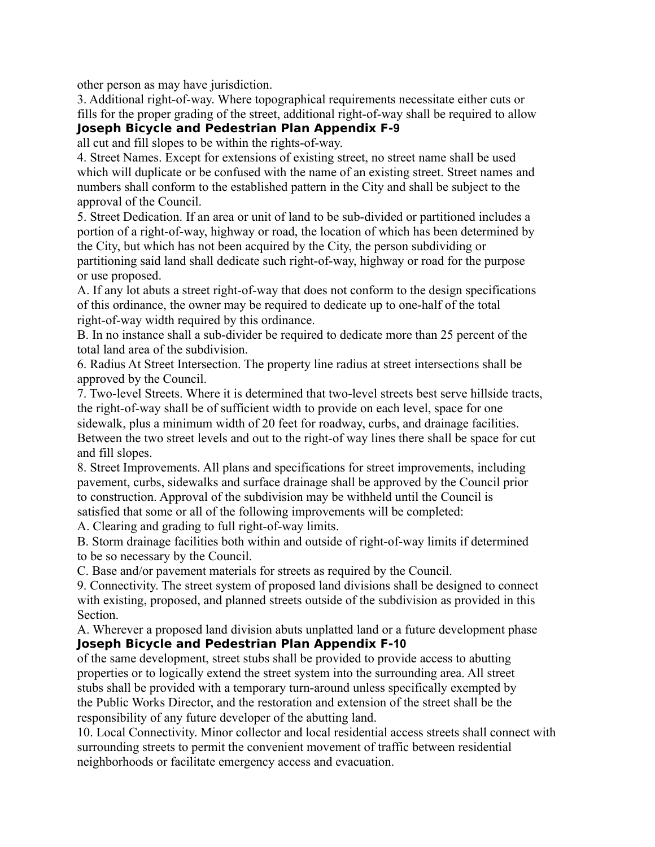other person as may have jurisdiction.

3. Additional right-of-way. Where topographical requirements necessitate either cuts or fills for the proper grading of the street, additional right-of-way shall be required to allow **Joseph Bicycle and Pedestrian Plan Appendix F‐9**

all cut and fill slopes to be within the rights-of-way.

4. Street Names. Except for extensions of existing street, no street name shall be used which will duplicate or be confused with the name of an existing street. Street names and numbers shall conform to the established pattern in the City and shall be subject to the approval of the Council.

5. Street Dedication. If an area or unit of land to be sub-divided or partitioned includes a portion of a right-of-way, highway or road, the location of which has been determined by the City, but which has not been acquired by the City, the person subdividing or partitioning said land shall dedicate such right-of-way, highway or road for the purpose or use proposed.

A. If any lot abuts a street right-of-way that does not conform to the design specifications of this ordinance, the owner may be required to dedicate up to one-half of the total right-of-way width required by this ordinance.

B. In no instance shall a sub-divider be required to dedicate more than 25 percent of the total land area of the subdivision.

6. Radius At Street Intersection. The property line radius at street intersections shall be approved by the Council.

7. Two-level Streets. Where it is determined that two-level streets best serve hillside tracts, the right-of-way shall be of sufficient width to provide on each level, space for one sidewalk, plus a minimum width of 20 feet for roadway, curbs, and drainage facilities. Between the two street levels and out to the right-of way lines there shall be space for cut and fill slopes.

8. Street Improvements. All plans and specifications for street improvements, including pavement, curbs, sidewalks and surface drainage shall be approved by the Council prior to construction. Approval of the subdivision may be withheld until the Council is satisfied that some or all of the following improvements will be completed:

A. Clearing and grading to full right-of-way limits.

B. Storm drainage facilities both within and outside of right-of-way limits if determined to be so necessary by the Council.

C. Base and/or pavement materials for streets as required by the Council.

9. Connectivity. The street system of proposed land divisions shall be designed to connect with existing, proposed, and planned streets outside of the subdivision as provided in this Section.

A. Wherever a proposed land division abuts unplatted land or a future development phase **Joseph Bicycle and Pedestrian Plan Appendix F‐10**

of the same development, street stubs shall be provided to provide access to abutting properties or to logically extend the street system into the surrounding area. All street stubs shall be provided with a temporary turn-around unless specifically exempted by the Public Works Director, and the restoration and extension of the street shall be the responsibility of any future developer of the abutting land.

10. Local Connectivity. Minor collector and local residential access streets shall connect with surrounding streets to permit the convenient movement of traffic between residential neighborhoods or facilitate emergency access and evacuation.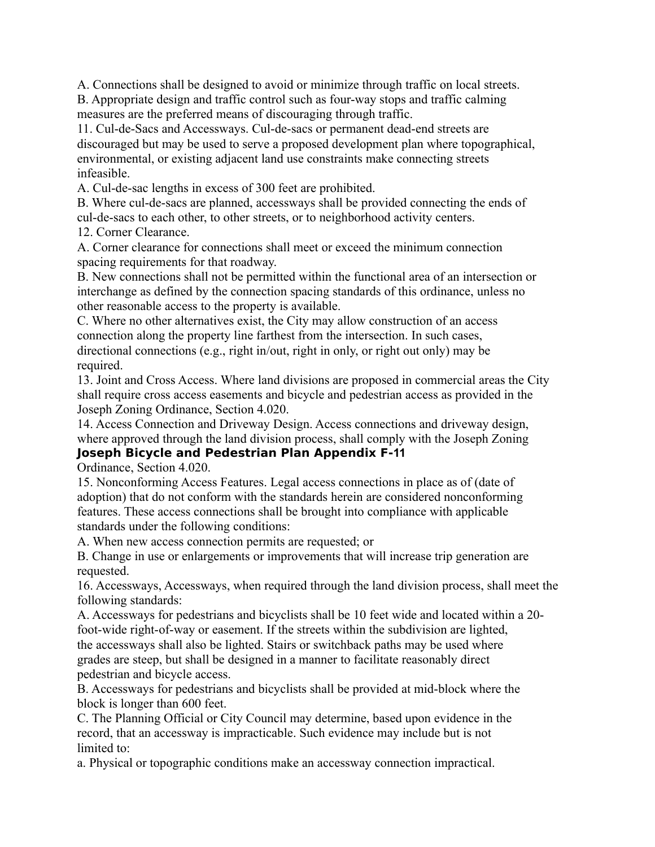A. Connections shall be designed to avoid or minimize through traffic on local streets.

B. Appropriate design and traffic control such as four-way stops and traffic calming measures are the preferred means of discouraging through traffic.

11. Cul-de-Sacs and Accessways. Cul-de-sacs or permanent dead-end streets are discouraged but may be used to serve a proposed development plan where topographical, environmental, or existing adjacent land use constraints make connecting streets infeasible.

A. Cul-de-sac lengths in excess of 300 feet are prohibited.

B. Where cul-de-sacs are planned, accessways shall be provided connecting the ends of cul-de-sacs to each other, to other streets, or to neighborhood activity centers.

12. Corner Clearance.

A. Corner clearance for connections shall meet or exceed the minimum connection spacing requirements for that roadway.

B. New connections shall not be permitted within the functional area of an intersection or interchange as defined by the connection spacing standards of this ordinance, unless no other reasonable access to the property is available.

C. Where no other alternatives exist, the City may allow construction of an access connection along the property line farthest from the intersection. In such cases, directional connections (e.g., right in/out, right in only, or right out only) may be required.

13. Joint and Cross Access. Where land divisions are proposed in commercial areas the City shall require cross access easements and bicycle and pedestrian access as provided in the Joseph Zoning Ordinance, Section 4.020.

14. Access Connection and Driveway Design. Access connections and driveway design, where approved through the land division process, shall comply with the Joseph Zoning **Joseph Bicycle and Pedestrian Plan Appendix F‐11**

Ordinance, Section 4.020.

15. Nonconforming Access Features. Legal access connections in place as of (date of adoption) that do not conform with the standards herein are considered nonconforming features. These access connections shall be brought into compliance with applicable standards under the following conditions:

A. When new access connection permits are requested; or

B. Change in use or enlargements or improvements that will increase trip generation are requested.

16. Accessways, Accessways, when required through the land division process, shall meet the following standards:

A. Accessways for pedestrians and bicyclists shall be 10 feet wide and located within a 20 foot-wide right-of-way or easement. If the streets within the subdivision are lighted, the accessways shall also be lighted. Stairs or switchback paths may be used where grades are steep, but shall be designed in a manner to facilitate reasonably direct pedestrian and bicycle access.

B. Accessways for pedestrians and bicyclists shall be provided at mid-block where the block is longer than 600 feet.

C. The Planning Official or City Council may determine, based upon evidence in the record, that an accessway is impracticable. Such evidence may include but is not limited to:

a. Physical or topographic conditions make an accessway connection impractical.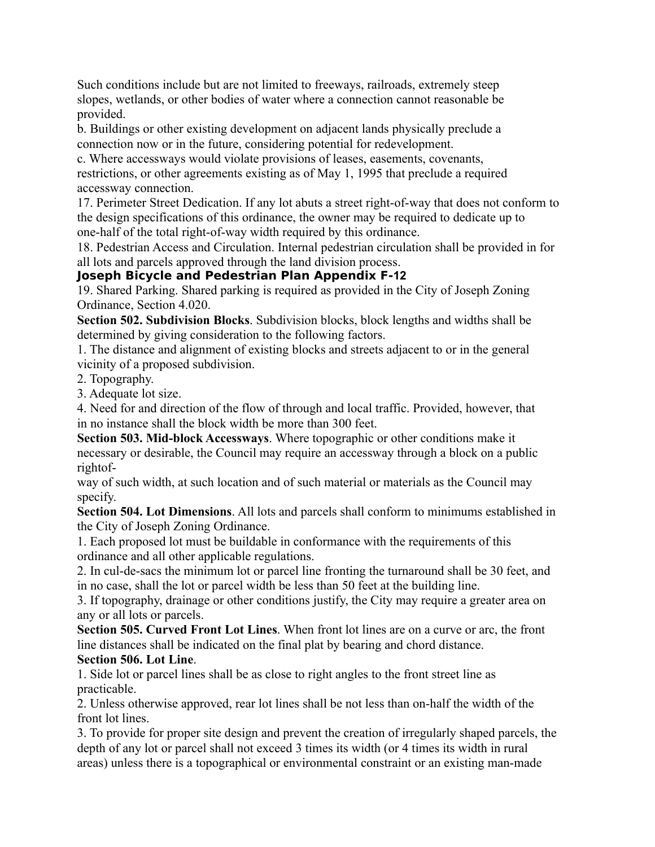Such conditions include but are not limited to freeways, railroads, extremely steep slopes, wetlands, or other bodies of water where a connection cannot reasonable be provided.

b. Buildings or other existing development on adjacent lands physically preclude a connection now or in the future, considering potential for redevelopment.

c. Where accessways would violate provisions of leases, easements, covenants, restrictions, or other agreements existing as of May 1, 1995 that preclude a required accessway connection.

17. Perimeter Street Dedication. If any lot abuts a street right-of-way that does not conform to the design specifications of this ordinance, the owner may be required to dedicate up to one-half of the total right-of-way width required by this ordinance.

18. Pedestrian Access and Circulation. Internal pedestrian circulation shall be provided in for all lots and parcels approved through the land division process.

# **Joseph Bicycle and Pedestrian Plan Appendix F‐12**

19. Shared Parking. Shared parking is required as provided in the City of Joseph Zoning Ordinance, Section 4.020.

**Section 502. Subdivision Blocks**. Subdivision blocks, block lengths and widths shall be determined by giving consideration to the following factors.

1. The distance and alignment of existing blocks and streets adjacent to or in the general vicinity of a proposed subdivision.

2. Topography.

3. Adequate lot size.

4. Need for and direction of the flow of through and local traffic. Provided, however, that in no instance shall the block width be more than 300 feet.

**Section 503. Mid-block Accessways**. Where topographic or other conditions make it necessary or desirable, the Council may require an accessway through a block on a public rightof-

way of such width, at such location and of such material or materials as the Council may specify.

**Section 504. Lot Dimensions**. All lots and parcels shall conform to minimums established in the City of Joseph Zoning Ordinance.

1. Each proposed lot must be buildable in conformance with the requirements of this ordinance and all other applicable regulations.

2. In cul-de-sacs the minimum lot or parcel line fronting the turnaround shall be 30 feet, and in no case, shall the lot or parcel width be less than 50 feet at the building line.

3. If topography, drainage or other conditions justify, the City may require a greater area on any or all lots or parcels.

**Section 505. Curved Front Lot Lines**. When front lot lines are on a curve or arc, the front line distances shall be indicated on the final plat by bearing and chord distance.

#### **Section 506. Lot Line**.

1. Side lot or parcel lines shall be as close to right angles to the front street line as practicable.

2. Unless otherwise approved, rear lot lines shall be not less than on-half the width of the front lot lines.

3. To provide for proper site design and prevent the creation of irregularly shaped parcels, the depth of any lot or parcel shall not exceed 3 times its width (or 4 times its width in rural areas) unless there is a topographical or environmental constraint or an existing man-made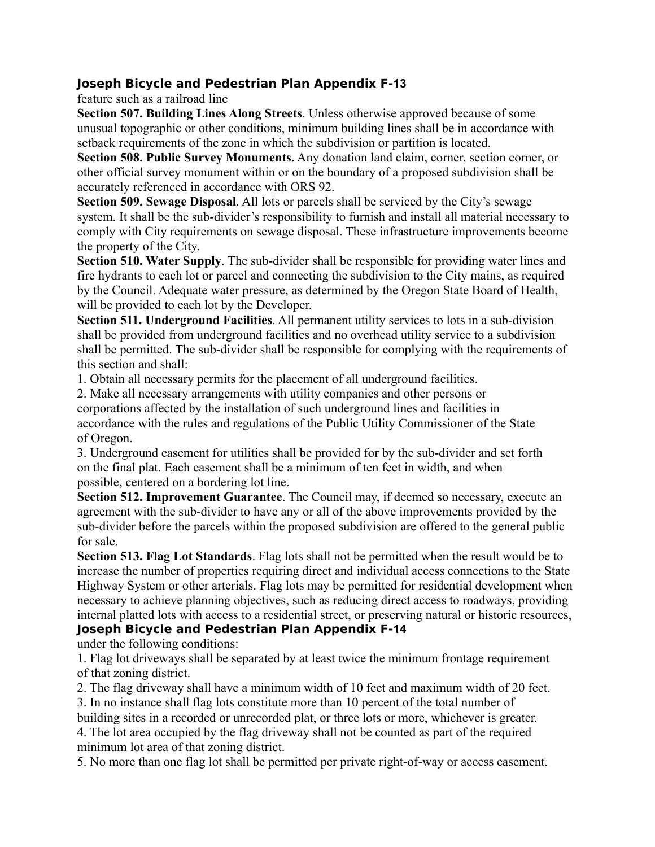#### **Joseph Bicycle and Pedestrian Plan Appendix F‐13**

feature such as a railroad line

**Section 507. Building Lines Along Streets**. Unless otherwise approved because of some unusual topographic or other conditions, minimum building lines shall be in accordance with setback requirements of the zone in which the subdivision or partition is located.

**Section 508. Public Survey Monuments**. Any donation land claim, corner, section corner, or other official survey monument within or on the boundary of a proposed subdivision shall be accurately referenced in accordance with ORS 92.

**Section 509. Sewage Disposal**. All lots or parcels shall be serviced by the City's sewage system. It shall be the sub-divider's responsibility to furnish and install all material necessary to comply with City requirements on sewage disposal. These infrastructure improvements become the property of the City.

**Section 510. Water Supply**. The sub-divider shall be responsible for providing water lines and fire hydrants to each lot or parcel and connecting the subdivision to the City mains, as required by the Council. Adequate water pressure, as determined by the Oregon State Board of Health, will be provided to each lot by the Developer.

**Section 511. Underground Facilities**. All permanent utility services to lots in a sub-division shall be provided from underground facilities and no overhead utility service to a subdivision shall be permitted. The sub-divider shall be responsible for complying with the requirements of this section and shall:

1. Obtain all necessary permits for the placement of all underground facilities.

2. Make all necessary arrangements with utility companies and other persons or corporations affected by the installation of such underground lines and facilities in accordance with the rules and regulations of the Public Utility Commissioner of the State of Oregon.

3. Underground easement for utilities shall be provided for by the sub-divider and set forth on the final plat. Each easement shall be a minimum of ten feet in width, and when possible, centered on a bordering lot line.

**Section 512. Improvement Guarantee**. The Council may, if deemed so necessary, execute an agreement with the sub-divider to have any or all of the above improvements provided by the sub-divider before the parcels within the proposed subdivision are offered to the general public for sale.

**Section 513. Flag Lot Standards**. Flag lots shall not be permitted when the result would be to increase the number of properties requiring direct and individual access connections to the State Highway System or other arterials. Flag lots may be permitted for residential development when necessary to achieve planning objectives, such as reducing direct access to roadways, providing internal platted lots with access to a residential street, or preserving natural or historic resources, **Joseph Bicycle and Pedestrian Plan Appendix F‐14**

under the following conditions:

1. Flag lot driveways shall be separated by at least twice the minimum frontage requirement of that zoning district.

2. The flag driveway shall have a minimum width of 10 feet and maximum width of 20 feet.

3. In no instance shall flag lots constitute more than 10 percent of the total number of

building sites in a recorded or unrecorded plat, or three lots or more, whichever is greater. 4. The lot area occupied by the flag driveway shall not be counted as part of the required minimum lot area of that zoning district.

5. No more than one flag lot shall be permitted per private right-of-way or access easement.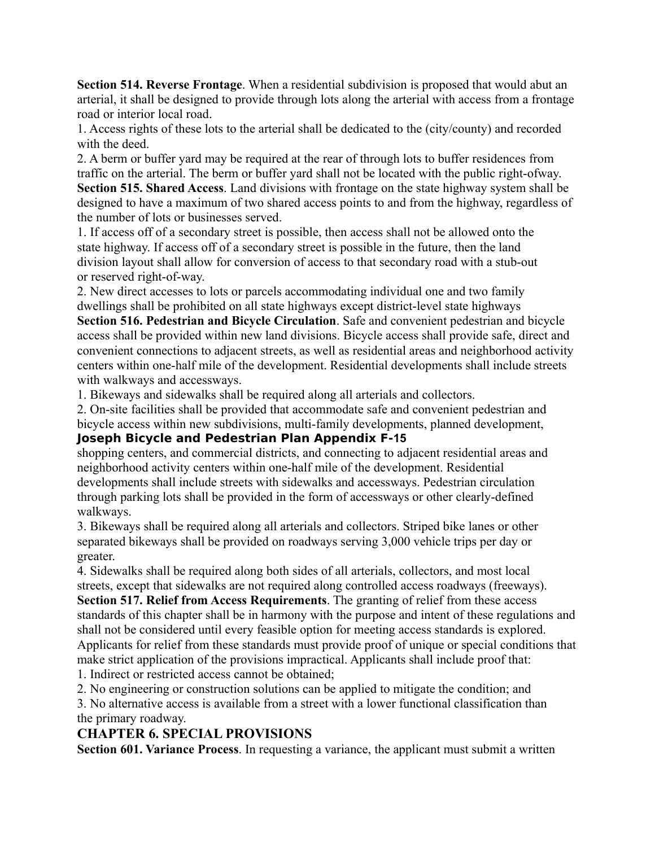**Section 514. Reverse Frontage**. When a residential subdivision is proposed that would abut an arterial, it shall be designed to provide through lots along the arterial with access from a frontage road or interior local road.

1. Access rights of these lots to the arterial shall be dedicated to the (city/county) and recorded with the deed.

2. A berm or buffer yard may be required at the rear of through lots to buffer residences from traffic on the arterial. The berm or buffer yard shall not be located with the public right-ofway. **Section 515. Shared Access**. Land divisions with frontage on the state highway system shall be designed to have a maximum of two shared access points to and from the highway, regardless of the number of lots or businesses served.

1. If access off of a secondary street is possible, then access shall not be allowed onto the state highway. If access off of a secondary street is possible in the future, then the land division layout shall allow for conversion of access to that secondary road with a stub-out or reserved right-of-way.

2. New direct accesses to lots or parcels accommodating individual one and two family dwellings shall be prohibited on all state highways except district-level state highways

**Section 516. Pedestrian and Bicycle Circulation**. Safe and convenient pedestrian and bicycle access shall be provided within new land divisions. Bicycle access shall provide safe, direct and convenient connections to adjacent streets, as well as residential areas and neighborhood activity centers within one-half mile of the development. Residential developments shall include streets with walkways and accessways.

1. Bikeways and sidewalks shall be required along all arterials and collectors.

2. On-site facilities shall be provided that accommodate safe and convenient pedestrian and bicycle access within new subdivisions, multi-family developments, planned development,

#### **Joseph Bicycle and Pedestrian Plan Appendix F‐15**

shopping centers, and commercial districts, and connecting to adjacent residential areas and neighborhood activity centers within one-half mile of the development. Residential developments shall include streets with sidewalks and accessways. Pedestrian circulation through parking lots shall be provided in the form of accessways or other clearly-defined walkways.

3. Bikeways shall be required along all arterials and collectors. Striped bike lanes or other separated bikeways shall be provided on roadways serving 3,000 vehicle trips per day or greater.

4. Sidewalks shall be required along both sides of all arterials, collectors, and most local streets, except that sidewalks are not required along controlled access roadways (freeways).

**Section 517. Relief from Access Requirements**. The granting of relief from these access standards of this chapter shall be in harmony with the purpose and intent of these regulations and shall not be considered until every feasible option for meeting access standards is explored. Applicants for relief from these standards must provide proof of unique or special conditions that make strict application of the provisions impractical. Applicants shall include proof that:

1. Indirect or restricted access cannot be obtained;

2. No engineering or construction solutions can be applied to mitigate the condition; and

3. No alternative access is available from a street with a lower functional classification than the primary roadway.

# **CHAPTER 6. SPECIAL PROVISIONS**

**Section 601. Variance Process**. In requesting a variance, the applicant must submit a written